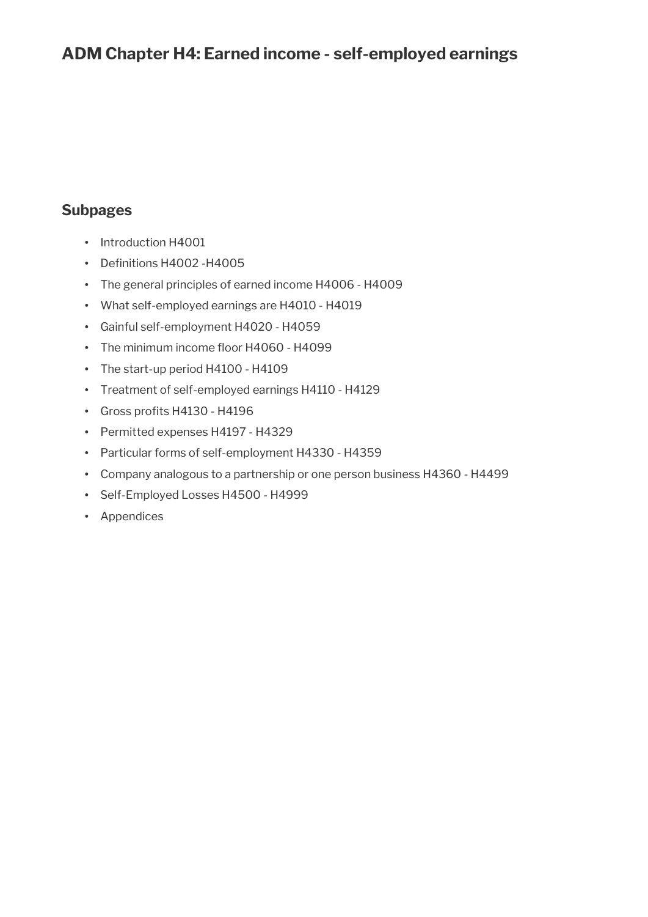# **ADM Chapter H4: Earned income - self-employed earnings**

# **Subpages**

- Introduction H4001
- Definitions H4002 H4005
- The general principles of earned income H4006 H4009
- What self-employed earnings are H4010 H4019
- Gainful self-employment H4020 H4059
- The minimum income floor H4060 H4099
- The start-up period H4100 H4109
- Treatment of self-employed earnings H4110 H4129
- Gross profits H4130 H4196
- Permitted expenses H4197 H4329
- Particular forms of self-employment H4330 H4359
- Company analogous to a partnership or one person business H4360 H4499
- Self-Employed Losses H4500 H4999
- Appendices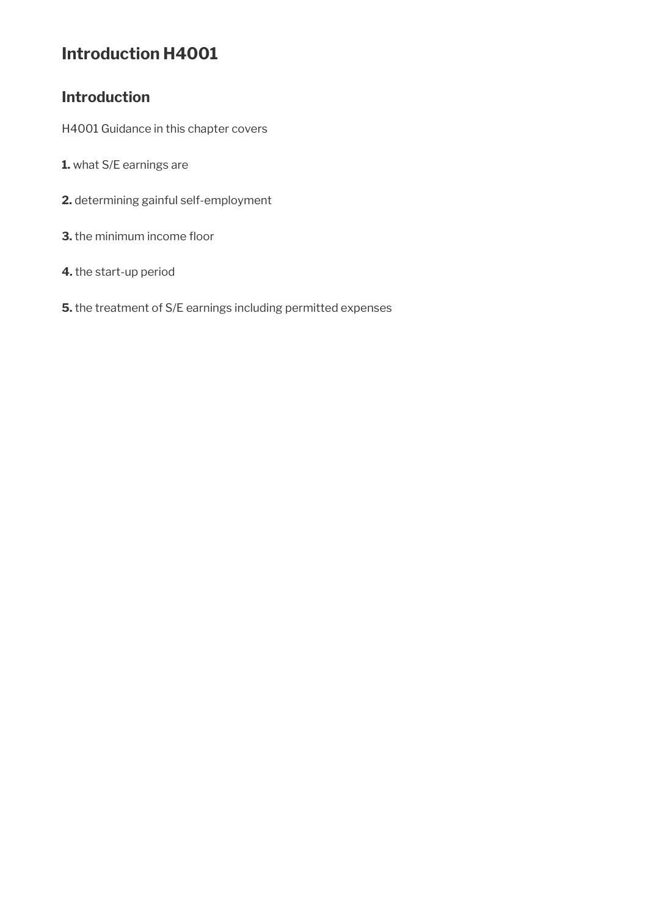# **Introduction H4001**

# **Introduction**

H4001 Guidance in this chapter covers

- **1.** what S/E earnings are
- **2.** determining gainful self-employment
- **3.** the minimum income floor
- **4.** the start-up period
- **5.** the treatment of S/E earnings including permitted expenses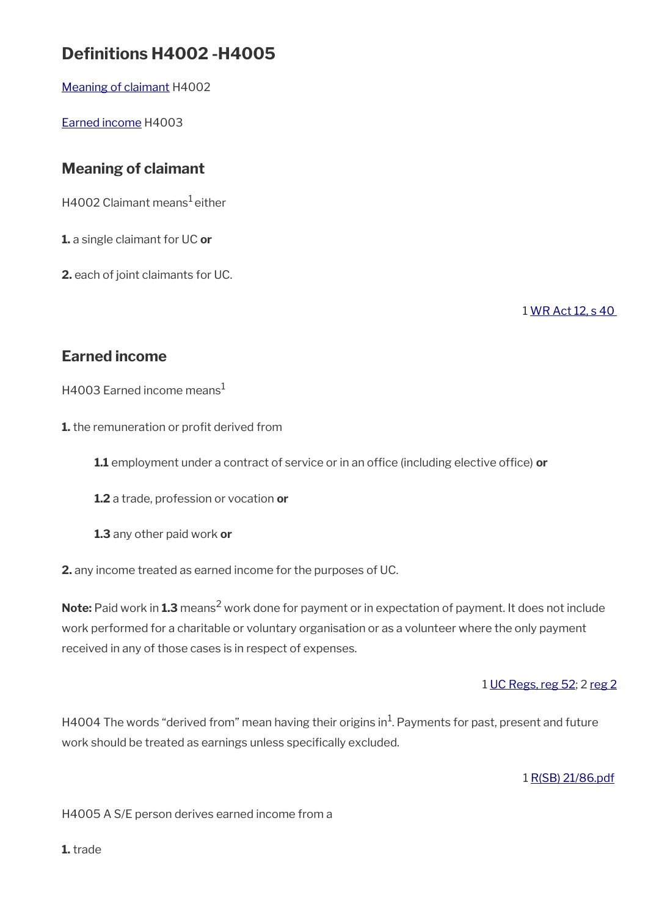# **Defnitions H4002 -H4005**

[Meaning of claimant](#page-2-0) H4002

[Earned income](#page-2-1) H4003

# <span id="page-2-0"></span>**Meaning of claimant**

 $H4002$  Claimant means<sup>1</sup> either

**1.** a single claimant for UC **or**

**2.** each of joint claimants for UC.

1 [WR Act 12, s 40](https://www.legislation.gov.uk/ukpga/2012/5/section/40) 

# <span id="page-2-1"></span>**Earned income**

H4003 Earned income means $<sup>1</sup>$ </sup>

**1.** the remuneration or profit derived from

**1.1** employment under a contract of service or in an office (including elective office) or

**1.2** a trade, profession or vocation **or**

**1.3** any other paid work **or**

**2.** any income treated as earned income for the purposes of UC.

**Note:** Paid work in **1.3** means<sup>2</sup> work done for payment or in expectation of payment. It does not include work performed for a charitable or voluntary organisation or as a volunteer where the only payment received in any of those cases is in respect of expenses.

1 [UC Regs, reg 52;](https://www.legislation.gov.uk/uksi/2013/376/regulation/52) 2 [reg 2](https://www.legislation.gov.uk/uksi/2013/376/regulation/2)

H4004 The words "derived from" mean having their origins in<sup>1</sup>. Payments for past, present and future work should be treated as earnings unless specifically excluded.

1 [R\(SB\) 21/86.pdf](../file/905294/download/R%2528SB%2529%252021%252F86.pdf)

H4005 A S/E person derives earned income from a

**1.** trade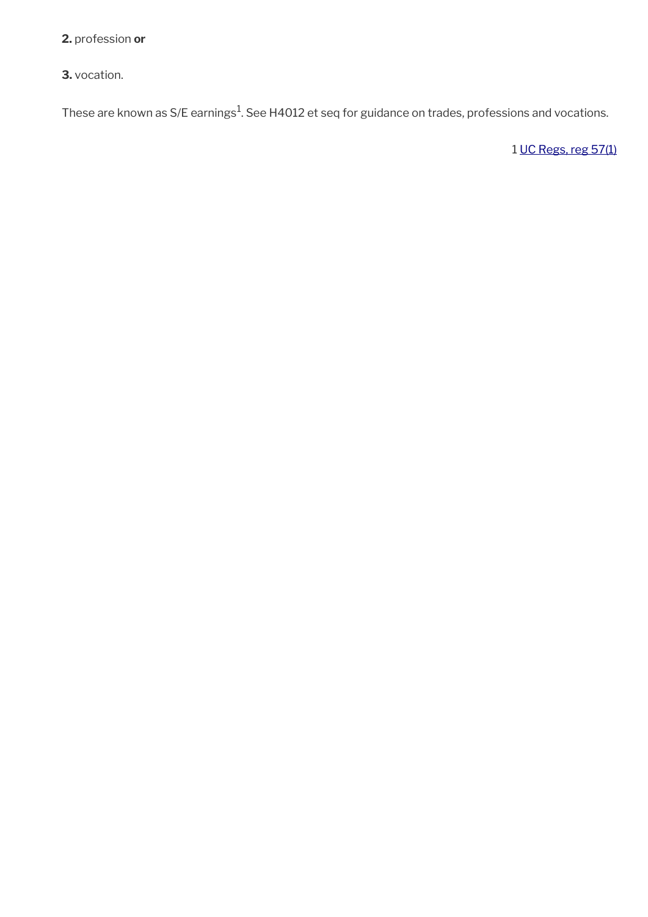**2.** profession **or**

**3.** vocation.

These are known as S/E earnings $^1$ . See H4012 et seq for guidance on trades, professions and vocations.

1 [UC Regs, reg 57\(1\)](https://www.legislation.gov.uk/uksi/2013/376/regulation/57)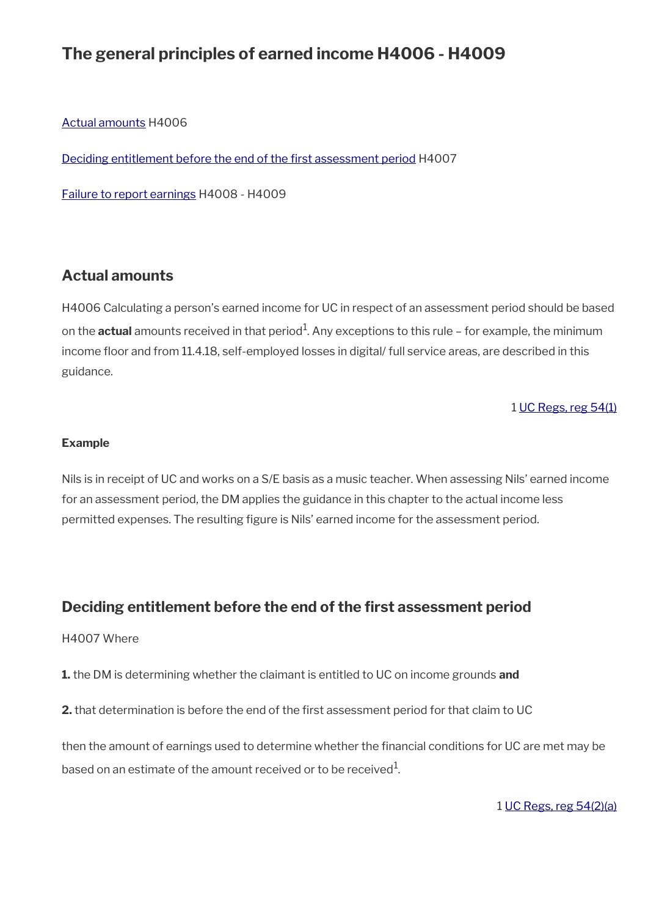# **The general principles of earned income H4006 - H4009**

[Actual amounts](#page-4-1) H4006

[Deciding entitlement before the end of the frst assessment period](#page-4-0) H4007

[Failure to report earnings](#page-5-0) H4008 - H4009

# <span id="page-4-1"></span>**Actual amounts**

H4006 Calculating a person's earned income for UC in respect of an assessment period should be based on the **actual** amounts received in that period<sup>1</sup>. Any exceptions to this rule – for example, the minimum income floor and from 11.4.18, self-employed losses in digital/ full service areas, are described in this guidance.

1 [UC Regs, reg 54\(1\)](https://www.legislation.gov.uk/uksi/2013/376/regulation/54)

#### **Example**

Nils is in receipt of UC and works on a S/E basis as a music teacher. When assessing Nils' earned income for an assessment period, the DM applies the guidance in this chapter to the actual income less permitted expenses. The resulting fgure is Nils' earned income for the assessment period.

# <span id="page-4-0"></span>**Deciding entitlement before the end of the frst assessment period**

#### H4007 Where

**1.** the DM is determining whether the claimant is entitled to UC on income grounds **and**

**2.** that determination is before the end of the first assessment period for that claim to UC

then the amount of earnings used to determine whether the financial conditions for UC are met may be based on an estimate of the amount received or to be received $^{\rm 1}$ .

1 [UC Regs, reg 54\(2\)\(a\)](https://www.legislation.gov.uk/uksi/2013/376/regulation/54)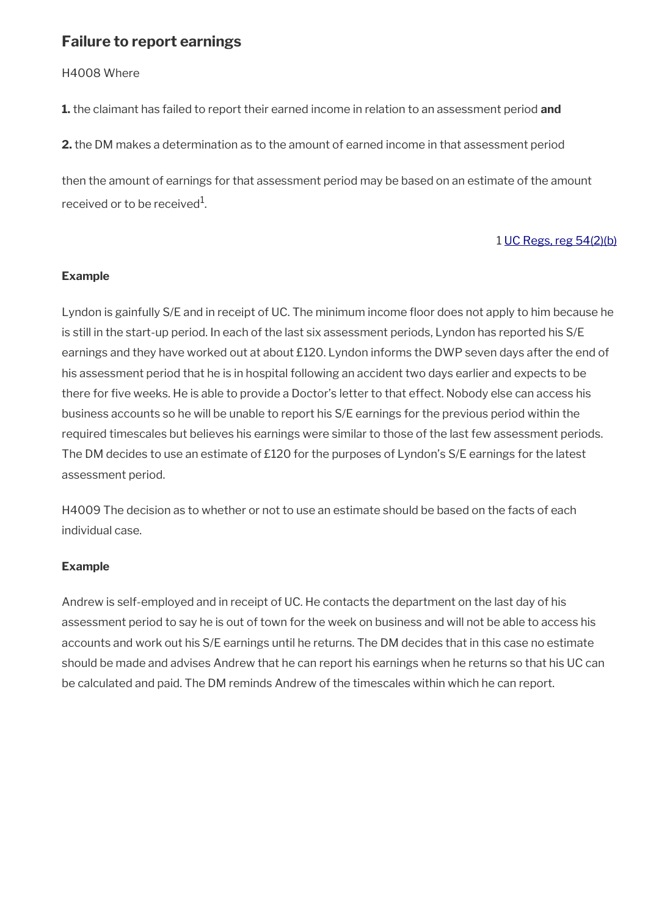# <span id="page-5-0"></span>**Failure to report earnings**

H4008 Where

**1.** the claimant has failed to report their earned income in relation to an assessment period **and**

**2.** the DM makes a determination as to the amount of earned income in that assessment period

then the amount of earnings for that assessment period may be based on an estimate of the amount received or to be received $^{\rm 1}$ .

### 1 [UC Regs, reg 54\(2\)\(b\)](https://www.legislation.gov.uk/uksi/2013/376/regulation/54)

### **Example**

Lyndon is gainfully S/E and in receipt of UC. The minimum income floor does not apply to him because he is still in the start-up period. In each of the last six assessment periods, Lyndon has reported his S/E earnings and they have worked out at about £120. Lyndon informs the DWP seven days after the end of his assessment period that he is in hospital following an accident two days earlier and expects to be there for five weeks. He is able to provide a Doctor's letter to that effect. Nobody else can access his business accounts so he will be unable to report his S/E earnings for the previous period within the required timescales but believes his earnings were similar to those of the last few assessment periods. The DM decides to use an estimate of £120 for the purposes of Lyndon's S/E earnings for the latest assessment period.

H4009 The decision as to whether or not to use an estimate should be based on the facts of each individual case.

### **Example**

Andrew is self-employed and in receipt of UC. He contacts the department on the last day of his assessment period to say he is out of town for the week on business and will not be able to access his accounts and work out his S/E earnings until he returns. The DM decides that in this case no estimate should be made and advises Andrew that he can report his earnings when he returns so that his UC can be calculated and paid. The DM reminds Andrew of the timescales within which he can report.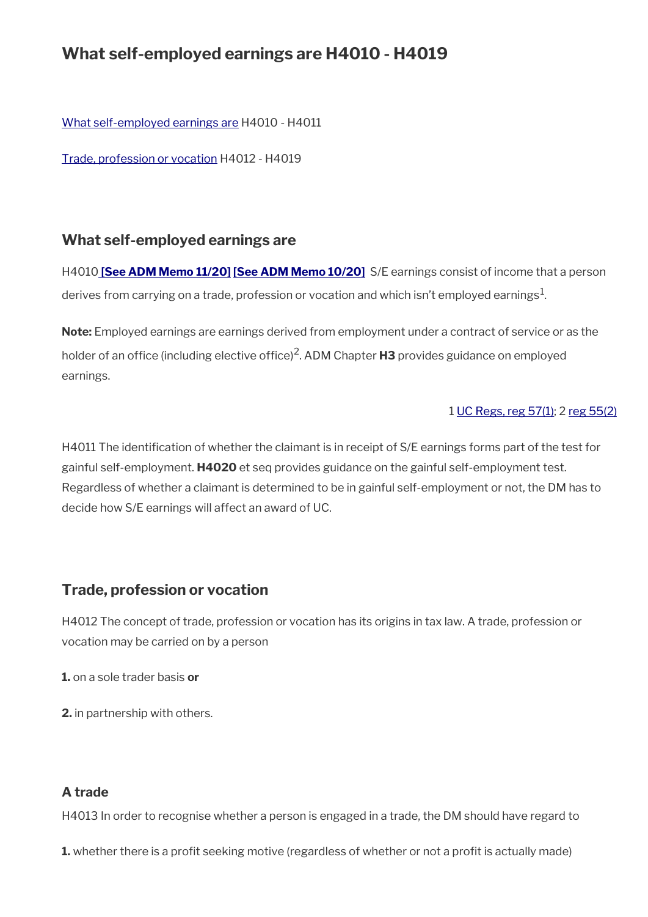# **What self-employed earnings are H4010 - H4019**

[What self-employed earnings are](#page-6-1) H4010 - H4011

[Trade, profession or vocation](#page-6-0) H4012 - H4019

# <span id="page-6-1"></span>**What self-employed earnings are**

H4010 **[\[See ADM Memo 11/20\]](http://intranet.dwp.gov.uk/manual/advice-decision-making-adm/1120-hmrc-and-devolved-administration-coronavirus-schemes-and-uc) [\[See ADM Memo 10/20\]](http://intranet.dwp.gov.uk/manual/advice-decision-making-adm/1020-universal-credit-coronavirus-self-employed-claimants-and-reclaims-amendment-regulations-2020)** S/E earnings consist of income that a person derives from carrying on a trade, profession or vocation and which isn't employed earnings $^1$ .

**Note:** Employed earnings are earnings derived from employment under a contract of service or as the holder of an office (including elective office)<sup>2</sup>. ADM Chapter **H3** provides guidance on employed earnings.

#### 1 [UC Regs, reg 57\(1\)](https://www.legislation.gov.uk/uksi/2013/376/regulation/57); 2 [reg 55\(2\)](https://www.legislation.gov.uk/uksi/2013/376/regulation/55)

H4011 The identifcation of whether the claimant is in receipt of S/E earnings forms part of the test for gainful self-employment. **H4020** et seq provides guidance on the gainful self-employment test. Regardless of whether a claimant is determined to be in gainful self-employment or not, the DM has to decide how S/E earnings will affect an award of UC.

# <span id="page-6-0"></span>**Trade, profession or vocation**

H4012 The concept of trade, profession or vocation has its origins in tax law. A trade, profession or vocation may be carried on by a person

**1.** on a sole trader basis **or** 

**2.** in partnership with others.

# **A trade**

H4013 In order to recognise whether a person is engaged in a trade, the DM should have regard to

**1.** whether there is a profit seeking motive (regardless of whether or not a profit is actually made)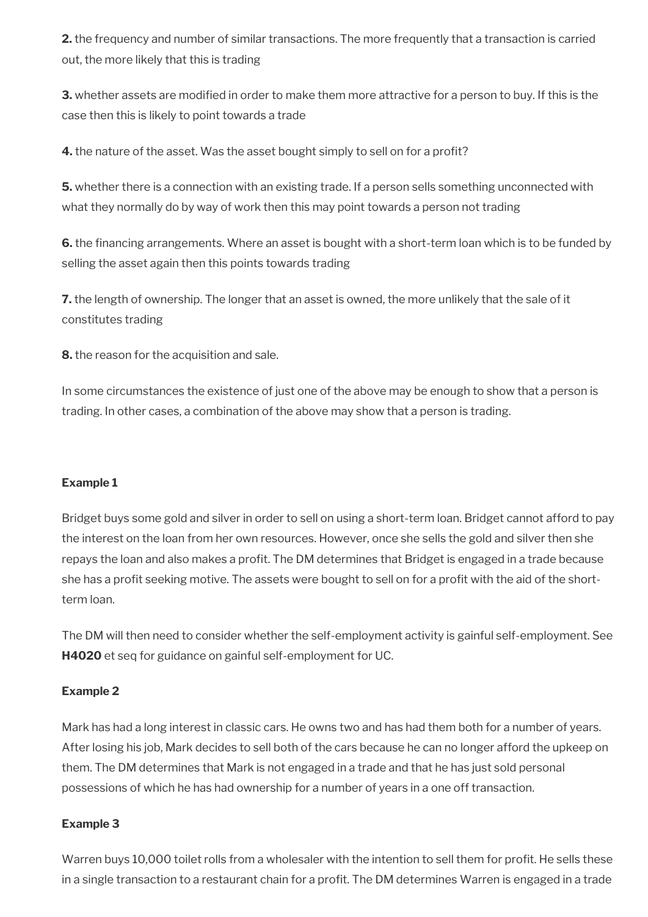**2.** the frequency and number of similar transactions. The more frequently that a transaction is carried out, the more likely that this is trading

**3.** whether assets are modified in order to make them more attractive for a person to buy. If this is the case then this is likely to point towards a trade

**4.** the nature of the asset. Was the asset bought simply to sell on for a profit?

**5.** whether there is a connection with an existing trade. If a person sells something unconnected with what they normally do by way of work then this may point towards a person not trading

**6.** the financing arrangements. Where an asset is bought with a short-term loan which is to be funded by selling the asset again then this points towards trading

**7.** the length of ownership. The longer that an asset is owned, the more unlikely that the sale of it constitutes trading

**8.** the reason for the acquisition and sale.

In some circumstances the existence of just one of the above may be enough to show that a person is trading. In other cases, a combination of the above may show that a person is trading.

#### **Example 1**

Bridget buys some gold and silver in order to sell on using a short-term loan. Bridget cannot afford to pay the interest on the loan from her own resources. However, once she sells the gold and silver then she repays the loan and also makes a profit. The DM determines that Bridget is engaged in a trade because she has a profit seeking motive. The assets were bought to sell on for a profit with the aid of the shortterm loan.

The DM will then need to consider whether the self-employment activity is gainful self-employment. See **H4020** et seq for guidance on gainful self-employment for UC.

#### **Example 2**

Mark has had a long interest in classic cars. He owns two and has had them both for a number of years. After losing his job, Mark decides to sell both of the cars because he can no longer afford the upkeep on them. The DM determines that Mark is not engaged in a trade and that he has just sold personal possessions of which he has had ownership for a number of years in a one off transaction.

### **Example 3**

Warren buys 10,000 toilet rolls from a wholesaler with the intention to sell them for profit. He sells these in a single transaction to a restaurant chain for a proft. The DM determines Warren is engaged in a trade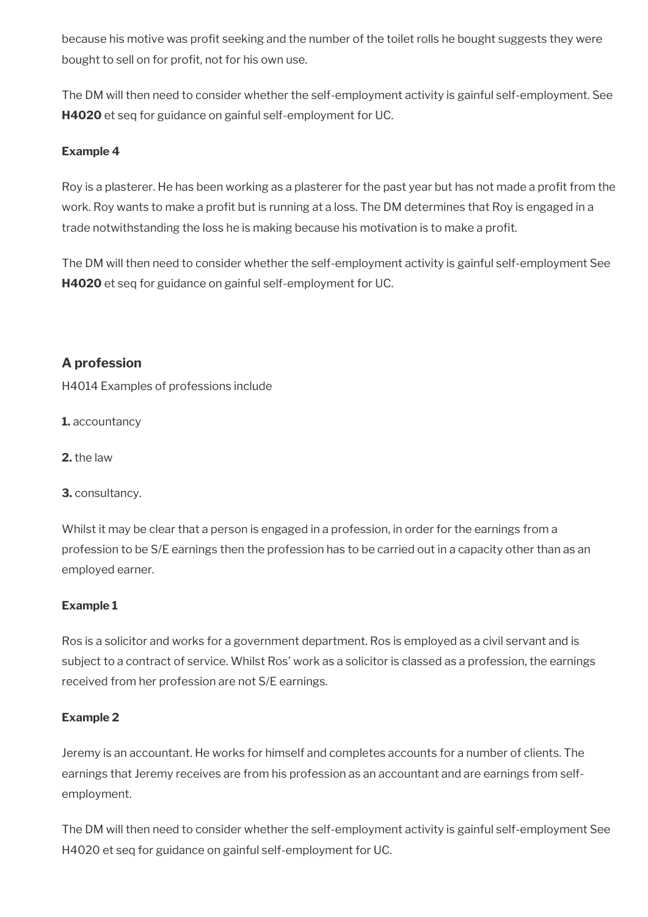because his motive was profit seeking and the number of the toilet rolls he bought suggests they were bought to sell on for profit, not for his own use.

The DM will then need to consider whether the self-employment activity is gainful self-employment. See **H4020** et seq for guidance on gainful self-employment for UC.

## **Example 4**

Roy is a plasterer. He has been working as a plasterer for the past year but has not made a proft from the work. Roy wants to make a profit but is running at a loss. The DM determines that Roy is engaged in a trade notwithstanding the loss he is making because his motivation is to make a proft.

The DM will then need to consider whether the self-employment activity is gainful self-employment See **H4020** et seq for guidance on gainful self-employment for UC.

# **A profession**

H4014 Examples of professions include

**1.** accountancy

**2.** the law

**3.** consultancy.

Whilst it may be clear that a person is engaged in a profession, in order for the earnings from a profession to be S/E earnings then the profession has to be carried out in a capacity other than as an employed earner.

### **Example 1**

Ros is a solicitor and works for a government department. Ros is employed as a civil servant and is subject to a contract of service. Whilst Ros' work as a solicitor is classed as a profession, the earnings received from her profession are not S/E earnings.

### **Example 2**

Jeremy is an accountant. He works for himself and completes accounts for a number of clients. The earnings that Jeremy receives are from his profession as an accountant and are earnings from selfemployment.

The DM will then need to consider whether the self-employment activity is gainful self-employment See H4020 et seq for guidance on gainful self-employment for UC.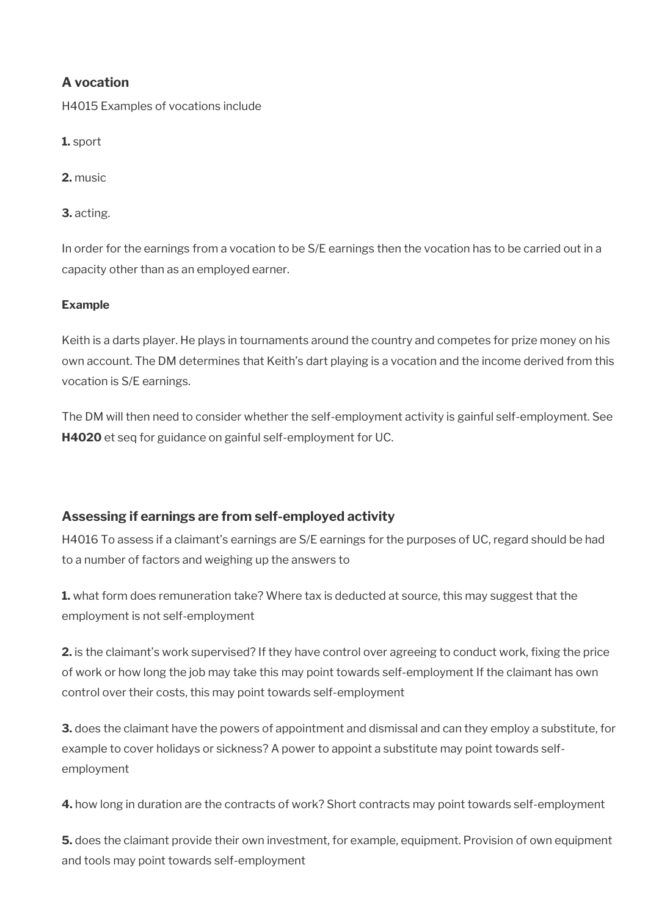# **A vocation**

H4015 Examples of vocations include

**1.** sport

**2.** music

**3.** acting.

In order for the earnings from a vocation to be S/E earnings then the vocation has to be carried out in a capacity other than as an employed earner.

## **Example**

Keith is a darts player. He plays in tournaments around the country and competes for prize money on his own account. The DM determines that Keith's dart playing is a vocation and the income derived from this vocation is S/E earnings.

The DM will then need to consider whether the self-employment activity is gainful self-employment. See **H4020** et seq for guidance on gainful self-employment for UC.

# **Assessing if earnings are from self-employed activity**

H4016 To assess if a claimant's earnings are S/E earnings for the purposes of UC, regard should be had to a number of factors and weighing up the answers to

**1.** what form does remuneration take? Where tax is deducted at source, this may suggest that the employment is not self-employment

**2.** is the claimant's work supervised? If they have control over agreeing to conduct work, fixing the price of work or how long the job may take this may point towards self-employment If the claimant has own control over their costs, this may point towards self-employment

**3.** does the claimant have the powers of appointment and dismissal and can they employ a substitute, for example to cover holidays or sickness? A power to appoint a substitute may point towards selfemployment

**4.** how long in duration are the contracts of work? Short contracts may point towards self-employment

**5.** does the claimant provide their own investment, for example, equipment. Provision of own equipment and tools may point towards self-employment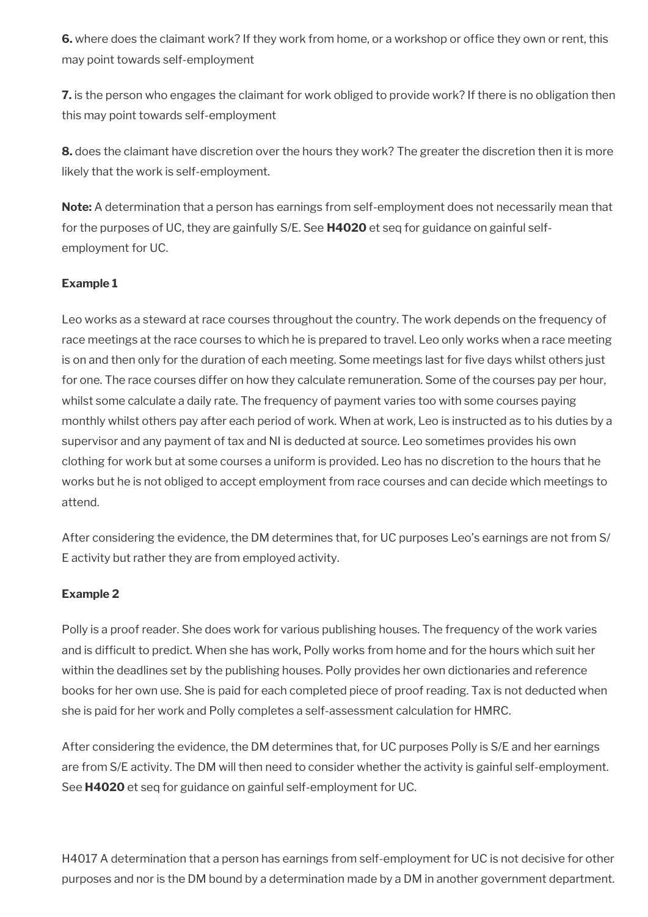**6.** where does the claimant work? If they work from home, or a workshop or office they own or rent, this may point towards self-employment

**7.** is the person who engages the claimant for work obliged to provide work? If there is no obligation then this may point towards self-employment

**8.** does the claimant have discretion over the hours they work? The greater the discretion then it is more likely that the work is self-employment.

**Note:** A determination that a person has earnings from self-employment does not necessarily mean that for the purposes of UC, they are gainfully S/E. See **H4020** et seq for guidance on gainful selfemployment for UC.

### **Example 1**

Leo works as a steward at race courses throughout the country. The work depends on the frequency of race meetings at the race courses to which he is prepared to travel. Leo only works when a race meeting is on and then only for the duration of each meeting. Some meetings last for fve days whilst others just for one. The race courses differ on how they calculate remuneration. Some of the courses pay per hour, whilst some calculate a daily rate. The frequency of payment varies too with some courses paying monthly whilst others pay after each period of work. When at work, Leo is instructed as to his duties by a supervisor and any payment of tax and NI is deducted at source. Leo sometimes provides his own clothing for work but at some courses a uniform is provided. Leo has no discretion to the hours that he works but he is not obliged to accept employment from race courses and can decide which meetings to attend.

After considering the evidence, the DM determines that, for UC purposes Leo's earnings are not from S/ E activity but rather they are from employed activity.

#### **Example 2**

Polly is a proof reader. She does work for various publishing houses. The frequency of the work varies and is diffcult to predict. When she has work, Polly works from home and for the hours which suit her within the deadlines set by the publishing houses. Polly provides her own dictionaries and reference books for her own use. She is paid for each completed piece of proof reading. Tax is not deducted when she is paid for her work and Polly completes a self-assessment calculation for HMRC.

After considering the evidence, the DM determines that, for UC purposes Polly is S/E and her earnings are from S/E activity. The DM will then need to consider whether the activity is gainful self-employment. See **H4020** et seq for guidance on gainful self-employment for UC.

H4017 A determination that a person has earnings from self-employment for UC is not decisive for other purposes and nor is the DM bound by a determination made by a DM in another government department.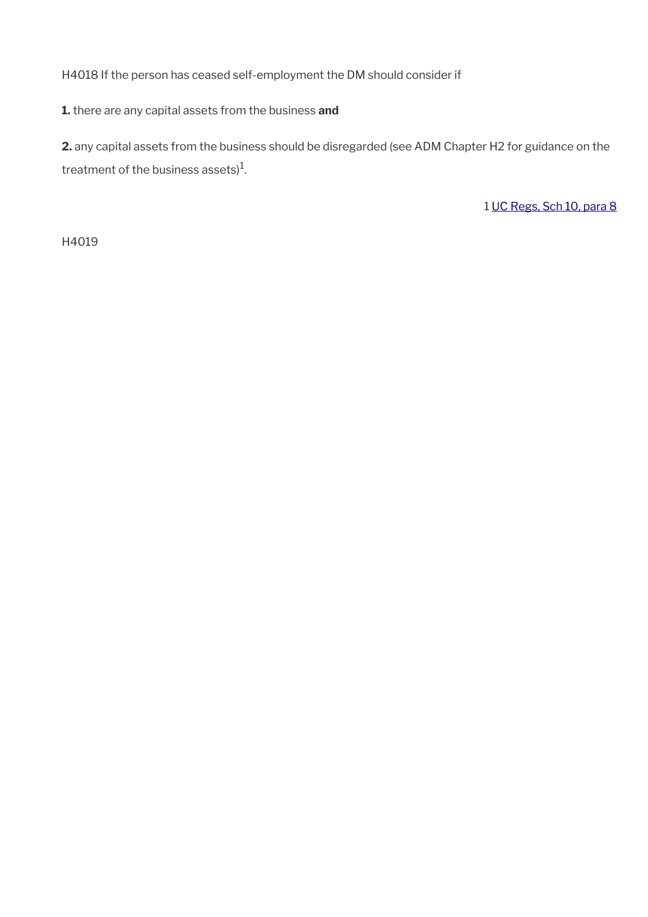H4018 If the person has ceased self-employment the DM should consider if

**1.** there are any capital assets from the business **and** 

**2.** any capital assets from the business should be disregarded (see ADM Chapter H2 for guidance on the treatment of the business assets) $^{\rm 1}$ .

1 [UC Regs, Sch 10, para 8](https://www.legislation.gov.uk/uksi/2013/376/schedule/10)

H4019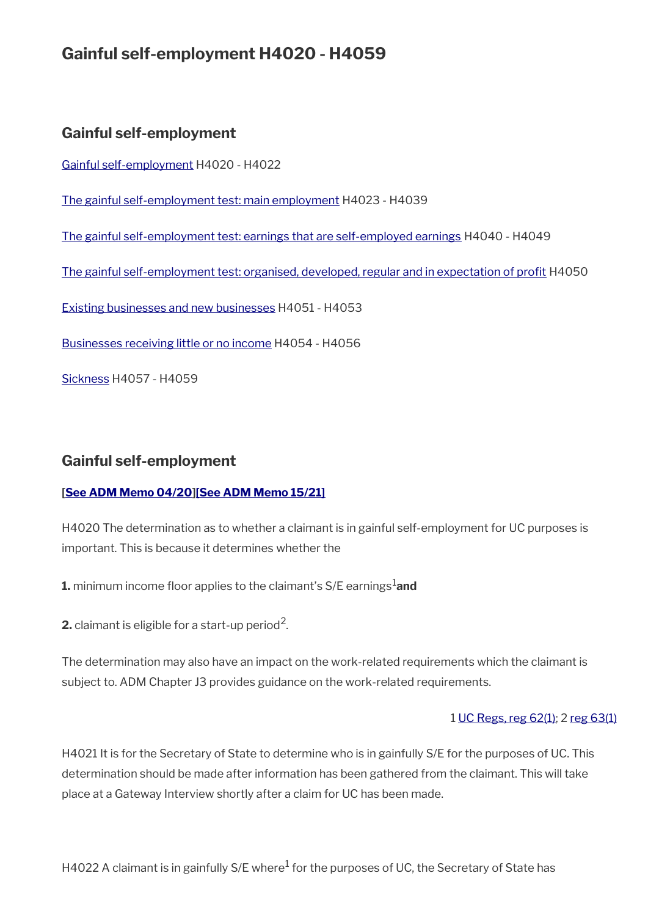# **Gainful self-employment H4020 - H4059**

# **Gainful self-employment**

[Gainful self-employment](#page-12-0) H4020 - H4022

[The gainful self-employment test: main employment](#page-13-0) H4023 - H4039

[The gainful self-employment test: earnings that are self-employed earnings](#page-17-1) H4040 - H4049

[The gainful self-employment test: organised, developed, regular and in expectation of proft](#page-17-0) H4050

[Existing businesses and new businesses](#page-18-0) H4051 - H4053

[Businesses receiving little or no income](#page-20-0) H4054 - H4056

[Sickness](#page-22-0) H4057 - H4059

# <span id="page-12-0"></span>**Gainful self-employment**

### **[\[See ADM Memo 04/20\]](http://intranet.dwp.gov.uk/manual/advice-decision-making-adm/0420-jsa-and-uc-coronavirus-further-measures)[\[See ADM Memo 15/21\]](https://intranet.dwp.gov.uk/manual/advice-decision-making-adm/15-21-universal-credit-coronavirus-restoration-minimum-income-floor-regulations-2021)**

H4020 The determination as to whether a claimant is in gainful self-employment for UC purposes is important. This is because it determines whether the

**1.** minimum income floor applies to the claimant's S/E earnings<sup>1</sup>and

**2.** claimant is eligible for a start-up period<sup>2</sup>.

The determination may also have an impact on the work-related requirements which the claimant is subject to. ADM Chapter J3 provides guidance on the work-related requirements.

#### 1 [UC Regs, reg 62\(1\);](https://www.legislation.gov.uk/uksi/2013/376/regulation/62) 2 [reg 63\(1\)](https://www.legislation.gov.uk/uksi/2013/376/regulation/63)

H4021 It is for the Secretary of State to determine who is in gainfully S/E for the purposes of UC. This determination should be made after information has been gathered from the claimant. This will take place at a Gateway Interview shortly after a claim for UC has been made.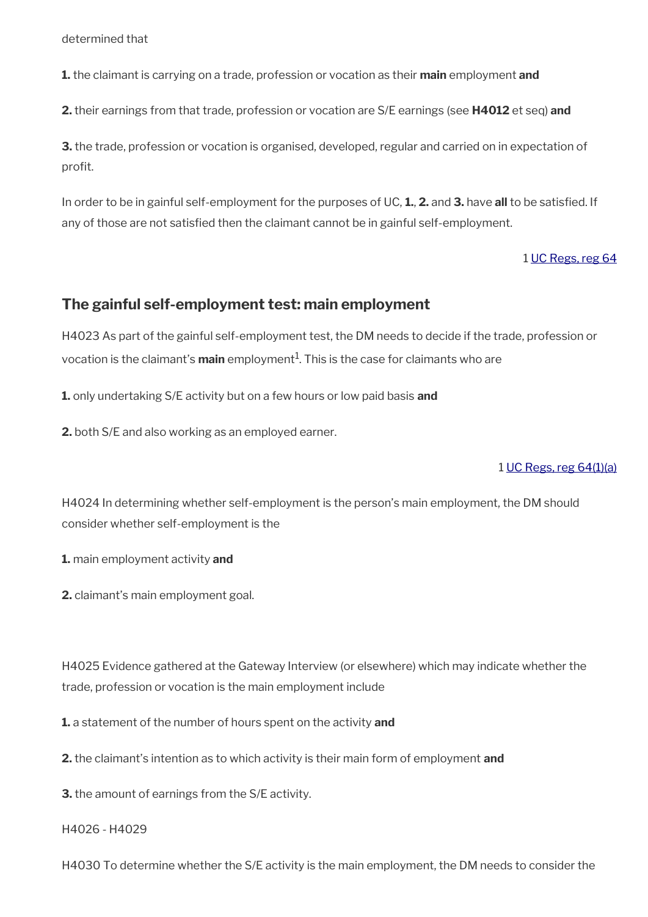determined that

**1.** the claimant is carrying on a trade, profession or vocation as their **main** employment **and**

**2.** their earnings from that trade, profession or vocation are S/E earnings (see **H4012** et seq) **and**

**3.** the trade, profession or vocation is organised, developed, regular and carried on in expectation of profit.

In order to be in gainful self-employment for the purposes of UC, **1.**, **2.** and **3.** have **all** to be satisfed. If any of those are not satisfed then the claimant cannot be in gainful self-employment.

#### 1 [UC Regs, reg 64](https://www.legislation.gov.uk/uksi/2013/376/regulation/64)

## <span id="page-13-0"></span>**The gainful self-employment test: main employment**

H4023 As part of the gainful self-employment test, the DM needs to decide if the trade, profession or vocation is the claimant's **main** employment<sup>1</sup>. This is the case for claimants who are

**1.** only undertaking S/E activity but on a few hours or low paid basis **and** 

**2.** both S/E and also working as an employed earner.

#### 1 [UC Regs, reg 64\(1\)\(a\)](https://www.legislation.gov.uk/uksi/2013/376/regulation/64)

H4024 In determining whether self-employment is the person's main employment, the DM should consider whether self-employment is the

**1.** main employment activity **and**

**2.** claimant's main employment goal.

H4025 Evidence gathered at the Gateway Interview (or elsewhere) which may indicate whether the trade, profession or vocation is the main employment include

**1.** a statement of the number of hours spent on the activity **and**

**2.** the claimant's intention as to which activity is their main form of employment **and**

**3.** the amount of earnings from the S/E activity.

#### H4026 - H4029

H4030 To determine whether the S/E activity is the main employment, the DM needs to consider the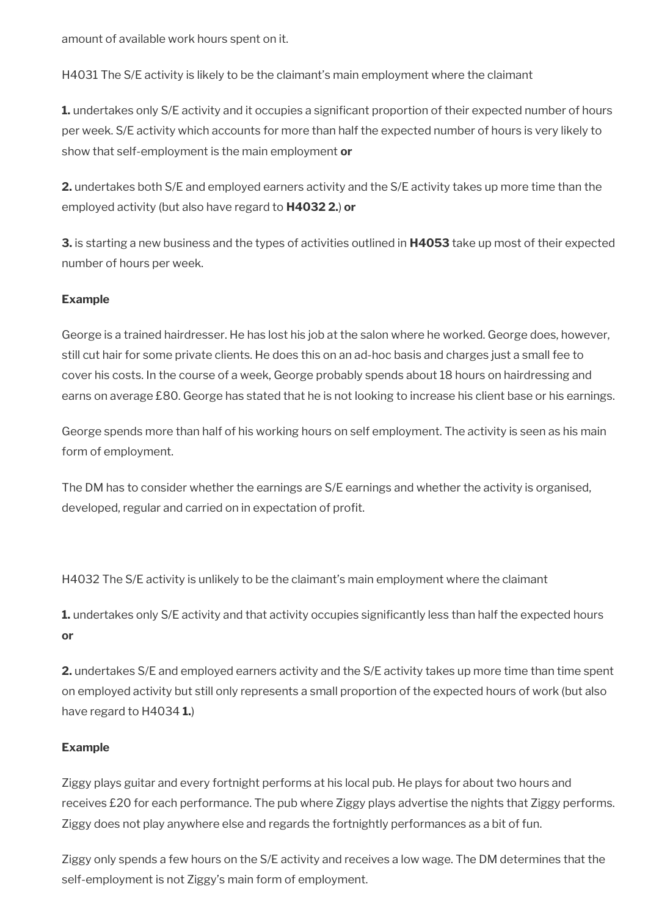amount of available work hours spent on it.

H4031 The S/E activity is likely to be the claimant's main employment where the claimant

**1.** undertakes only S/E activity and it occupies a significant proportion of their expected number of hours per week. S/E activity which accounts for more than half the expected number of hours is very likely to show that self-employment is the main employment **or**

**2.** undertakes both S/E and employed earners activity and the S/E activity takes up more time than the employed activity (but also have regard to **H4032 2.**) **or**

**3.** is starting a new business and the types of activities outlined in **H4053** take up most of their expected number of hours per week.

### **Example**

George is a trained hairdresser. He has lost his job at the salon where he worked. George does, however, still cut hair for some private clients. He does this on an ad-hoc basis and charges just a small fee to cover his costs. In the course of a week, George probably spends about 18 hours on hairdressing and earns on average £80. George has stated that he is not looking to increase his client base or his earnings.

George spends more than half of his working hours on self employment. The activity is seen as his main form of employment.

The DM has to consider whether the earnings are S/E earnings and whether the activity is organised, developed, regular and carried on in expectation of profit.

H4032 The S/E activity is unlikely to be the claimant's main employment where the claimant

**1.** undertakes only S/E activity and that activity occupies significantly less than half the expected hours **or**

**2.** undertakes S/E and employed earners activity and the S/E activity takes up more time than time spent on employed activity but still only represents a small proportion of the expected hours of work (but also have regard to H4034 **1.**)

### **Example**

Ziggy plays guitar and every fortnight performs at his local pub. He plays for about two hours and receives £20 for each performance. The pub where Ziggy plays advertise the nights that Ziggy performs. Ziggy does not play anywhere else and regards the fortnightly performances as a bit of fun.

Ziggy only spends a few hours on the S/E activity and receives a low wage. The DM determines that the self-employment is not Ziggy's main form of employment.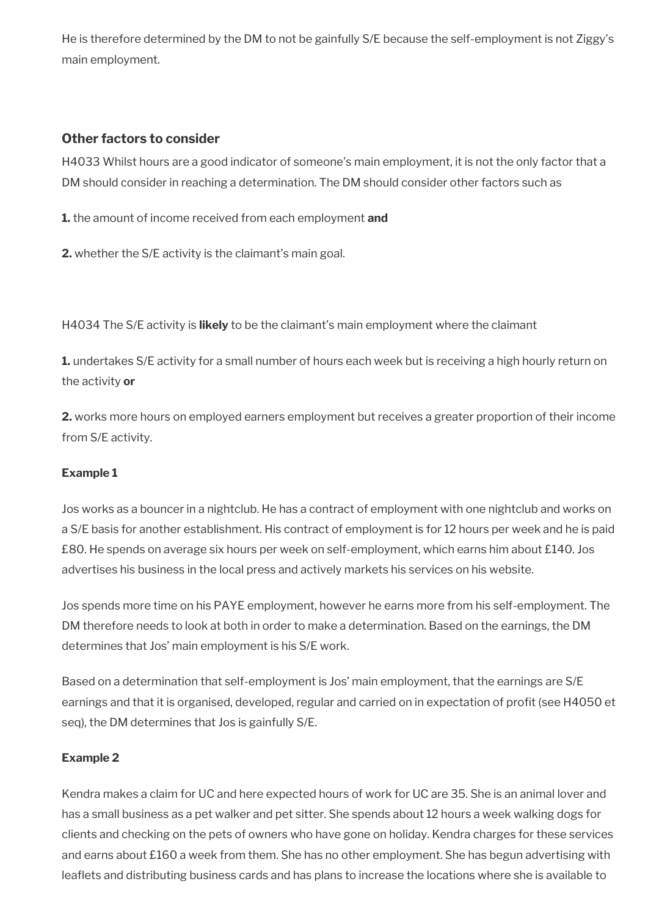He is therefore determined by the DM to not be gainfully S/E because the self-employment is not Ziggy's main employment.

## **Other factors to consider**

H4033 Whilst hours are a good indicator of someone's main employment, it is not the only factor that a DM should consider in reaching a determination. The DM should consider other factors such as

**1.** the amount of income received from each employment **and**

**2.** whether the S/E activity is the claimant's main goal.

H4034 The S/E activity is **likely** to be the claimant's main employment where the claimant

**1.** undertakes S/E activity for a small number of hours each week but is receiving a high hourly return on the activity **or**

**2.** works more hours on employed earners employment but receives a greater proportion of their income from S/E activity.

### **Example 1**

Jos works as a bouncer in a nightclub. He has a contract of employment with one nightclub and works on a S/E basis for another establishment. His contract of employment is for 12 hours per week and he is paid £80. He spends on average six hours per week on self-employment, which earns him about £140. Jos advertises his business in the local press and actively markets his services on his website.

Jos spends more time on his PAYE employment, however he earns more from his self-employment. The DM therefore needs to look at both in order to make a determination. Based on the earnings, the DM determines that Jos' main employment is his S/E work.

Based on a determination that self-employment is Jos' main employment, that the earnings are S/E earnings and that it is organised, developed, regular and carried on in expectation of profit (see H4050 et seq), the DM determines that Jos is gainfully S/E.

# **Example 2**

Kendra makes a claim for UC and here expected hours of work for UC are 35. She is an animal lover and has a small business as a pet walker and pet sitter. She spends about 12 hours a week walking dogs for clients and checking on the pets of owners who have gone on holiday. Kendra charges for these services and earns about £160 a week from them. She has no other employment. She has begun advertising with leaflets and distributing business cards and has plans to increase the locations where she is available to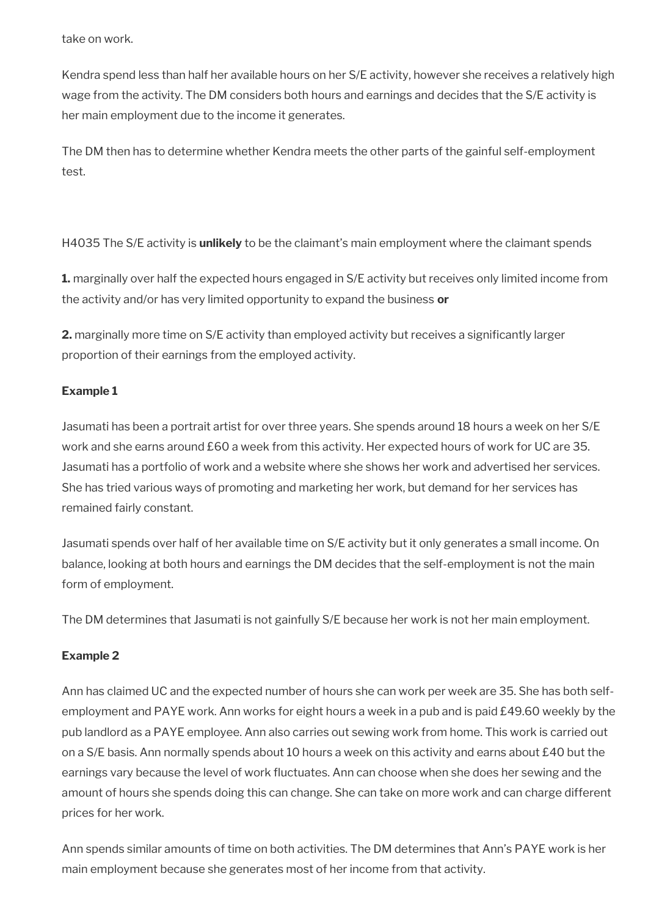take on work.

Kendra spend less than half her available hours on her S/E activity, however she receives a relatively high wage from the activity. The DM considers both hours and earnings and decides that the S/E activity is her main employment due to the income it generates.

The DM then has to determine whether Kendra meets the other parts of the gainful self-employment test.

H4035 The S/E activity is **unlikely** to be the claimant's main employment where the claimant spends

**1.** marginally over half the expected hours engaged in S/E activity but receives only limited income from the activity and/or has very limited opportunity to expand the business **or**

**2.** marginally more time on S/E activity than employed activity but receives a significantly larger proportion of their earnings from the employed activity.

# **Example 1**

Jasumati has been a portrait artist for over three years. She spends around 18 hours a week on her S/E work and she earns around £60 a week from this activity. Her expected hours of work for UC are 35. Jasumati has a portfolio of work and a website where she shows her work and advertised her services. She has tried various ways of promoting and marketing her work, but demand for her services has remained fairly constant.

Jasumati spends over half of her available time on S/E activity but it only generates a small income. On balance, looking at both hours and earnings the DM decides that the self-employment is not the main form of employment.

The DM determines that Jasumati is not gainfully S/E because her work is not her main employment.

# **Example 2**

Ann has claimed UC and the expected number of hours she can work per week are 35. She has both selfemployment and PAYE work. Ann works for eight hours a week in a pub and is paid £49.60 weekly by the pub landlord as a PAYE employee. Ann also carries out sewing work from home. This work is carried out on a S/E basis. Ann normally spends about 10 hours a week on this activity and earns about £40 but the earnings vary because the level of work fuctuates. Ann can choose when she does her sewing and the amount of hours she spends doing this can change. She can take on more work and can charge different prices for her work.

Ann spends similar amounts of time on both activities. The DM determines that Ann's PAYE work is her main employment because she generates most of her income from that activity.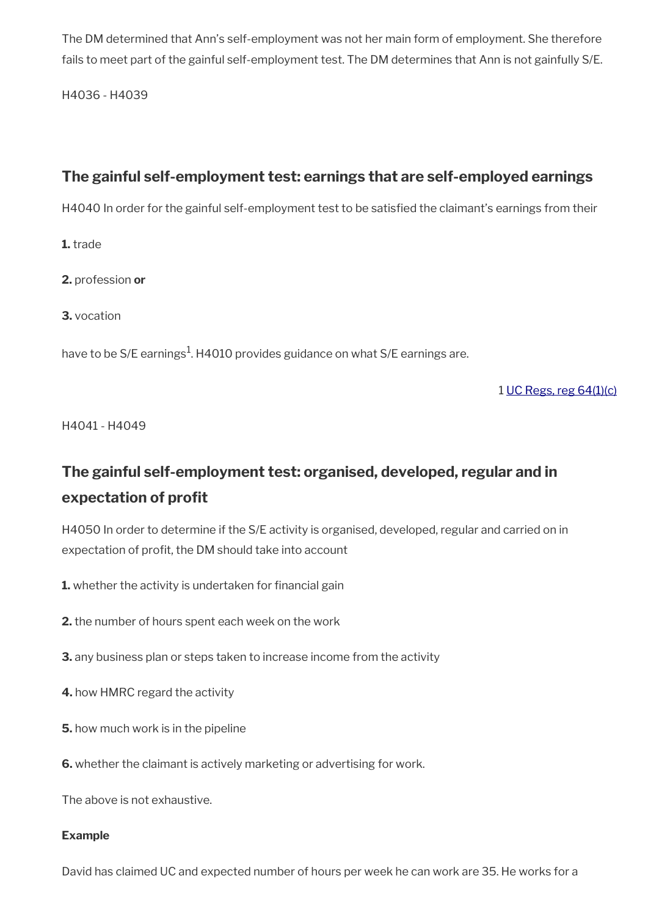The DM determined that Ann's self-employment was not her main form of employment. She therefore fails to meet part of the gainful self-employment test. The DM determines that Ann is not gainfully S/E.

H4036 - H4039

# <span id="page-17-1"></span>**The gainful self-employment test: earnings that are self-employed earnings**

H4040 In order for the gainful self-employment test to be satisfied the claimant's earnings from their

**1.** trade

**2.** profession **or**

**3.** vocation

have to be S/E earnings $^{\rm 1}$ . H4010 provides guidance on what S/E earnings are.

1 [UC Regs, reg 64\(1\)\(c\)](https://www.legislation.gov.uk/uksi/2013/376/regulation/64)

H4041 - H4049

# <span id="page-17-0"></span>**The gainful self-employment test: organised, developed, regular and in expectation of profit**

H4050 In order to determine if the S/E activity is organised, developed, regular and carried on in expectation of profit, the DM should take into account

**1.** whether the activity is undertaken for financial gain

**2.** the number of hours spent each week on the work

**3.** any business plan or steps taken to increase income from the activity

**4.** how HMRC regard the activity

**5.** how much work is in the pipeline

**6.** whether the claimant is actively marketing or advertising for work.

The above is not exhaustive.

#### **Example**

David has claimed UC and expected number of hours per week he can work are 35. He works for a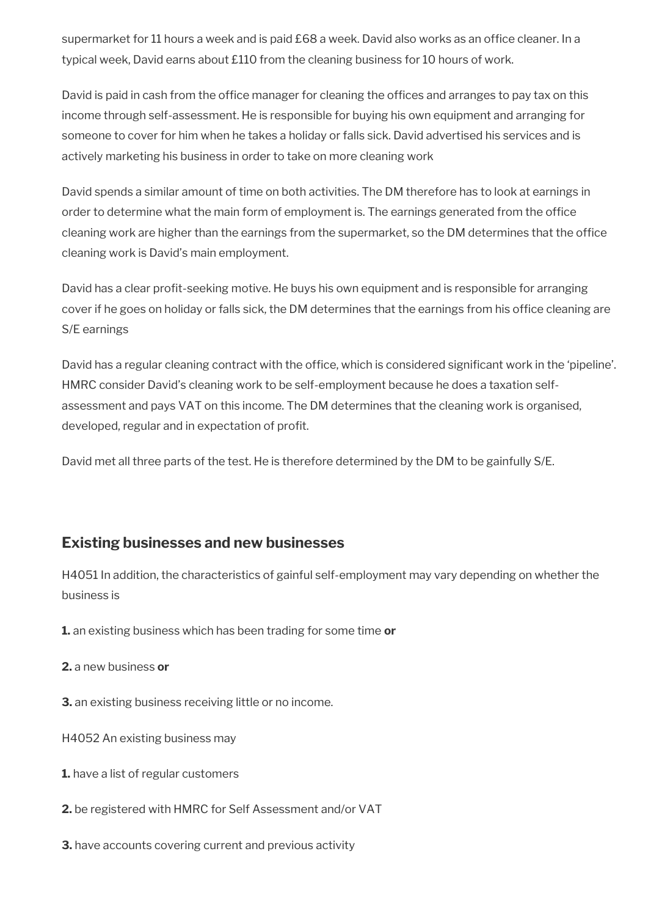supermarket for 11 hours a week and is paid £68 a week. David also works as an office cleaner. In a typical week, David earns about £110 from the cleaning business for 10 hours of work.

David is paid in cash from the office manager for cleaning the offices and arranges to pay tax on this income through self-assessment. He is responsible for buying his own equipment and arranging for someone to cover for him when he takes a holiday or falls sick. David advertised his services and is actively marketing his business in order to take on more cleaning work

David spends a similar amount of time on both activities. The DM therefore has to look at earnings in order to determine what the main form of employment is. The earnings generated from the office cleaning work are higher than the earnings from the supermarket, so the DM determines that the office cleaning work is David's main employment.

David has a clear proft-seeking motive. He buys his own equipment and is responsible for arranging cover if he goes on holiday or falls sick, the DM determines that the earnings from his office cleaning are S/E earnings

David has a regular cleaning contract with the office, which is considered significant work in the 'pipeline'. HMRC consider David's cleaning work to be self-employment because he does a taxation selfassessment and pays VAT on this income. The DM determines that the cleaning work is organised, developed, regular and in expectation of profit.

David met all three parts of the test. He is therefore determined by the DM to be gainfully S/E.

# <span id="page-18-0"></span>**Existing businesses and new businesses**

H4051 In addition, the characteristics of gainful self-employment may vary depending on whether the business is

**1.** an existing business which has been trading for some time **or**

**2.** a new business **or**

**3.** an existing business receiving little or no income.

H4052 An existing business may

- **1.** have a list of regular customers
- **2.** be registered with HMRC for Self Assessment and/or VAT

**3.** have accounts covering current and previous activity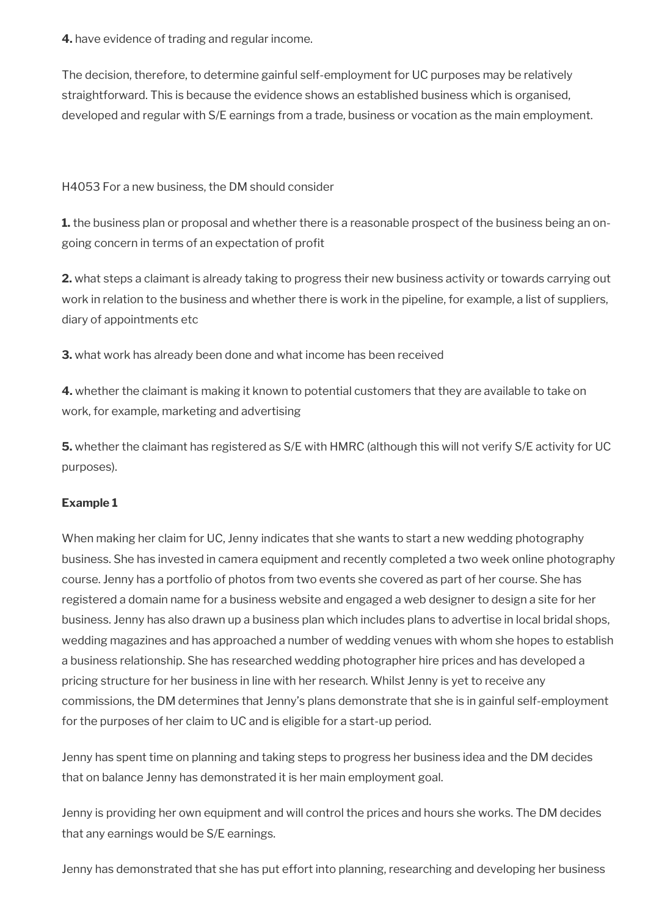**4.** have evidence of trading and regular income.

The decision, therefore, to determine gainful self-employment for UC purposes may be relatively straightforward. This is because the evidence shows an established business which is organised, developed and regular with S/E earnings from a trade, business or vocation as the main employment.

H4053 For a new business, the DM should consider

**1.** the business plan or proposal and whether there is a reasonable prospect of the business being an ongoing concern in terms of an expectation of profit

**2.** what steps a claimant is already taking to progress their new business activity or towards carrying out work in relation to the business and whether there is work in the pipeline, for example, a list of suppliers, diary of appointments etc

**3.** what work has already been done and what income has been received

**4.** whether the claimant is making it known to potential customers that they are available to take on work, for example, marketing and advertising

**5.** whether the claimant has registered as S/E with HMRC (although this will not verify S/E activity for UC purposes).

### **Example 1**

When making her claim for UC, Jenny indicates that she wants to start a new wedding photography business. She has invested in camera equipment and recently completed a two week online photography course. Jenny has a portfolio of photos from two events she covered as part of her course. She has registered a domain name for a business website and engaged a web designer to design a site for her business. Jenny has also drawn up a business plan which includes plans to advertise in local bridal shops, wedding magazines and has approached a number of wedding venues with whom she hopes to establish a business relationship. She has researched wedding photographer hire prices and has developed a pricing structure for her business in line with her research. Whilst Jenny is yet to receive any commissions, the DM determines that Jenny's plans demonstrate that she is in gainful self-employment for the purposes of her claim to UC and is eligible for a start-up period.

Jenny has spent time on planning and taking steps to progress her business idea and the DM decides that on balance Jenny has demonstrated it is her main employment goal.

Jenny is providing her own equipment and will control the prices and hours she works. The DM decides that any earnings would be S/E earnings.

Jenny has demonstrated that she has put effort into planning, researching and developing her business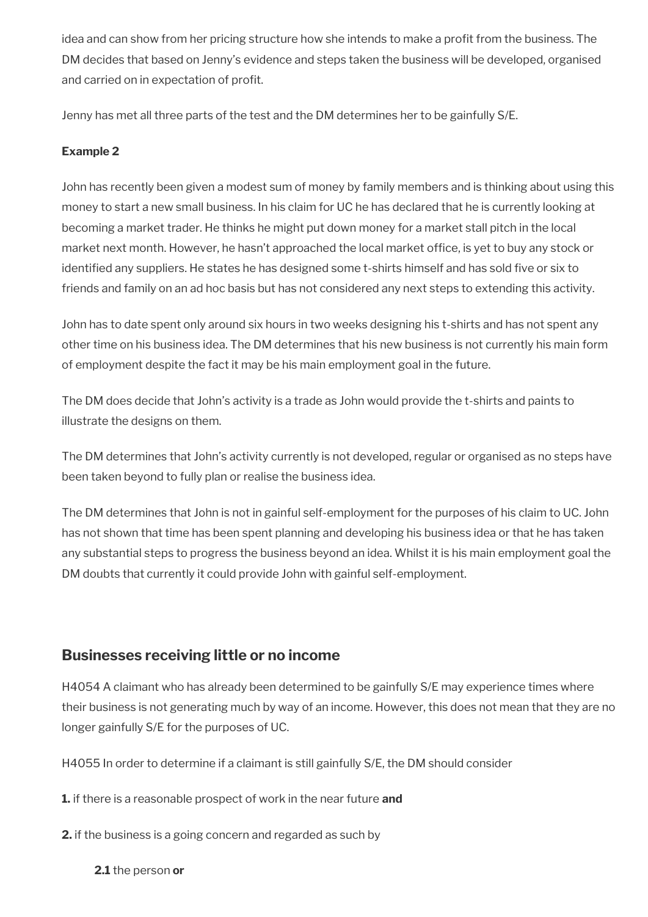idea and can show from her pricing structure how she intends to make a profit from the business. The DM decides that based on Jenny's evidence and steps taken the business will be developed, organised and carried on in expectation of profit.

Jenny has met all three parts of the test and the DM determines her to be gainfully S/E.

## **Example 2**

John has recently been given a modest sum of money by family members and is thinking about using this money to start a new small business. In his claim for UC he has declared that he is currently looking at becoming a market trader. He thinks he might put down money for a market stall pitch in the local market next month. However, he hasn't approached the local market office, is yet to buy any stock or identified any suppliers. He states he has designed some t-shirts himself and has sold five or six to friends and family on an ad hoc basis but has not considered any next steps to extending this activity.

John has to date spent only around six hours in two weeks designing his t-shirts and has not spent any other time on his business idea. The DM determines that his new business is not currently his main form of employment despite the fact it may be his main employment goal in the future.

The DM does decide that John's activity is a trade as John would provide the t-shirts and paints to illustrate the designs on them.

The DM determines that John's activity currently is not developed, regular or organised as no steps have been taken beyond to fully plan or realise the business idea.

The DM determines that John is not in gainful self-employment for the purposes of his claim to UC. John has not shown that time has been spent planning and developing his business idea or that he has taken any substantial steps to progress the business beyond an idea. Whilst it is his main employment goal the DM doubts that currently it could provide John with gainful self-employment.

# <span id="page-20-0"></span>**Businesses receiving little or no income**

H4054 A claimant who has already been determined to be gainfully S/E may experience times where their business is not generating much by way of an income. However, this does not mean that they are no longer gainfully S/E for the purposes of UC.

H4055 In order to determine if a claimant is still gainfully S/E, the DM should consider

**1.** if there is a reasonable prospect of work in the near future **and** 

**2.** if the business is a going concern and regarded as such by

**2.1** the person **or**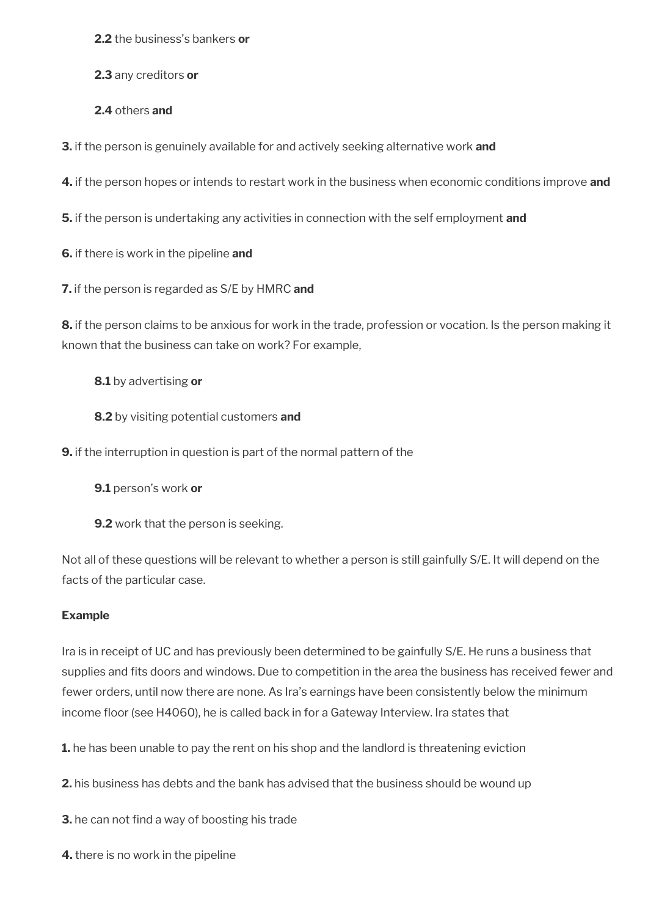**2.2** the business's bankers **or** 

**2.3** any creditors **or** 

**2.4** others **and**

**3.** if the person is genuinely available for and actively seeking alternative work **and** 

**4.** if the person hopes or intends to restart work in the business when economic conditions improve **and** 

**5.** if the person is undertaking any activities in connection with the self employment **and** 

**6.** if there is work in the pipeline **and** 

**7.** if the person is regarded as S/E by HMRC **and** 

**8.** if the person claims to be anxious for work in the trade, profession or vocation. Is the person making it known that the business can take on work? For example,

#### **8.1** by advertising **or**

**8.2** by visiting potential customers **and** 

**9.** if the interruption in question is part of the normal pattern of the

**9.1** person's work **or** 

**9.2** work that the person is seeking.

Not all of these questions will be relevant to whether a person is still gainfully S/E. It will depend on the facts of the particular case.

#### **Example**

Ira is in receipt of UC and has previously been determined to be gainfully S/E. He runs a business that supplies and fits doors and windows. Due to competition in the area the business has received fewer and fewer orders, until now there are none. As Ira's earnings have been consistently below the minimum income floor (see H4060), he is called back in for a Gateway Interview. Ira states that

**1.** he has been unable to pay the rent on his shop and the landlord is threatening eviction

**2.** his business has debts and the bank has advised that the business should be wound up

**3.** he can not find a way of boosting his trade

**4.** there is no work in the pipeline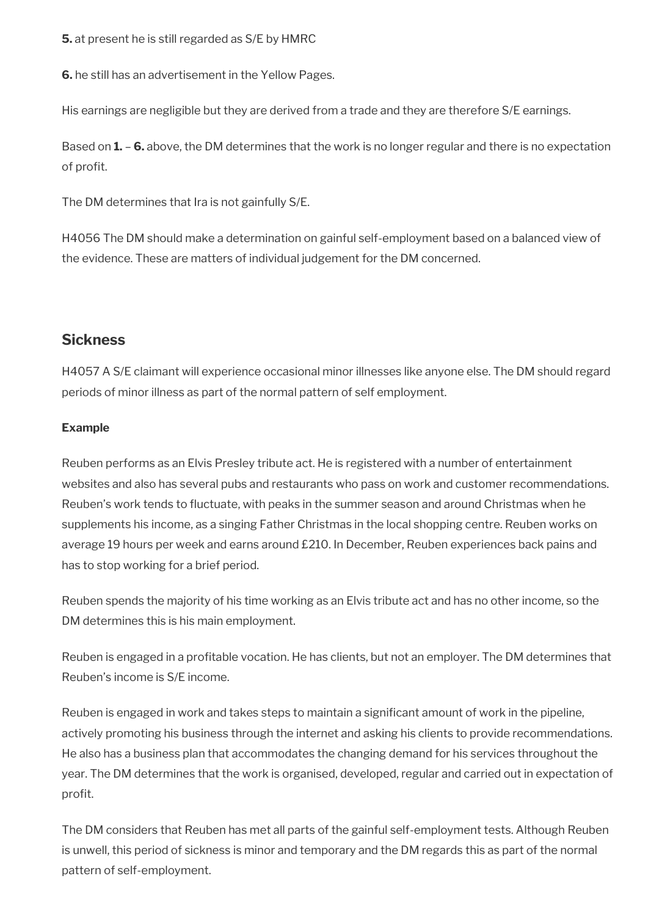**5.** at present he is still regarded as S/E by HMRC

**6.** he still has an advertisement in the Yellow Pages.

His earnings are negligible but they are derived from a trade and they are therefore S/E earnings.

Based on **1.** – **6.** above, the DM determines that the work is no longer regular and there is no expectation of profit.

The DM determines that Ira is not gainfully S/E.

H4056 The DM should make a determination on gainful self-employment based on a balanced view of the evidence. These are matters of individual judgement for the DM concerned.

# <span id="page-22-0"></span>**Sickness**

H4057 A S/E claimant will experience occasional minor illnesses like anyone else. The DM should regard periods of minor illness as part of the normal pattern of self employment.

## **Example**

Reuben performs as an Elvis Presley tribute act. He is registered with a number of entertainment websites and also has several pubs and restaurants who pass on work and customer recommendations. Reuben's work tends to fuctuate, with peaks in the summer season and around Christmas when he supplements his income, as a singing Father Christmas in the local shopping centre. Reuben works on average 19 hours per week and earns around £210. In December, Reuben experiences back pains and has to stop working for a brief period.

Reuben spends the majority of his time working as an Elvis tribute act and has no other income, so the DM determines this is his main employment.

Reuben is engaged in a profitable vocation. He has clients, but not an employer. The DM determines that Reuben's income is S/E income.

Reuben is engaged in work and takes steps to maintain a significant amount of work in the pipeline, actively promoting his business through the internet and asking his clients to provide recommendations. He also has a business plan that accommodates the changing demand for his services throughout the year. The DM determines that the work is organised, developed, regular and carried out in expectation of profit.

The DM considers that Reuben has met all parts of the gainful self-employment tests. Although Reuben is unwell, this period of sickness is minor and temporary and the DM regards this as part of the normal pattern of self-employment.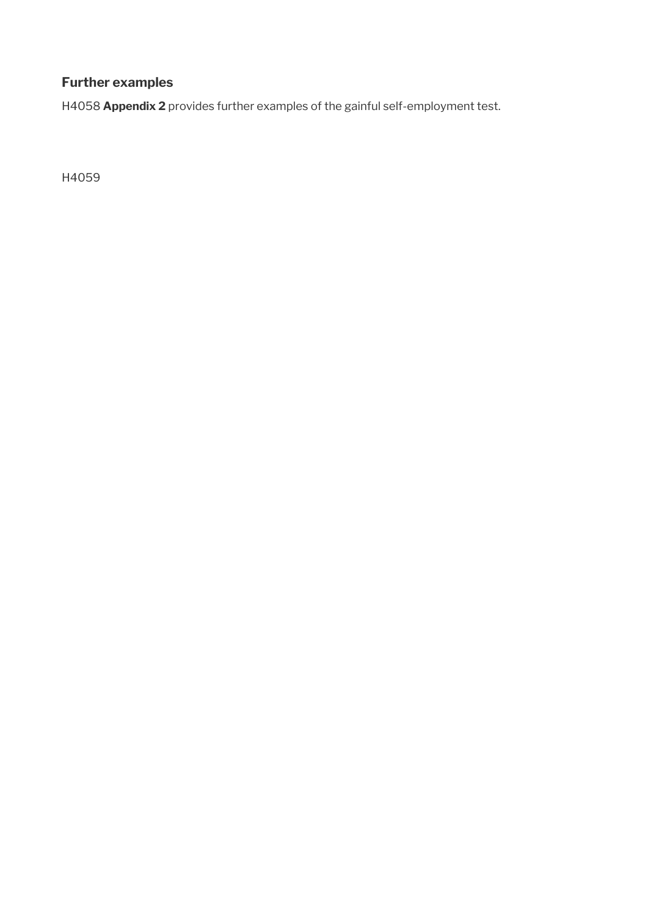# **Further examples**

H4058 **Appendix 2** provides further examples of the gainful self-employment test.

H4059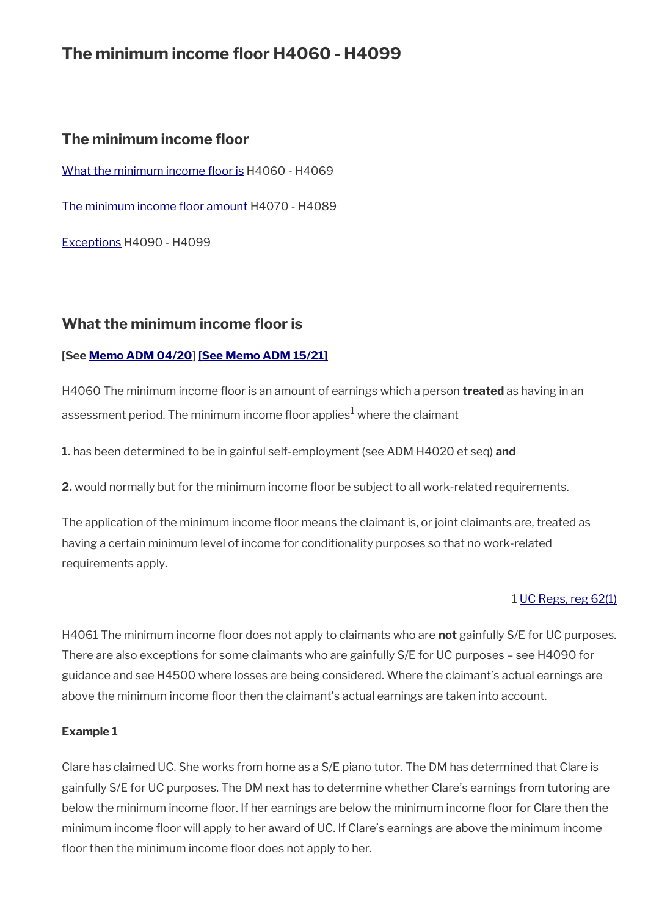# **The minimum income floor H4060 - H4099**

# **The minimum income floor**

[What the minimum](#page-24-0) income floor is H4060 - H4069

The minimum income floor amount H4070 - H4089

[Exceptions](#page-28-0) H4090 - H4099

# <span id="page-24-0"></span>**What the minimum income floor is**

### **[See [Memo ADM 04/20\]](http://intranet.dwp.gov.uk/manual/advice-decision-making-adm/0420-jsa-and-uc-coronavirus-further-measures) [\[See Memo ADM 15/21\]](https://intranet.dwp.gov.uk/manual/advice-decision-making-adm/15-21-universal-credit-coronavirus-restoration-minimum-income-floor-regulations-2021)**

H4060 The minimum income floor is an amount of earnings which a person **treated** as having in an assessment period. The minimum income floor applies $^{\rm 1}$  where the claimant

**1.** has been determined to be in gainful self-employment (see ADM H4020 et seq) **and**

**2.** would normally but for the minimum income floor be subject to all work-related requirements.

The application of the minimum income floor means the claimant is, or joint claimants are, treated as having a certain minimum level of income for conditionality purposes so that no work-related requirements apply.

### 1 [UC Regs, reg 62\(1\)](https://www.legislation.gov.uk/uksi/2013/376/regulation/62)

H4061 The minimum income floor does not apply to claimants who are **not** gainfully S/E for UC purposes. There are also exceptions for some claimants who are gainfully S/E for UC purposes – see H4090 for guidance and see H4500 where losses are being considered. Where the claimant's actual earnings are above the minimum income floor then the claimant's actual earnings are taken into account.

#### **Example 1**

Clare has claimed UC. She works from home as a S/E piano tutor. The DM has determined that Clare is gainfully S/E for UC purposes. The DM next has to determine whether Clare's earnings from tutoring are below the minimum income floor. If her earnings are below the minimum income floor for Clare then the minimum income foor will apply to her award of UC. If Clare's earnings are above the minimum income floor then the minimum income floor does not apply to her.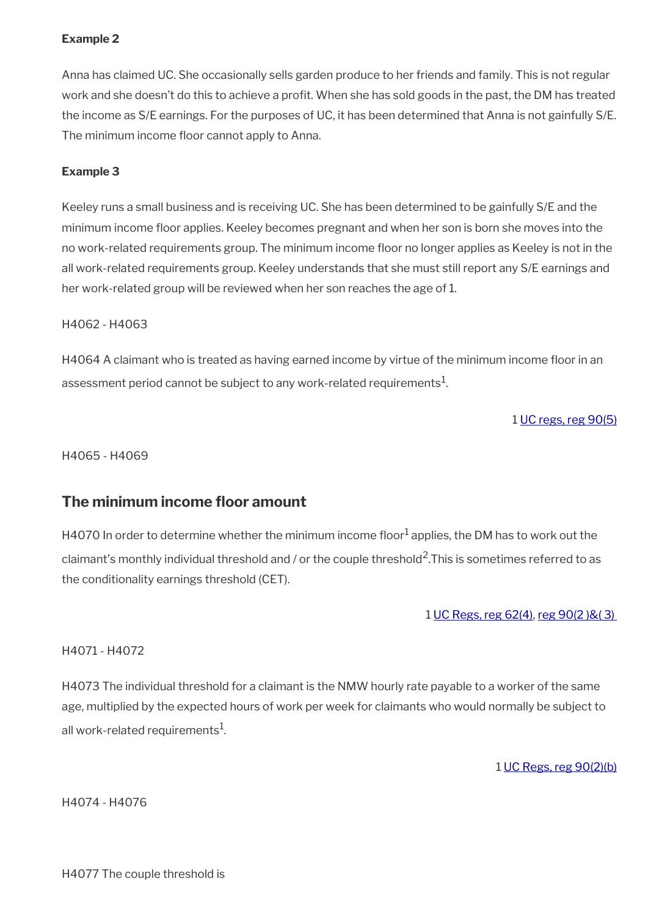## **Example 2**

Anna has claimed UC. She occasionally sells garden produce to her friends and family. This is not regular work and she doesn't do this to achieve a profit. When she has sold goods in the past, the DM has treated the income as S/E earnings. For the purposes of UC, it has been determined that Anna is not gainfully S/E. The minimum income floor cannot apply to Anna.

### **Example 3**

Keeley runs a small business and is receiving UC. She has been determined to be gainfully S/E and the minimum income floor applies. Keeley becomes pregnant and when her son is born she moves into the no work-related requirements group. The minimum income floor no longer applies as Keeley is not in the all work-related requirements group. Keeley understands that she must still report any S/E earnings and her work-related group will be reviewed when her son reaches the age of 1.

#### H4062 - H4063

H4064 A claimant who is treated as having earned income by virtue of the minimum income floor in an assessment period cannot be subject to any work-related requirements $^{\mathrm{1}}$ .

1 [UC regs, reg 90\(5\)](https://www.legislation.gov.uk/uksi/2013/376/regulation/90)

H4065 - H4069

# <span id="page-25-0"></span>**The minimum income floor amount**

H4070 In order to determine whether the minimum income floor $^1$  applies, the DM has to work out the claimant's monthly individual threshold and / or the couple threshold<sup>2</sup>. This is sometimes referred to as the conditionality earnings threshold (CET).

1 [UC Regs, reg 62\(4\),](https://www.legislation.gov.uk/uksi/2013/376/regulation/62) [reg 90\(2 \)&\( 3\)](https://www.legislation.gov.uk/uksi/2013/376/regulation/90) 

### H4071 - H4072

H4073 The individual threshold for a claimant is the NMW hourly rate payable to a worker of the same age, multiplied by the expected hours of work per week for claimants who would normally be subject to all work-related requirements $^{\rm 1}$ .

1 [UC Regs, reg 90\(2\)\(b\)](https://www.legislation.gov.uk/uksi/2013/376/regulation/90)

H4074 - H4076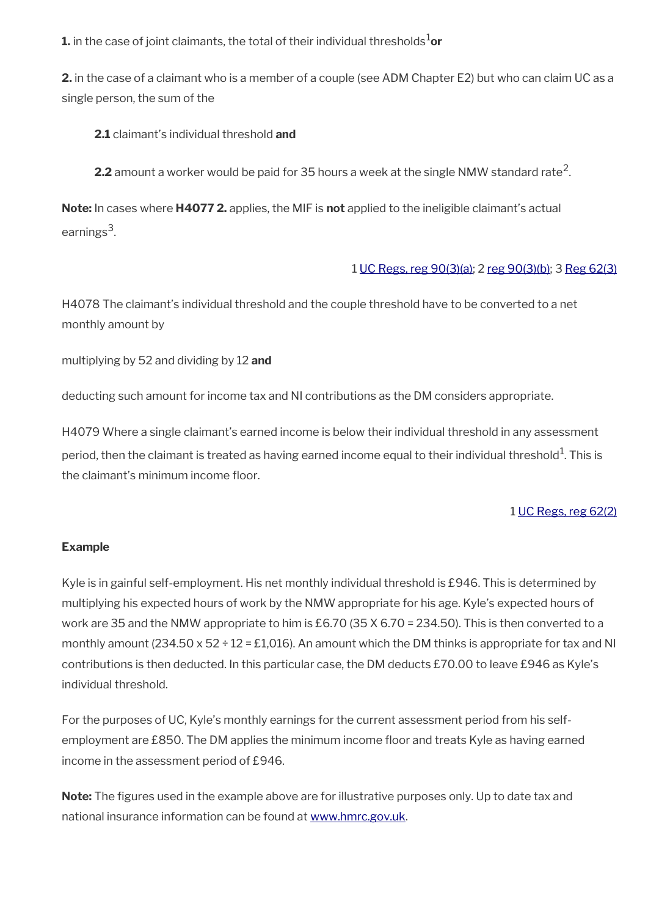**1.** in the case of joint claimants, the total of their individual thresholds<sup>1</sup>or

**2.** in the case of a claimant who is a member of a couple (see ADM Chapter E2) but who can claim UC as a single person, the sum of the

**2.1** claimant's individual threshold **and**

**2.2** amount a worker would be paid for 35 hours a week at the single NMW standard rate<sup>2</sup>.

**Note:** In cases where **H4077 2.** applies, the MIF is **not** applied to the ineligible claimant's actual earnings<sup>3</sup>.

### 1 [UC Regs, reg 90\(3\)\(a\)](https://www.legislation.gov.uk/uksi/2013/376/regulation/90); 2 [reg 90\(3\)\(b\)](https://www.legislation.gov.uk/uksi/2013/376/regulation/90); 3 [Reg 62\(3\)](https://www.legislation.gov.uk/uksi/2013/376/regulation/62)

H4078 The claimant's individual threshold and the couple threshold have to be converted to a net monthly amount by

multiplying by 52 and dividing by 12 **and**

deducting such amount for income tax and NI contributions as the DM considers appropriate.

H4079 Where a single claimant's earned income is below their individual threshold in any assessment period, then the claimant is treated as having earned income equal to their individual threshold $^{\rm 1}$ . This is the claimant's minimum income floor.

### 1 [UC Regs, reg 62\(2\)](https://www.legislation.gov.uk/uksi/2013/376/regulation/62)

### **Example**

Kyle is in gainful self-employment. His net monthly individual threshold is £946. This is determined by multiplying his expected hours of work by the NMW appropriate for his age. Kyle's expected hours of work are 35 and the NMW appropriate to him is £6.70 (35 X 6.70 = 234.50). This is then converted to a monthly amount  $(234.50 \times 52 \div 12 = \text{\pounds}1,016)$ . An amount which the DM thinks is appropriate for tax and NI contributions is then deducted. In this particular case, the DM deducts £70.00 to leave £946 as Kyle's individual threshold.

For the purposes of UC, Kyle's monthly earnings for the current assessment period from his selfemployment are £850. The DM applies the minimum income floor and treats Kyle as having earned income in the assessment period of £946.

**Note:** The figures used in the example above are for illustrative purposes only. Up to date tax and national insurance information can be found at [www.hmrc.gov.uk.](http://www.hmrc.gov.uk/)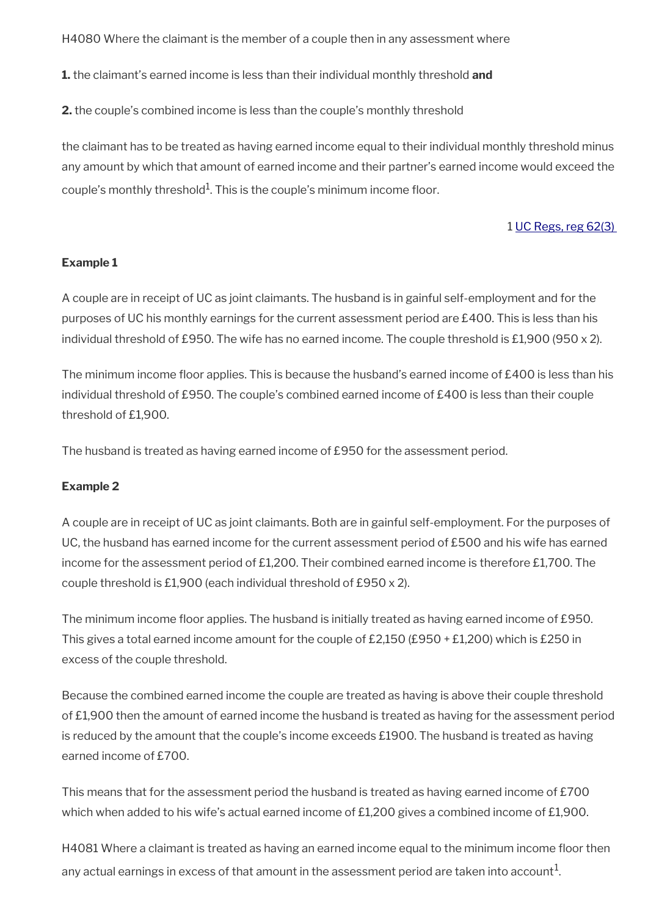H4080 Where the claimant is the member of a couple then in any assessment where

**1.** the claimant's earned income is less than their individual monthly threshold **and**

**2.** the couple's combined income is less than the couple's monthly threshold

the claimant has to be treated as having earned income equal to their individual monthly threshold minus any amount by which that amount of earned income and their partner's earned income would exceed the couple's monthly threshold $^1$ . This is the couple's minimum income floor.

#### 1 [UC Regs, reg 62\(3\)](https://www.legislation.gov.uk/uksi/2013/376/regulation/62)

#### **Example 1**

A couple are in receipt of UC as joint claimants. The husband is in gainful self-employment and for the purposes of UC his monthly earnings for the current assessment period are £400. This is less than his individual threshold of £950. The wife has no earned income. The couple threshold is £1,900 (950 x 2).

The minimum income floor applies. This is because the husband's earned income of  $£400$  is less than his individual threshold of £950. The couple's combined earned income of £400 is less than their couple threshold of £1,900.

The husband is treated as having earned income of £950 for the assessment period.

#### **Example 2**

A couple are in receipt of UC as joint claimants. Both are in gainful self-employment. For the purposes of UC, the husband has earned income for the current assessment period of £500 and his wife has earned income for the assessment period of £1,200. Their combined earned income is therefore £1,700. The couple threshold is £1,900 (each individual threshold of £950 x 2).

The minimum income floor applies. The husband is initially treated as having earned income of £950. This gives a total earned income amount for the couple of £2,150 (£950 + £1,200) which is £250 in excess of the couple threshold.

Because the combined earned income the couple are treated as having is above their couple threshold of £1,900 then the amount of earned income the husband is treated as having for the assessment period is reduced by the amount that the couple's income exceeds £1900. The husband is treated as having earned income of £700.

This means that for the assessment period the husband is treated as having earned income of £700 which when added to his wife's actual earned income of £1,200 gives a combined income of £1,900.

H4081 Where a claimant is treated as having an earned income equal to the minimum income foor then any actual earnings in excess of that amount in the assessment period are taken into account $^1\!$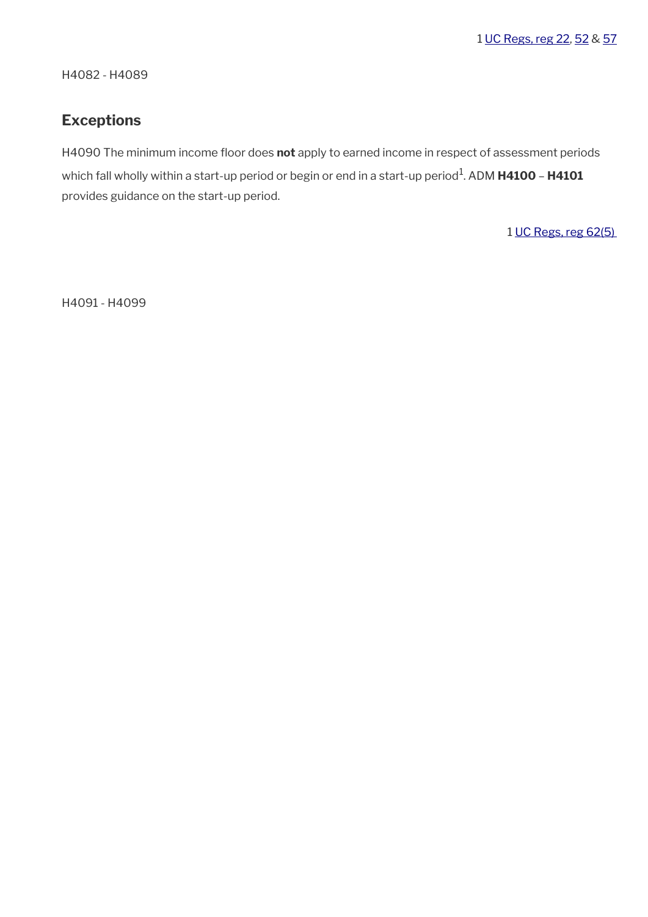H4082 - H4089

# <span id="page-28-0"></span>**Exceptions**

H4090 The minimum income floor does not apply to earned income in respect of assessment periods which fall wholly within a start-up period or begin or end in a start-up period<sup>1</sup>. ADM **H4100 - H4101** provides guidance on the start-up period.

1 [UC Regs, reg 62\(5\)](https://www.legislation.gov.uk/uksi/2013/376/regulation/62) 

H4091 - H4099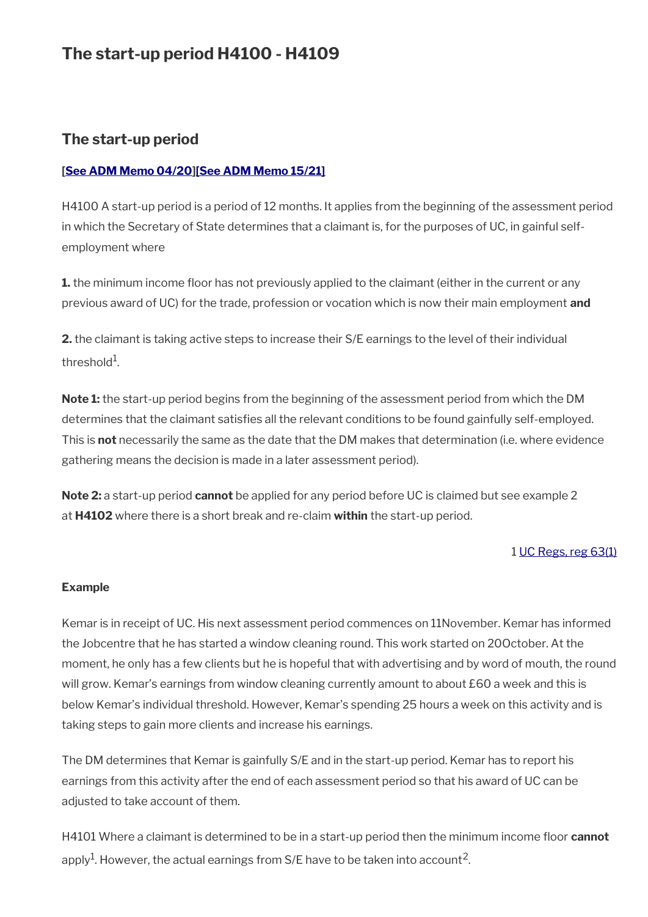# **The start-up period H4100 - H4109**

# **The start-up period**

## **[\[See ADM Memo 04/20\]](http://intranet.dwp.gov.uk/manual/advice-decision-making-adm/0420-jsa-and-uc-coronavirus-further-measures)[\[See ADM Memo 15/21\]](https://intranet.dwp.gov.uk/manual/advice-decision-making-adm/15-21-universal-credit-coronavirus-restoration-minimum-income-floor-regulations-2021)**

H4100 A start-up period is a period of 12 months. It applies from the beginning of the assessment period in which the Secretary of State determines that a claimant is, for the purposes of UC, in gainful selfemployment where

**1.** the minimum income floor has not previously applied to the claimant (either in the current or any previous award of UC) for the trade, profession or vocation which is now their main employment **and**

**2.** the claimant is taking active steps to increase their S/E earnings to the level of their individual threshold $^1$ .

**Note 1:** the start-up period begins from the beginning of the assessment period from which the DM determines that the claimant satisfies all the relevant conditions to be found gainfully self-employed. This is **not** necessarily the same as the date that the DM makes that determination (i.e. where evidence gathering means the decision is made in a later assessment period).

**Note 2:** a start-up period **cannot** be applied for any period before UC is claimed but see example 2 at **H4102** where there is a short break and re-claim **within** the start-up period.

### 1 [UC Regs, reg 63\(1\)](https://www.legislation.gov.uk/uksi/2013/376/regulation/63)

#### **Example**

Kemar is in receipt of UC. His next assessment period commences on 11November. Kemar has informed the Jobcentre that he has started a window cleaning round. This work started on 20October. At the moment, he only has a few clients but he is hopeful that with advertising and by word of mouth, the round will grow. Kemar's earnings from window cleaning currently amount to about £60 a week and this is below Kemar's individual threshold. However, Kemar's spending 25 hours a week on this activity and is taking steps to gain more clients and increase his earnings.

The DM determines that Kemar is gainfully S/E and in the start-up period. Kemar has to report his earnings from this activity after the end of each assessment period so that his award of UC can be adjusted to take account of them.

H4101 Where a claimant is determined to be in a start-up period then the minimum income foor **cannot** apply $^{\rm 1}$ . However, the actual earnings from S/E have to be taken into account $^{\rm 2}$ .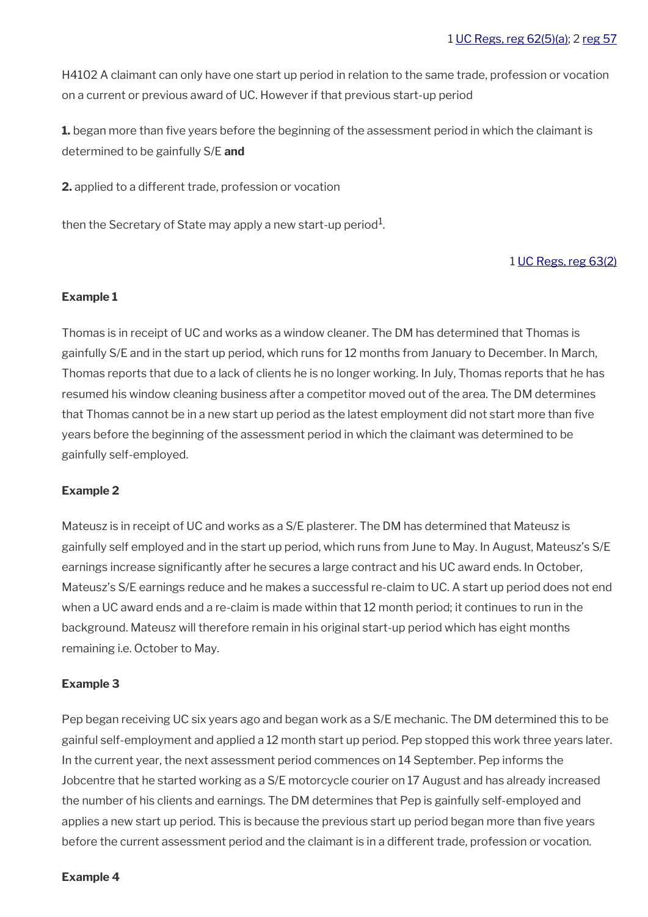H4102 A claimant can only have one start up period in relation to the same trade, profession or vocation on a current or previous award of UC. However if that previous start-up period

**1.** began more than five years before the beginning of the assessment period in which the claimant is determined to be gainfully S/E **and**

**2.** applied to a different trade, profession or vocation

then the Secretary of State may apply a new start-up period $^1$ .

#### 1 [UC Regs, reg 63\(2\)](https://www.legislation.gov.uk/uksi/2013/376/regulation/63)

#### **Example 1**

Thomas is in receipt of UC and works as a window cleaner. The DM has determined that Thomas is gainfully S/E and in the start up period, which runs for 12 months from January to December. In March, Thomas reports that due to a lack of clients he is no longer working. In July, Thomas reports that he has resumed his window cleaning business after a competitor moved out of the area. The DM determines that Thomas cannot be in a new start up period as the latest employment did not start more than five years before the beginning of the assessment period in which the claimant was determined to be gainfully self-employed.

#### **Example 2**

Mateusz is in receipt of UC and works as a S/E plasterer. The DM has determined that Mateusz is gainfully self employed and in the start up period, which runs from June to May. In August, Mateusz's S/E earnings increase significantly after he secures a large contract and his UC award ends. In October, Mateusz's S/E earnings reduce and he makes a successful re-claim to UC. A start up period does not end when a UC award ends and a re-claim is made within that 12 month period; it continues to run in the background. Mateusz will therefore remain in his original start-up period which has eight months remaining i.e. October to May.

#### **Example 3**

Pep began receiving UC six years ago and began work as a S/E mechanic. The DM determined this to be gainful self-employment and applied a 12 month start up period. Pep stopped this work three years later. In the current year, the next assessment period commences on 14 September. Pep informs the Jobcentre that he started working as a S/E motorcycle courier on 17 August and has already increased the number of his clients and earnings. The DM determines that Pep is gainfully self-employed and applies a new start up period. This is because the previous start up period began more than fve years before the current assessment period and the claimant is in a different trade, profession or vocation.

#### **Example 4**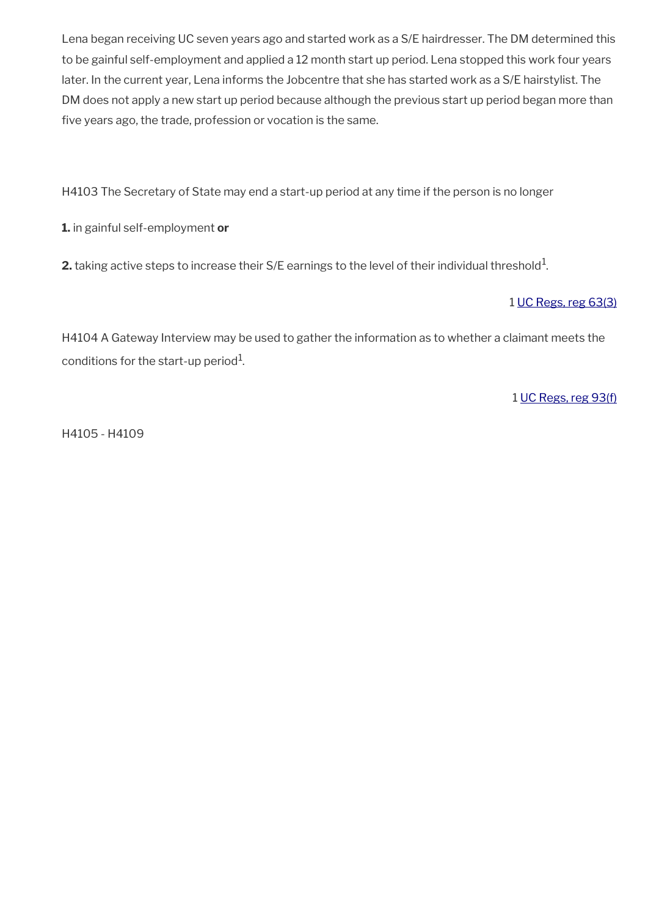Lena began receiving UC seven years ago and started work as a S/E hairdresser. The DM determined this to be gainful self-employment and applied a 12 month start up period. Lena stopped this work four years later. In the current year, Lena informs the Jobcentre that she has started work as a S/E hairstylist. The DM does not apply a new start up period because although the previous start up period began more than five years ago, the trade, profession or vocation is the same.

H4103 The Secretary of State may end a start-up period at any time if the person is no longer

**1.** in gainful self-employment **or**

**2.** taking active steps to increase their S/E earnings to the level of their individual threshold $^1$ .

## 1 [UC Regs, reg 63\(3\)](https://www.legislation.gov.uk/uksi/2013/376/regulation/63)

H4104 A Gateway Interview may be used to gather the information as to whether a claimant meets the conditions for the start-up period $^{\rm 1}$ .

1 [UC Regs, reg 93\(f\)](https://www.legislation.gov.uk/uksi/2013/376/regulation/93)

H4105 - H4109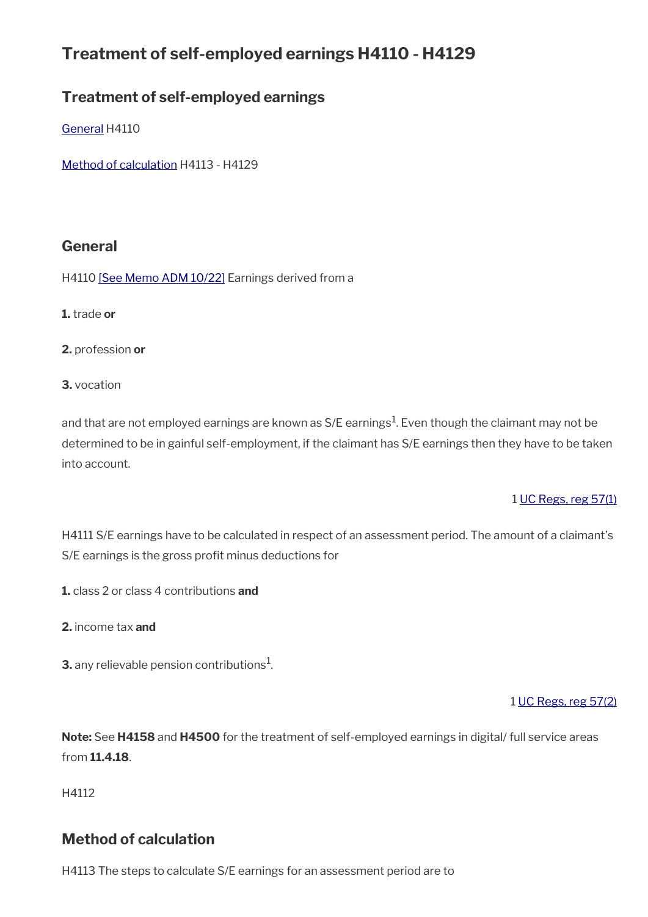# **Treatment of self-employed earnings H4110 - H4129**

# **Treatment of self-employed earnings**

[General](#page-32-1) H4110

[Method of calculation](#page-32-0) H4113 - H4129

# <span id="page-32-1"></span>**General**

H4110 [\[See Memo ADM 10/22\]](https://intranet.dwp.gov.uk/manual/advice-decision-making-adm/10-22-rates-income-tax-uc-benefit-rates-and-social-security-contributions-april-2022) Earnings derived from a

**1.** trade **or**

**2.** profession **or**

**3.** vocation

and that are not employed earnings are known as S/E earnings $^1$ . Even though the claimant may not be determined to be in gainful self-employment, if the claimant has S/E earnings then they have to be taken into account.

# 1 [UC Regs, reg 57\(1\)](https://www.legislation.gov.uk/uksi/2013/376/regulation/57)

H4111 S/E earnings have to be calculated in respect of an assessment period. The amount of a claimant's S/E earnings is the gross profit minus deductions for

**1.** class 2 or class 4 contributions **and**

**2.** income tax **and**

**3.** any relievable pension contributions $^1$ .

1 [UC Regs, reg 57\(2\)](https://www.legislation.gov.uk/uksi/2013/376/regulation/57)

**Note:** See **H4158** and **H4500** for the treatment of self-employed earnings in digital/ full service areas from **11.4.18**.

H4112

# <span id="page-32-0"></span>**Method of calculation**

H4113 The steps to calculate S/E earnings for an assessment period are to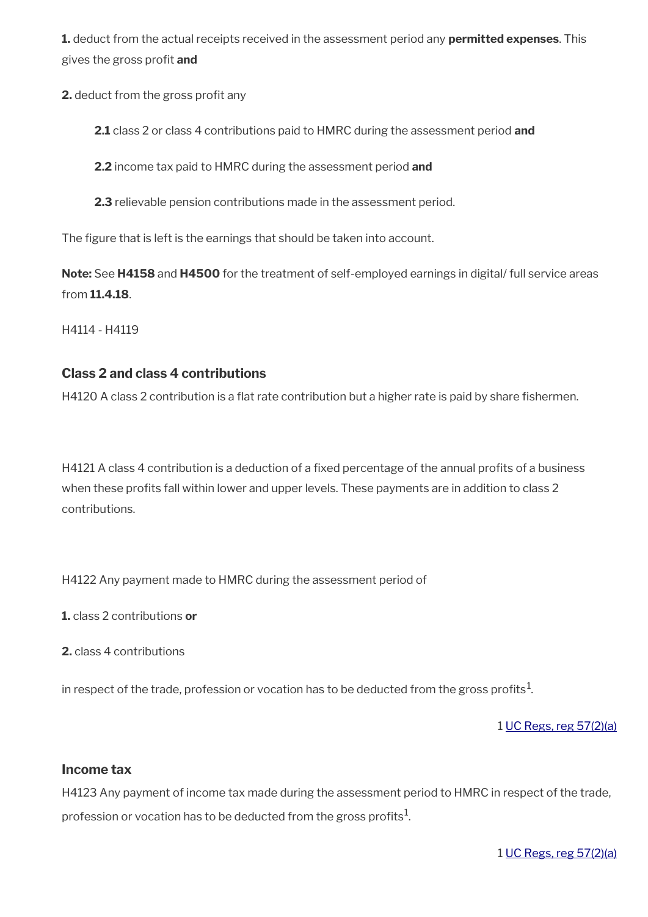**1.** deduct from the actual receipts received in the assessment period any **permitted expenses**. This gives the gross proft **and**

**2.** deduct from the gross profit any

**2.1** class 2 or class 4 contributions paid to HMRC during the assessment period **and**

**2.2** income tax paid to HMRC during the assessment period **and**

**2.3** relievable pension contributions made in the assessment period.

The figure that is left is the earnings that should be taken into account.

**Note:** See **H4158** and **H4500** for the treatment of self-employed earnings in digital/ full service areas from **11.4.18**.

H4114 - H4119

# **Class 2 and class 4 contributions**

H4120 A class 2 contribution is a flat rate contribution but a higher rate is paid by share fishermen.

H4121 A class 4 contribution is a deduction of a fixed percentage of the annual profits of a business when these profits fall within lower and upper levels. These payments are in addition to class 2 contributions.

H4122 Any payment made to HMRC during the assessment period of

**1.** class 2 contributions **or**

**2.** class 4 contributions

in respect of the trade, profession or vocation has to be deducted from the gross profits $^1\!$ 

1 [UC Regs, reg 57\(2\)\(a\)](https://www.legislation.gov.uk/uksi/2013/376/regulation/57)

### **Income tax**

H4123 Any payment of income tax made during the assessment period to HMRC in respect of the trade, profession or vocation has to be deducted from the gross profits $^1\!\!$ 

1 [UC Regs, reg 57\(2\)\(a\)](https://www.legislation.gov.uk/uksi/2013/376/regulation/57)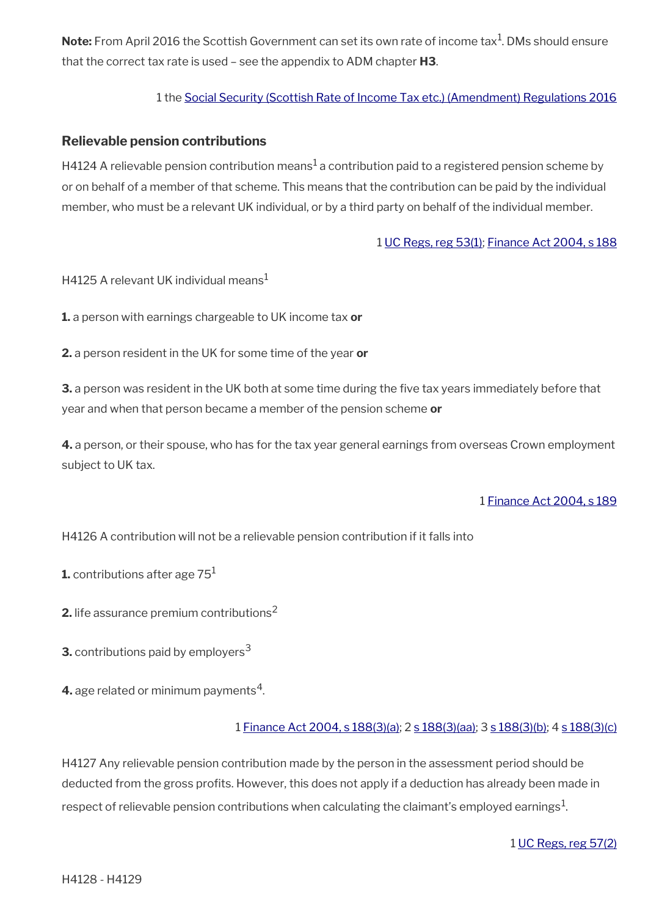$\mathsf{Note:}$  From April 2016 the Scottish Government can set its own rate of income tax $^1$ . DMs should ensure that the correct tax rate is used – see the appendix to ADM chapter **H3**.

## 1 the [Social Security \(Scottish Rate of Income Tax etc.\) \(Amendment\) Regulations 2016](https://www.legislation.gov.uk/uksi/2016/233/contents/made)

## **Relievable pension contributions**

H4124 A relievable pension contribution means $^1$  a contribution paid to a registered pension scheme by or on behalf of a member of that scheme. This means that the contribution can be paid by the individual member, who must be a relevant UK individual, or by a third party on behalf of the individual member.

### 1 [UC Regs, reg 53\(1\)](https://www.legislation.gov.uk/uksi/2013/376/regulation/53); [Finance Act 2004, s 188](https://www.legislation.gov.uk/ukpga/2004/12/section/188)

H4125 A relevant UK individual means<sup>1</sup>

**1.** a person with earnings chargeable to UK income tax **or**

**2.** a person resident in the UK for some time of the year **or**

**3.** a person was resident in the UK both at some time during the five tax years immediately before that year and when that person became a member of the pension scheme **or**

**4.** a person, or their spouse, who has for the tax year general earnings from overseas Crown employment subject to UK tax.

#### 1 [Finance Act 2004, s 189](https://www.legislation.gov.uk/ukpga/2004/12/section/189)

H4126 A contribution will not be a relievable pension contribution if it falls into

**1.** contributions after age 75<sup>1</sup>

**2.** life assurance premium contributions<sup>2</sup>

**3.** contributions paid by employers<sup>3</sup>

**4.** age related or minimum payments $^4$ .

### 1 [Finance Act 2004, s 188\(3\)\(a\)](https://www.legislation.gov.uk/ukpga/2004/12/section/188); 2 [s 188\(3\)\(aa\)](https://www.legislation.gov.uk/ukpga/2004/12/section/188); 3 [s 188\(3\)\(b\)](https://www.legislation.gov.uk/ukpga/2004/12/section/188); 4 [s 188\(3\)\(c\)](https://www.legislation.gov.uk/ukpga/2004/12/section/188)

H4127 Any relievable pension contribution made by the person in the assessment period should be deducted from the gross profts. However, this does not apply if a deduction has already been made in respect of relievable pension contributions when calculating the claimant's employed earnings $^1$ .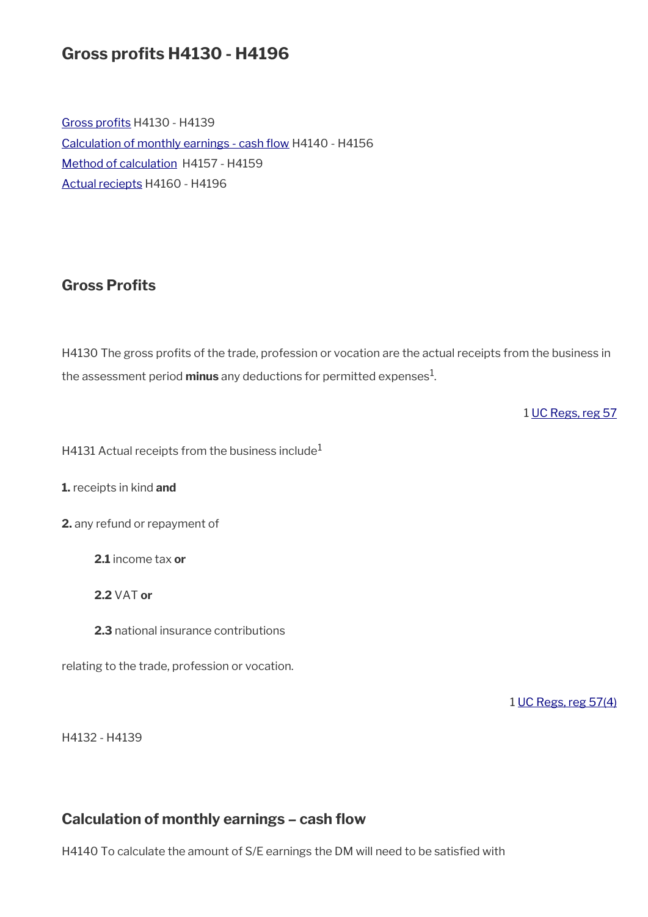# **Gross profts H4130 - H4196**

Gross profits H4130 - H4139 Calculation of monthly earnings - cash flow H4140 - H4156 [Method of calculation](#page-32-0) H4157 - H4159 [Actual reciepts](#page-38-0) H4160 - H4196

# <span id="page-35-1"></span>**Gross Profits**

H4130 The gross profits of the trade, profession or vocation are the actual receipts from the business in the assessment period **minus** any deductions for permitted expenses<sup>1</sup>.

1 [UC Regs, reg 57](https://www.legislation.gov.uk/uksi/2013/376/regulation/57)

H4131 Actual receipts from the business include<sup>1</sup>

**1.** receipts in kind **and**

**2.** any refund or repayment of

**2.1** income tax **or**

**2.2** VAT **or**

**2.3** national insurance contributions

relating to the trade, profession or vocation.

1 [UC Regs, reg 57\(4\)](https://www.legislation.gov.uk/uksi/2013/376/regulation/57)

H4132 - H4139

# <span id="page-35-0"></span>**Calculation of monthly earnings – cash fow**

H4140 To calculate the amount of S/E earnings the DM will need to be satisfed with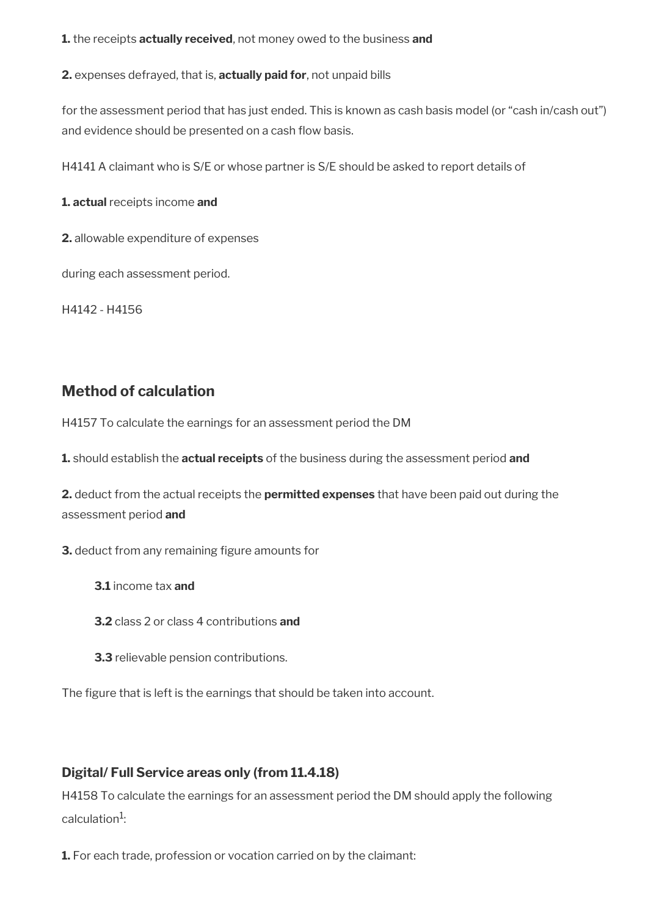**1.** the receipts **actually received**, not money owed to the business **and** 

**2.** expenses defrayed, that is, **actually paid for**, not unpaid bills

for the assessment period that has just ended. This is known as cash basis model (or "cash in/cash out") and evidence should be presented on a cash flow basis.

H4141 A claimant who is S/E or whose partner is S/E should be asked to report details of

**1. actual** receipts income **and** 

**2.** allowable expenditure of expenses

during each assessment period.

H4142 - H4156

# **Method of calculation**

H4157 To calculate the earnings for an assessment period the DM

**1.** should establish the **actual receipts** of the business during the assessment period **and** 

**2.** deduct from the actual receipts the **permitted expenses** that have been paid out during the assessment period **and** 

**3.** deduct from any remaining figure amounts for

- **3.1** income tax **and**
- **3.2** class 2 or class 4 contributions **and**
- **3.3** relievable pension contributions.

The figure that is left is the earnings that should be taken into account.

# **Digital/ Full Service areas only (from 11.4.18)**

H4158 To calculate the earnings for an assessment period the DM should apply the following calculation<sup>1</sup>:

**1.** For each trade, profession or vocation carried on by the claimant: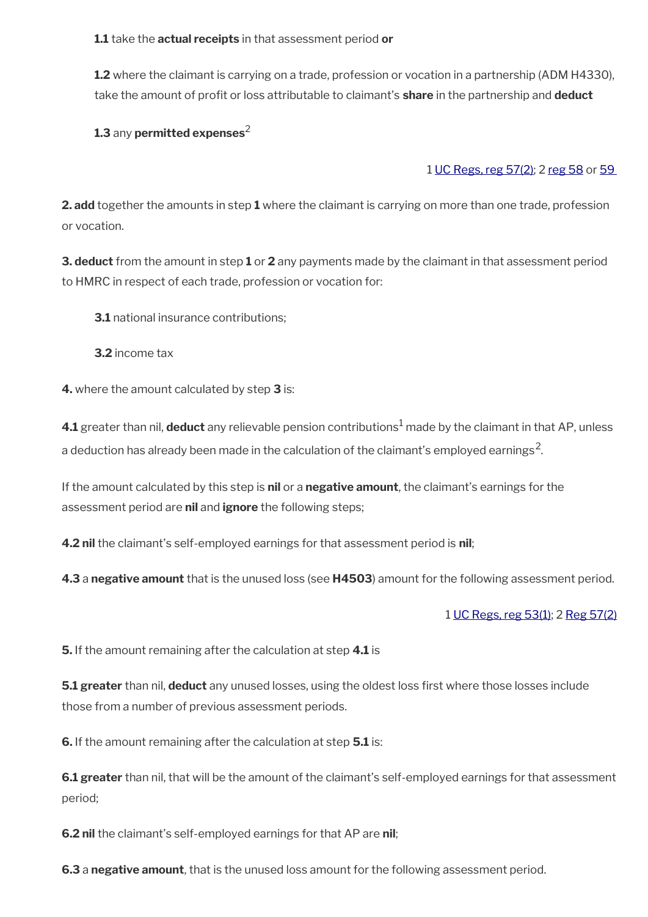**1.1** take the **actual receipts** in that assessment period **or**

**1.2** where the claimant is carrying on a trade, profession or vocation in a partnership (ADM H4330), take the amount of proft or loss attributable to claimant's **share** in the partnership and **deduct**

# **1.3 any permitted expenses<sup>2</sup>**

# 1 [UC Regs, reg 57\(2\)](https://www.legislation.gov.uk/uksi/2013/376/regulation/57); 2 [reg 58](https://www.legislation.gov.uk/uksi/2013/376/regulation/58) or [59](https://www.legislation.gov.uk/uksi/2013/376/regulation/59)

**2. add** together the amounts in step **1** where the claimant is carrying on more than one trade, profession or vocation.

**3. deduct** from the amount in step **1** or **2** any payments made by the claimant in that assessment period to HMRC in respect of each trade, profession or vocation for:

**3.1** national insurance contributions:

**3.2** income tax

**4.** where the amount calculated by step **3** is:

**4.1** greater than nil,  $\,$  deduct any relievable pension contributions $^1$  made by the claimant in that AP, unless a deduction has already been made in the calculation of the claimant's employed earnings<sup>2</sup>.

If the amount calculated by this step is **nil** or a **negative amount**, the claimant's earnings for the assessment period are **nil** and **ignore** the following steps;

**4.2 nil** the claimant's self-employed earnings for that assessment period is **nil**;

**4.3** a **negative amount** that is the unused loss (see **H4503**) amount for the following assessment period.

### 1 [UC Regs, reg 53\(1\)](https://www.legislation.gov.uk/uksi/2013/376/regulation/53); 2 [Reg 57\(2\)](https://www.legislation.gov.uk/uksi/2013/376/regulation/57)

**5.** If the amount remaining after the calculation at step **4.1** is

**5.1 greater** than nil, **deduct** any unused losses, using the oldest loss first where those losses include those from a number of previous assessment periods.

**6.** If the amount remaining after the calculation at step **5.1** is:

**6.1 greater** than nil, that will be the amount of the claimant's self-employed earnings for that assessment period;

**6.2 nil** the claimant's self-employed earnings for that AP are **nil**;

**6.3** a **negative amount**, that is the unused loss amount for the following assessment period.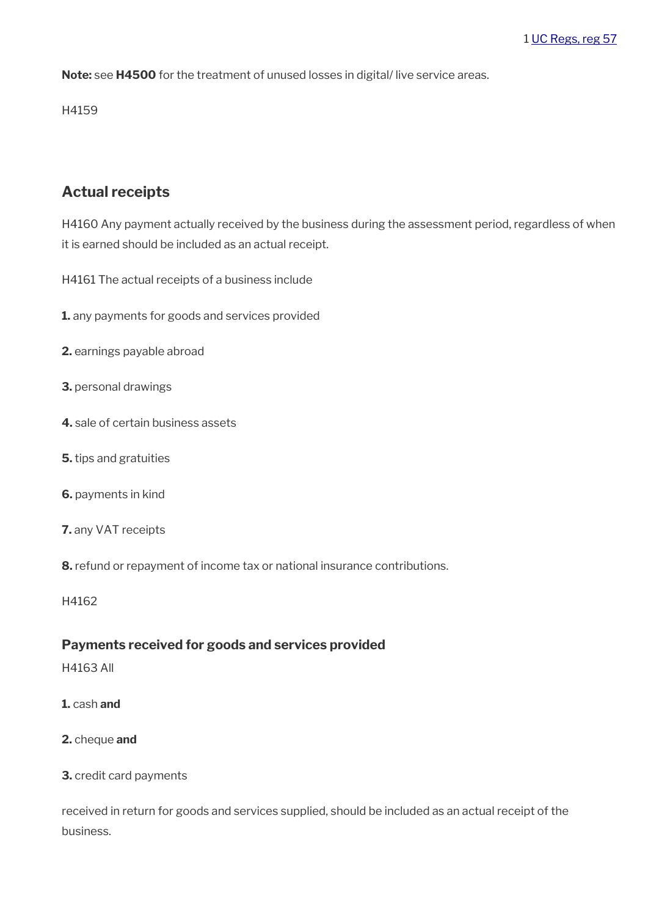**Note:** see **H4500** for the treatment of unused losses in digital/ live service areas.

H4159

# **Actual receipts**

H4160 Any payment actually received by the business during the assessment period, regardless of when it is earned should be included as an actual receipt.

H4161 The actual receipts of a business include

- **1.** any payments for goods and services provided
- **2.** earnings payable abroad
- **3.** personal drawings
- **4.** sale of certain business assets
- **5.** tips and gratuities
- **6.** payments in kind
- **7.** any VAT receipts
- **8.** refund or repayment of income tax or national insurance contributions.

H4162

### **Payments received for goods and services provided**

- H4163 All
- **1.** cash **and**
- **2.** cheque **and**

### **3.** credit card payments

received in return for goods and services supplied, should be included as an actual receipt of the business.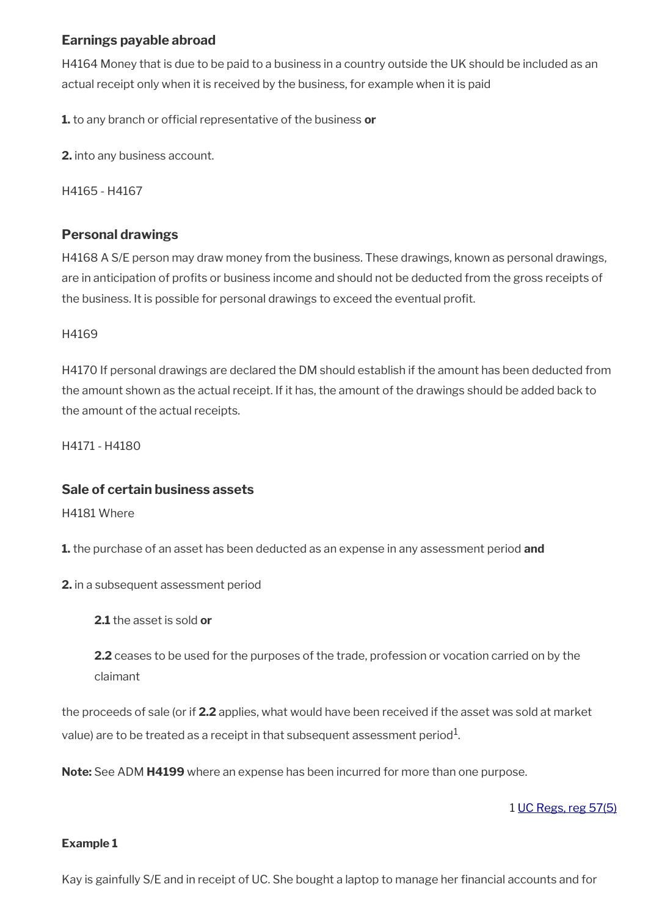# **Earnings payable abroad**

H4164 Money that is due to be paid to a business in a country outside the UK should be included as an actual receipt only when it is received by the business, for example when it is paid

1. to any branch or official representative of the business or

**2.** into any business account.

H4165 - H4167

## **Personal drawings**

H4168 A S/E person may draw money from the business. These drawings, known as personal drawings, are in anticipation of profts or business income and should not be deducted from the gross receipts of the business. It is possible for personal drawings to exceed the eventual proft.

### H4169

H4170 If personal drawings are declared the DM should establish if the amount has been deducted from the amount shown as the actual receipt. If it has, the amount of the drawings should be added back to the amount of the actual receipts.

H4171 - H4180

### **Sale of certain business assets**

H4181 Where

**1.** the purchase of an asset has been deducted as an expense in any assessment period **and**

**2.** in a subsequent assessment period

**2.1** the asset is sold **or**

**2.2** ceases to be used for the purposes of the trade, profession or vocation carried on by the claimant

the proceeds of sale (or if **2.2** applies, what would have been received if the asset was sold at market value) are to be treated as a receipt in that subsequent assessment period $^{\rm 1}$ .

**Note:** See ADM **H4199** where an expense has been incurred for more than one purpose.

1 [UC Regs, reg 57\(5\)](https://www.legislation.gov.uk/uksi/2013/376/regulation/57)

### **Example 1**

Kay is gainfully S/E and in receipt of UC. She bought a laptop to manage her fnancial accounts and for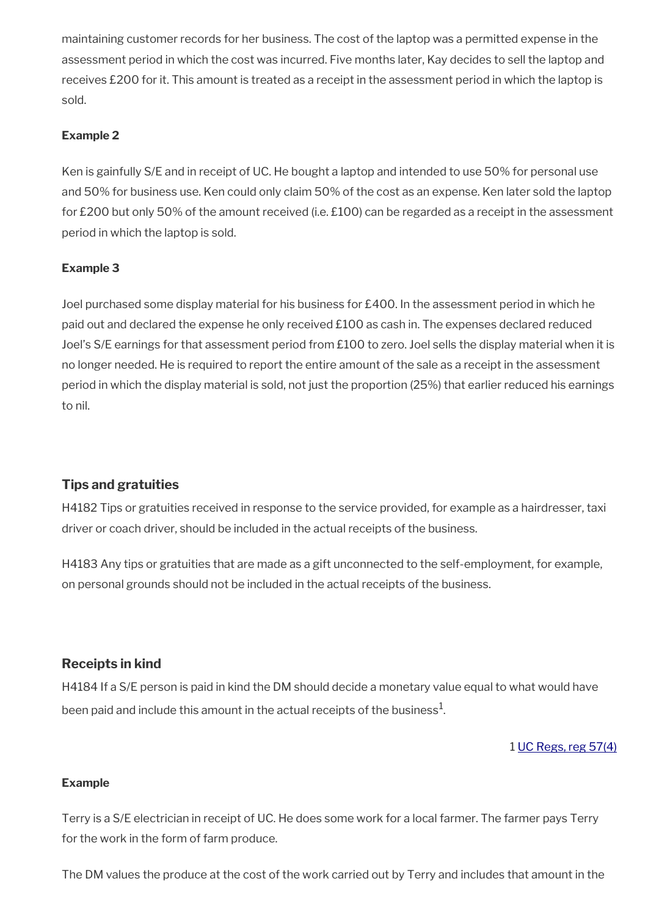maintaining customer records for her business. The cost of the laptop was a permitted expense in the assessment period in which the cost was incurred. Five months later, Kay decides to sell the laptop and receives £200 for it. This amount is treated as a receipt in the assessment period in which the laptop is sold.

### **Example 2**

Ken is gainfully S/E and in receipt of UC. He bought a laptop and intended to use 50% for personal use and 50% for business use. Ken could only claim 50% of the cost as an expense. Ken later sold the laptop for £200 but only 50% of the amount received (i.e. £100) can be regarded as a receipt in the assessment period in which the laptop is sold.

## **Example 3**

Joel purchased some display material for his business for £400. In the assessment period in which he paid out and declared the expense he only received £100 as cash in. The expenses declared reduced Joel's S/E earnings for that assessment period from £100 to zero. Joel sells the display material when it is no longer needed. He is required to report the entire amount of the sale as a receipt in the assessment period in which the display material is sold, not just the proportion (25%) that earlier reduced his earnings to nil.

# **Tips and gratuities**

H4182 Tips or gratuities received in response to the service provided, for example as a hairdresser, taxi driver or coach driver, should be included in the actual receipts of the business.

H4183 Any tips or gratuities that are made as a gift unconnected to the self-employment, for example, on personal grounds should not be included in the actual receipts of the business.

# **Receipts in kind**

H4184 If a S/E person is paid in kind the DM should decide a monetary value equal to what would have been paid and include this amount in the actual receipts of the business $^{\mathrm{1}}$ .

### 1 [UC Regs, reg 57\(4\)](https://www.legislation.gov.uk/uksi/2013/376/regulation/57)

### **Example**

Terry is a S/E electrician in receipt of UC. He does some work for a local farmer. The farmer pays Terry for the work in the form of farm produce.

The DM values the produce at the cost of the work carried out by Terry and includes that amount in the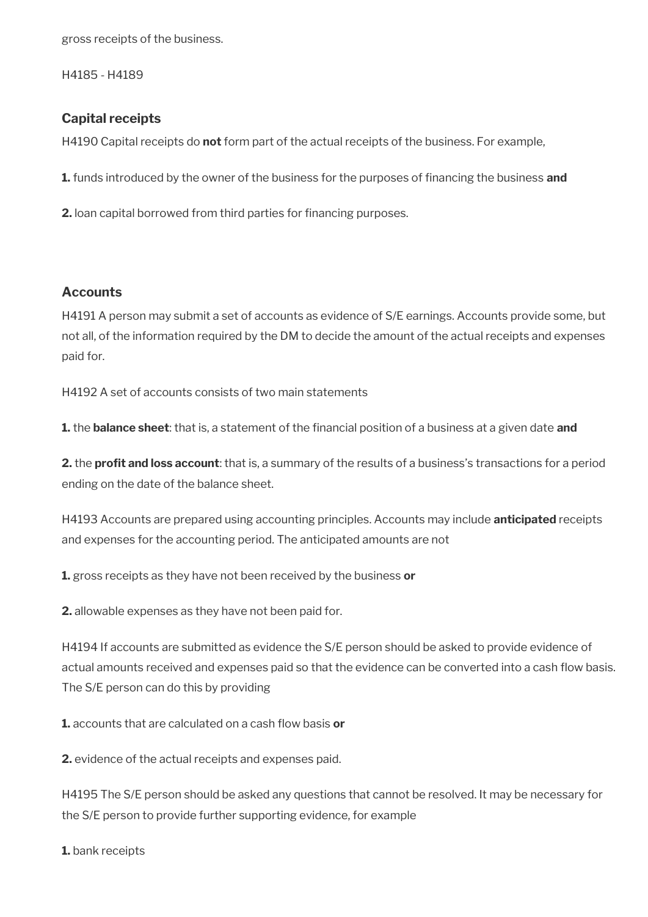gross receipts of the business.

H4185 - H4189

## **Capital receipts**

H4190 Capital receipts do **not** form part of the actual receipts of the business. For example,

**1.** funds introduced by the owner of the business for the purposes of fnancing the business **and**

**2.** loan capital borrowed from third parties for financing purposes.

## **Accounts**

H4191 A person may submit a set of accounts as evidence of S/E earnings. Accounts provide some, but not all, of the information required by the DM to decide the amount of the actual receipts and expenses paid for.

H4192 A set of accounts consists of two main statements

**1.** the **balance sheet**: that is, a statement of the fnancial position of a business at a given date **and** 

**2.** the **proft and loss account**: that is, a summary of the results of a business's transactions for a period ending on the date of the balance sheet.

H4193 Accounts are prepared using accounting principles. Accounts may include **anticipated** receipts and expenses for the accounting period. The anticipated amounts are not

**1.** gross receipts as they have not been received by the business **or** 

**2.** allowable expenses as they have not been paid for.

H4194 If accounts are submitted as evidence the S/E person should be asked to provide evidence of actual amounts received and expenses paid so that the evidence can be converted into a cash flow basis. The S/E person can do this by providing

**1.** accounts that are calculated on a cash flow basis or

**2.** evidence of the actual receipts and expenses paid.

H4195 The S/E person should be asked any questions that cannot be resolved. It may be necessary for the S/E person to provide further supporting evidence, for example

**1.** bank receipts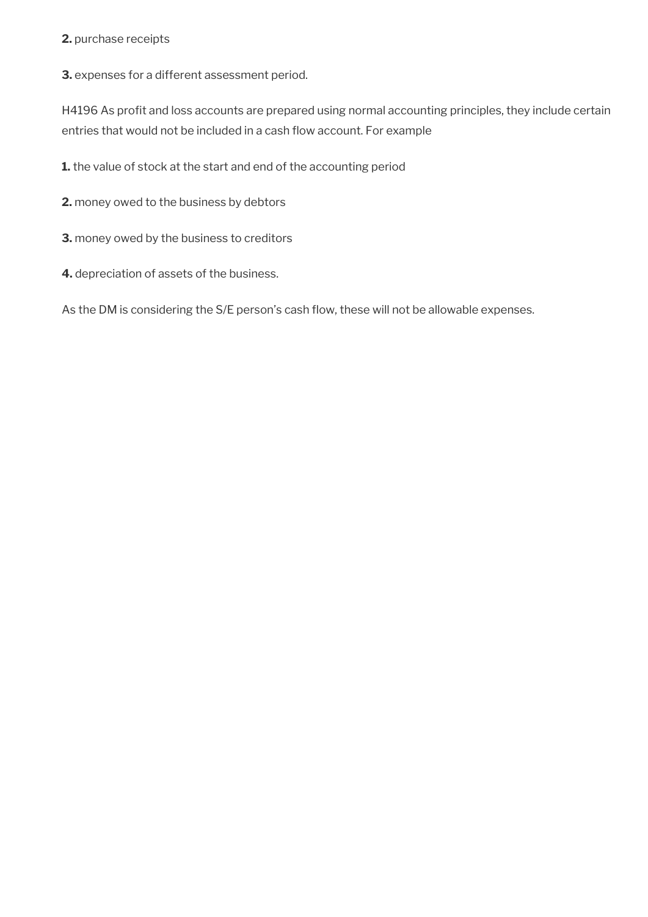### **2.** purchase receipts

**3.** expenses for a different assessment period.

H4196 As profit and loss accounts are prepared using normal accounting principles, they include certain entries that would not be included in a cash flow account. For example

**1.** the value of stock at the start and end of the accounting period

**2.** money owed to the business by debtors

**3.** money owed by the business to creditors

**4.** depreciation of assets of the business.

As the DM is considering the S/E person's cash flow, these will not be allowable expenses.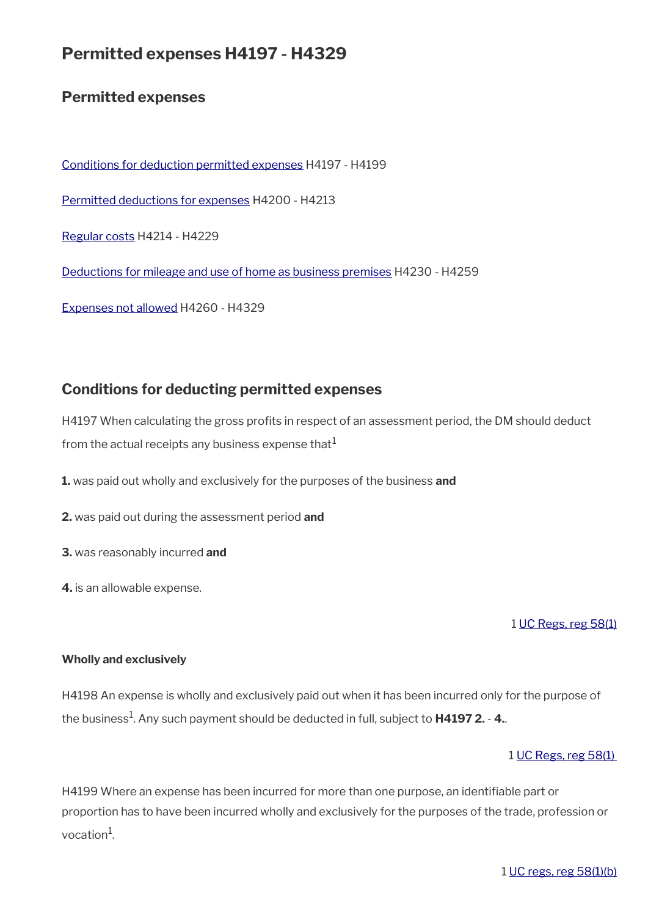# **Permitted expenses H4197 - H4329**

# **Permitted expenses**

[Conditions for deduction permitted expenses](#page-43-0) H4197 - H4199 [Permitted deductions for expenses](#page-44-0) H4200 - H4213 [Regular costs](#page-46-0) H4214 - H4229 [Deductions for mileage and use of home as business premises](#page-49-0) H4230 - H4259 [Expenses not allowed](#page-52-0) H4260 - H4329

# <span id="page-43-0"></span>**Conditions for deducting permitted expenses**

H4197 When calculating the gross profits in respect of an assessment period, the DM should deduct from the actual receipts any business expense that $<sup>1</sup>$ </sup>

- **1.** was paid out wholly and exclusively for the purposes of the business **and**
- **2.** was paid out during the assessment period **and**
- **3.** was reasonably incurred **and**
- **4.** is an allowable expense.

### 1 [UC Regs, reg 58\(1\)](https://www.legislation.gov.uk/uksi/2013/376/regulation/58)

### **Wholly and exclusively**

H4198 An expense is wholly and exclusively paid out when it has been incurred only for the purpose of the business<sup>1</sup> . Any such payment should be deducted in full, subject to **H4197 2.** - **4.**.

### 1 [UC Regs, reg 58\(1\)](https://www.legislation.gov.uk/uksi/2013/376/regulation/58)

H4199 Where an expense has been incurred for more than one purpose, an identifable part or proportion has to have been incurred wholly and exclusively for the purposes of the trade, profession or vocation<sup>1</sup>.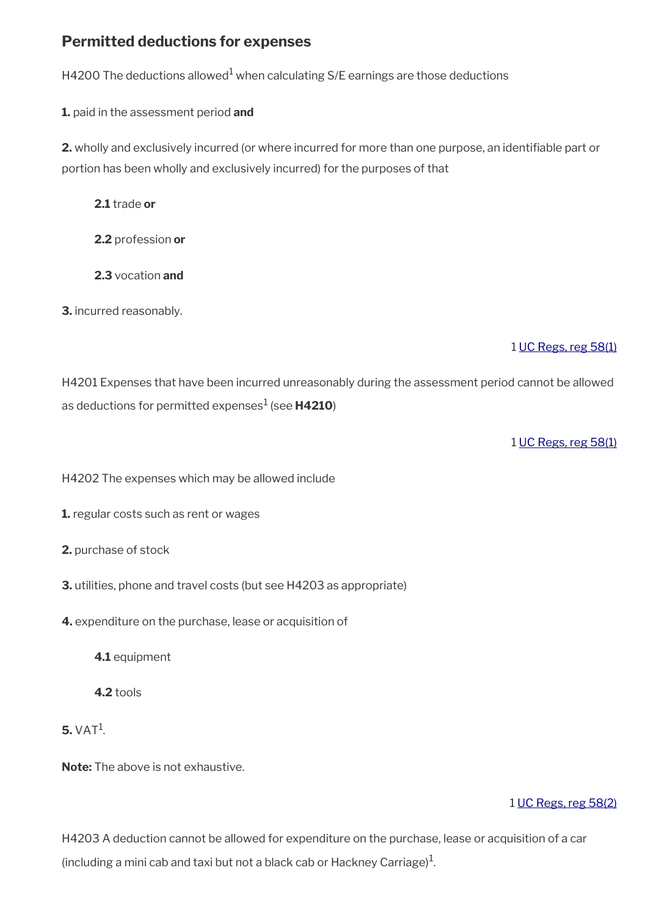# <span id="page-44-0"></span>**Permitted deductions for expenses**

H4200 The deductions allowed $^{\rm 1}$  when calculating S/E earnings are those deductions

**1.** paid in the assessment period **and**

**2.** wholly and exclusively incurred (or where incurred for more than one purpose, an identifable part or portion has been wholly and exclusively incurred) for the purposes of that

**2.1** trade **or**

**2.2** profession **or**

**2.3** vocation **and**

**3.** incurred reasonably.

## 1 [UC Regs, reg 58\(1\)](https://www.legislation.gov.uk/uksi/2013/376/regulation/58)

H4201 Expenses that have been incurred unreasonably during the assessment period cannot be allowed as deductions for permitted expenses<sup>1</sup> (see **H4210**)

1 [UC Regs, reg 58\(1\)](https://www.legislation.gov.uk/uksi/2013/376/regulation/58)

H4202 The expenses which may be allowed include

**1.** regular costs such as rent or wages

- **2.** purchase of stock
- **3.** utilities, phone and travel costs (but see H4203 as appropriate)
- **4.** expenditure on the purchase, lease or acquisition of
	- **4.1** equipment
	- **4.2** tools
- $5. VAT<sup>1</sup>$ .

**Note:** The above is not exhaustive.

### 1 [UC Regs, reg 58\(2\)](https://www.legislation.gov.uk/uksi/2013/376/regulation/58)

H4203 A deduction cannot be allowed for expenditure on the purchase, lease or acquisition of a car (including a mini cab and taxi but not a black cab or Hackney Carriage) $^1$ .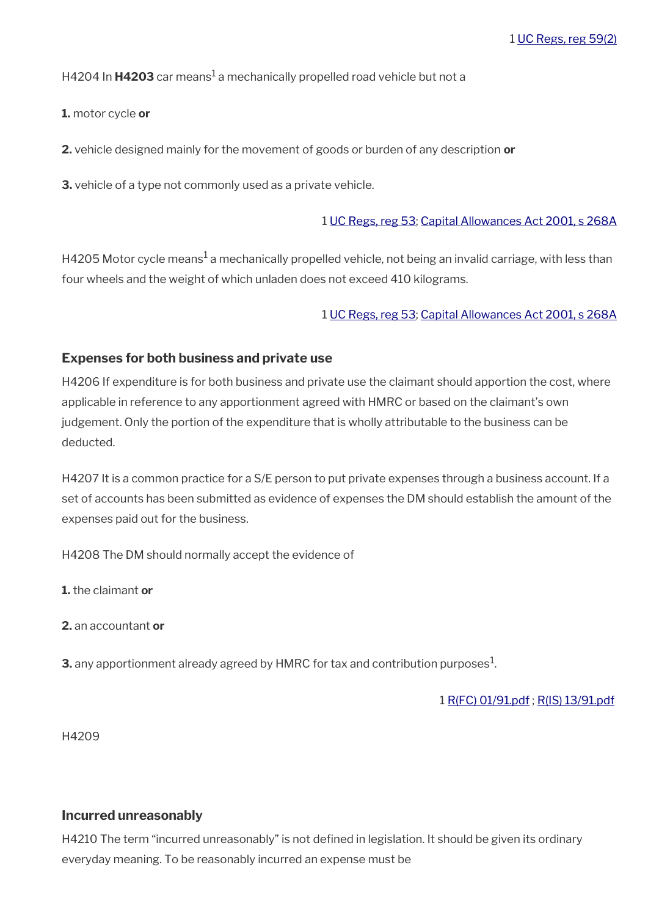## H4204 In **H4203** car means<sup>1</sup> a mechanically propelled road vehicle but not a

**1.** motor cycle **or**

**2.** vehicle designed mainly for the movement of goods or burden of any description **or**

**3.** vehicle of a type not commonly used as a private vehicle.

### 1 [UC Regs, reg 53](https://www.legislation.gov.uk/uksi/2013/376/regulation/53); [Capital Allowances Act 2001, s 268A](https://www.legislation.gov.uk/ukpga/2001/2/section/268A)

H4205 Motor cycle means $^1$  a mechanically propelled vehicle, not being an invalid carriage, with less than four wheels and the weight of which unladen does not exceed 410 kilograms.

1 [UC Regs, reg 53](https://www.legislation.gov.uk/uksi/2013/376/regulation/53); [Capital Allowances Act 2001, s 268A](https://www.legislation.gov.uk/ukpga/2001/2/section/268A)

### **Expenses for both business and private use**

H4206 If expenditure is for both business and private use the claimant should apportion the cost, where applicable in reference to any apportionment agreed with HMRC or based on the claimant's own judgement. Only the portion of the expenditure that is wholly attributable to the business can be deducted.

H4207 It is a common practice for a S/E person to put private expenses through a business account. If a set of accounts has been submitted as evidence of expenses the DM should establish the amount of the expenses paid out for the business.

H4208 The DM should normally accept the evidence of

**1.** the claimant **or** 

**2.** an accountant **or** 

**3.** any apportionment already agreed by  ${\sf HMRC}$  for tax and contribution purposes $^1$ .

1 [R\(FC\) 01/91.pdf](../file/905427/download/R%2528FC%2529%252001%252F91.pdf) ; [R\(IS\) 13/91.pdf](../file/905429/download/R%2528IS%2529%252013%252F91.pdf)

H4209

### **Incurred unreasonably**

H4210 The term "incurred unreasonably" is not defined in legislation. It should be given its ordinary everyday meaning. To be reasonably incurred an expense must be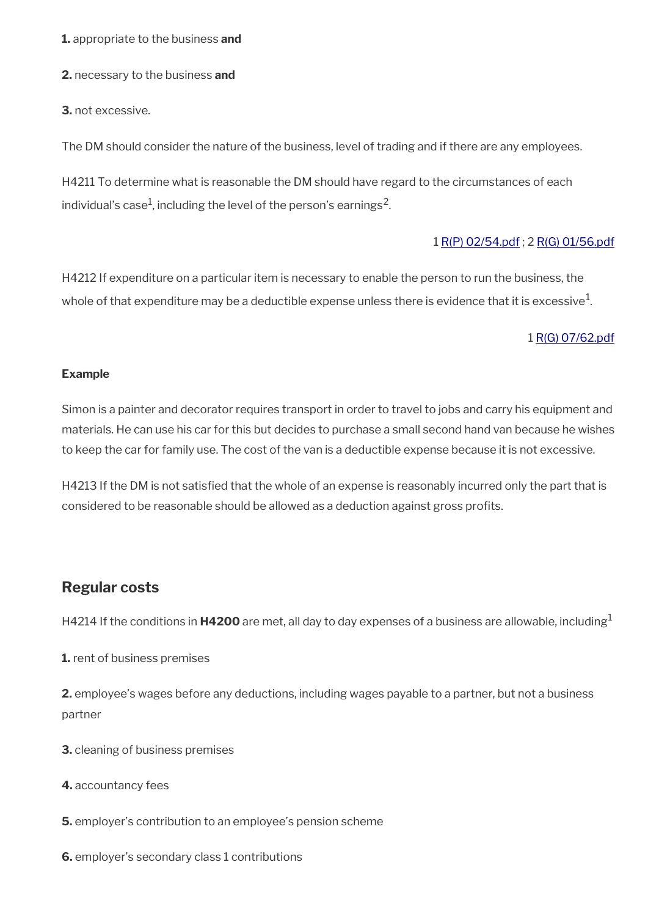**1.** appropriate to the business **and** 

**2.** necessary to the business **and** 

**3.** not excessive.

The DM should consider the nature of the business, level of trading and if there are any employees.

H4211 To determine what is reasonable the DM should have regard to the circumstances of each individual's case $^1$ , including the level of the person's earnings $^2$ .

### 1 [R\(P\) 02/54.pdf](../file/905431/download/R%2528P%2529%252002%252F54.pdf) ; 2 [R\(G\) 01/56.pdf](../file/905432/download/R%2528G%2529%252001%252F56.pdf)

H4212 If expenditure on a particular item is necessary to enable the person to run the business, the whole of that expenditure may be a deductible expense unless there is evidence that it is excessive $^1\!$ 

### 1 [R\(G\) 07/62.pdf](../file/905433/download/R%2528G%2529%252007%252F62.pdf)

### **Example**

Simon is a painter and decorator requires transport in order to travel to jobs and carry his equipment and materials. He can use his car for this but decides to purchase a small second hand van because he wishes to keep the car for family use. The cost of the van is a deductible expense because it is not excessive.

H4213 If the DM is not satisfed that the whole of an expense is reasonably incurred only the part that is considered to be reasonable should be allowed as a deduction against gross profits.

# <span id="page-46-0"></span>**Regular costs**

H4214 If the conditions in **H4200** are met, all day to day expenses of a business are allowable, including<sup>1</sup>

**1.** rent of business premises

**2.** employee's wages before any deductions, including wages payable to a partner, but not a business partner

- **3.** cleaning of business premises
- **4.** accountancy fees
- **5.** employer's contribution to an employee's pension scheme
- **6.** employer's secondary class 1 contributions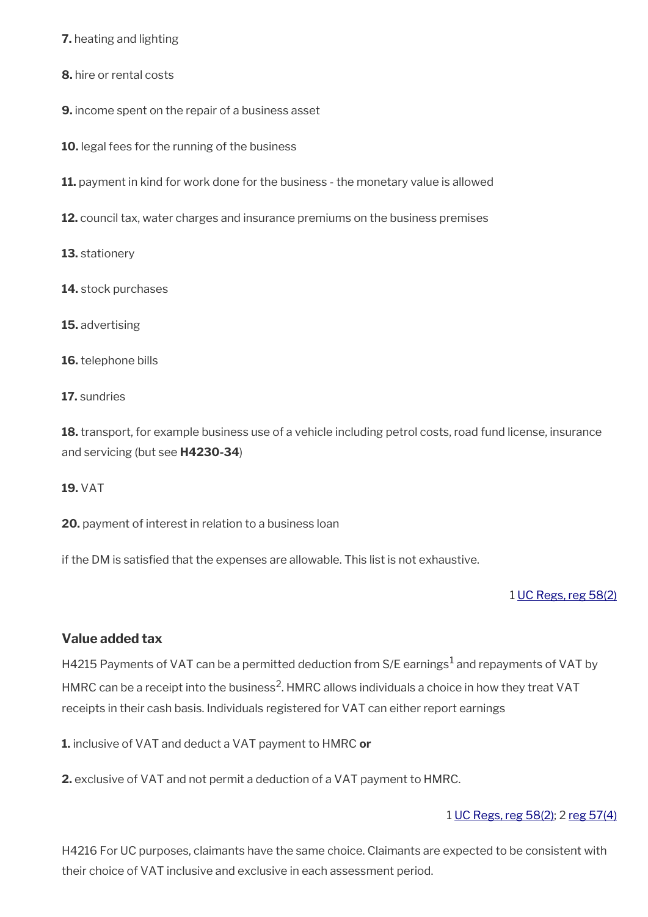**7.** heating and lighting

- **8.** hire or rental costs
- **9.** income spent on the repair of a business asset
- **10.** legal fees for the running of the business
- **11.** payment in kind for work done for the business the monetary value is allowed
- **12.** council tax, water charges and insurance premiums on the business premises
- **13.** stationery
- **14.** stock purchases
- **15.** advertising
- **16.** telephone bills
- **17.** sundries

**18.** transport, for example business use of a vehicle including petrol costs, road fund license, insurance and servicing (but see **H4230-34**)

**19.** VAT

**20.** payment of interest in relation to a business loan

if the DM is satisfed that the expenses are allowable. This list is not exhaustive.

### 1 [UC Regs, reg 58\(2\)](https://www.legislation.gov.uk/uksi/2013/376/regulation/58)

### **Value added tax**

H4215 Payments of VAT can be a permitted deduction from S/E earnings<sup>1</sup> and repayments of VAT by HMRC can be a receipt into the business<sup>2</sup>. HMRC allows individuals a choice in how they treat VAT receipts in their cash basis. Individuals registered for VAT can either report earnings

**1.** inclusive of VAT and deduct a VAT payment to HMRC **or**

**2.** exclusive of VAT and not permit a deduction of a VAT payment to HMRC.

### 1 [UC Regs, reg 58\(2\)](https://www.legislation.gov.uk/uksi/2013/376/regulation/58); 2 [reg 57\(4\)](https://www.legislation.gov.uk/uksi/2013/376/regulation/57)

H4216 For UC purposes, claimants have the same choice. Claimants are expected to be consistent with their choice of VAT inclusive and exclusive in each assessment period.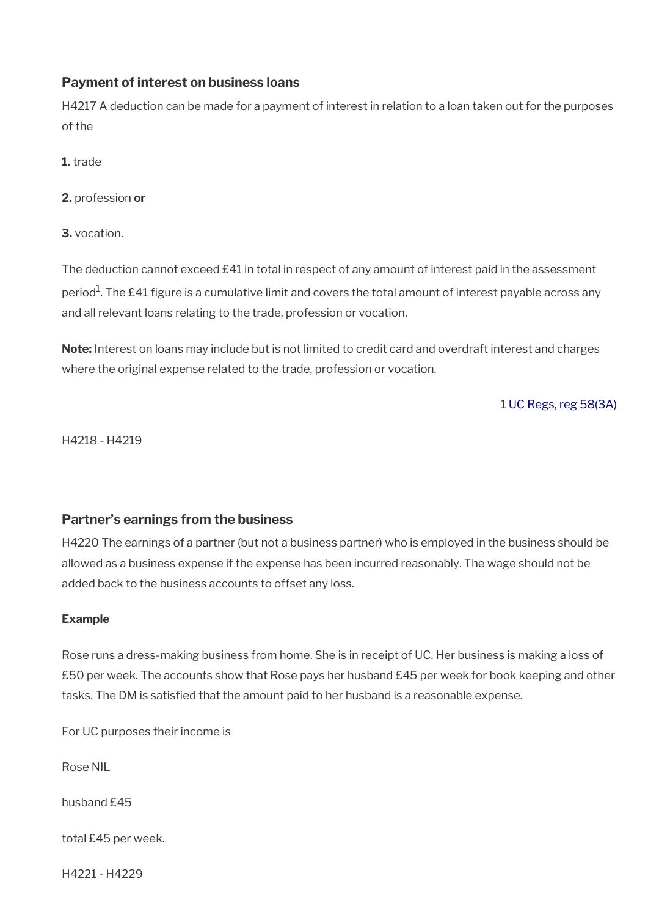## **Payment of interest on business loans**

H4217 A deduction can be made for a payment of interest in relation to a loan taken out for the purposes of the

**1.** trade

**2.** profession **or**

**3.** vocation.

The deduction cannot exceed £41 in total in respect of any amount of interest paid in the assessment period $^{\rm 1}$ . The £41 figure is a cumulative limit and covers the total amount of interest payable across any and all relevant loans relating to the trade, profession or vocation.

**Note:** Interest on loans may include but is not limited to credit card and overdraft interest and charges where the original expense related to the trade, profession or vocation.

1 [UC Regs, reg 58\(3A\)](https://www.legislation.gov.uk/uksi/2013/376/regulation/58)

H4218 - H4219

# **Partner's earnings from the business**

H4220 The earnings of a partner (but not a business partner) who is employed in the business should be allowed as a business expense if the expense has been incurred reasonably. The wage should not be added back to the business accounts to offset any loss.

### **Example**

Rose runs a dress-making business from home. She is in receipt of UC. Her business is making a loss of £50 per week. The accounts show that Rose pays her husband £45 per week for book keeping and other tasks. The DM is satisfed that the amount paid to her husband is a reasonable expense.

For UC purposes their income is

Rose NIL

husband £45

total £45 per week.

H4221 - H4229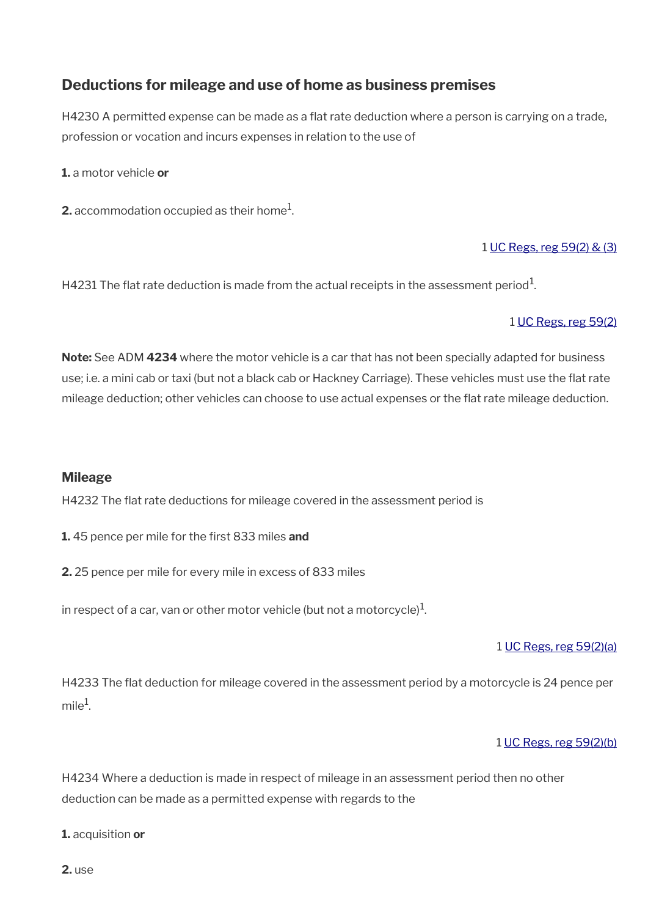# <span id="page-49-0"></span>**Deductions for mileage and use of home as business premises**

H4230 A permitted expense can be made as a flat rate deduction where a person is carrying on a trade, profession or vocation and incurs expenses in relation to the use of

**1.** a motor vehicle **or**

**2.** accommodation occupied as their home $^1$ .

## 1 [UC Regs, reg 59\(2\) & \(3\)](https://www.legislation.gov.uk/uksi/2013/376/regulation/59)

H4231 The flat rate deduction is made from the actual receipts in the assessment period $^{\rm 1}$ .

### 1 [UC Regs, reg 59\(2\)](https://www.legislation.gov.uk/uksi/2013/376/regulation/59)

**Note:** See ADM **4234** where the motor vehicle is a car that has not been specially adapted for business use; i.e. a mini cab or taxi (but not a black cab or Hackney Carriage). These vehicles must use the fat rate mileage deduction; other vehicles can choose to use actual expenses or the fat rate mileage deduction.

### **Mileage**

H4232 The fat rate deductions for mileage covered in the assessment period is

**1.** 45 pence per mile for the frst 833 miles **and**

**2.** 25 pence per mile for every mile in excess of 833 miles

in respect of a car, van or other motor vehicle (but not a motorcycle) $^{\rm 1}$ .

### 1 [UC Regs, reg 59\(2\)\(a\)](https://www.legislation.gov.uk/uksi/2013/376/regulation/59)

H4233 The fat deduction for mileage covered in the assessment period by a motorcycle is 24 pence per  $m$ ile<sup>1</sup>.

### 1 [UC Regs, reg 59\(2\)\(b\)](https://www.legislation.gov.uk/uksi/2013/376/regulation/59)

H4234 Where a deduction is made in respect of mileage in an assessment period then no other deduction can be made as a permitted expense with regards to the

**1.** acquisition **or**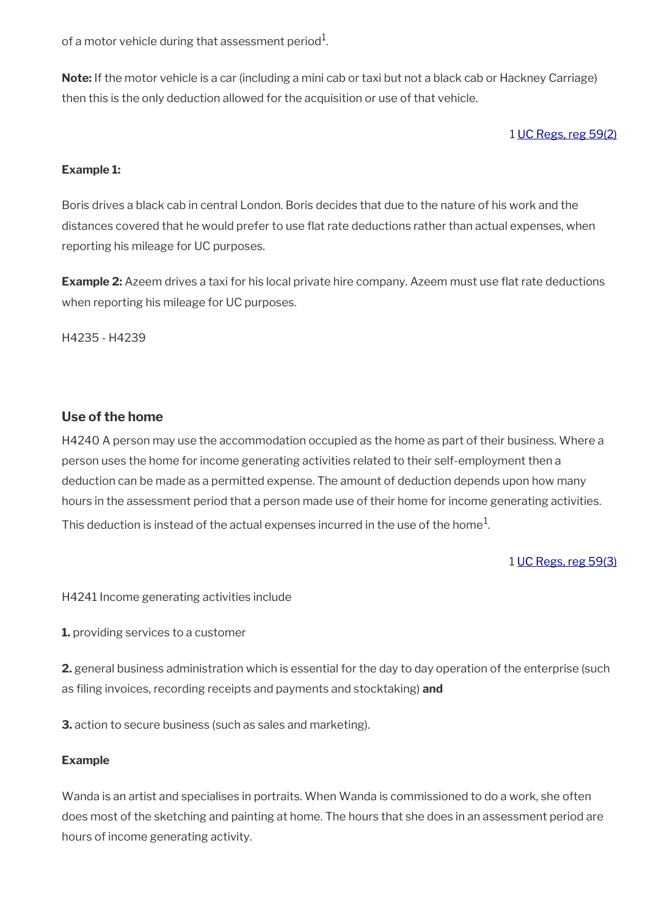of a motor vehicle during that assessment period $^{\rm 1}$ .

**Note:** If the motor vehicle is a car (including a mini cab or taxi but not a black cab or Hackney Carriage) then this is the only deduction allowed for the acquisition or use of that vehicle.

1 [UC Regs, reg 59\(2\)](https://www.legislation.gov.uk/uksi/2013/376/regulation/59)

### **Example 1:**

Boris drives a black cab in central London. Boris decides that due to the nature of his work and the distances covered that he would prefer to use flat rate deductions rather than actual expenses, when reporting his mileage for UC purposes.

**Example 2:** Azeem drives a taxi for his local private hire company. Azeem must use flat rate deductions when reporting his mileage for UC purposes.

H4235 - H4239

### **Use of the home**

H4240 A person may use the accommodation occupied as the home as part of their business. Where a person uses the home for income generating activities related to their self-employment then a deduction can be made as a permitted expense. The amount of deduction depends upon how many hours in the assessment period that a person made use of their home for income generating activities. This deduction is instead of the actual expenses incurred in the use of the home $^1\!$ 

### 1 [UC Regs, reg 59\(3\)](https://www.legislation.gov.uk/uksi/2013/376/regulation/59)

H4241 Income generating activities include

**1.** providing services to a customer

**2.** general business administration which is essential for the day to day operation of the enterprise (such as fling invoices, recording receipts and payments and stocktaking) **and**

**3.** action to secure business (such as sales and marketing).

### **Example**

Wanda is an artist and specialises in portraits. When Wanda is commissioned to do a work, she often does most of the sketching and painting at home. The hours that she does in an assessment period are hours of income generating activity.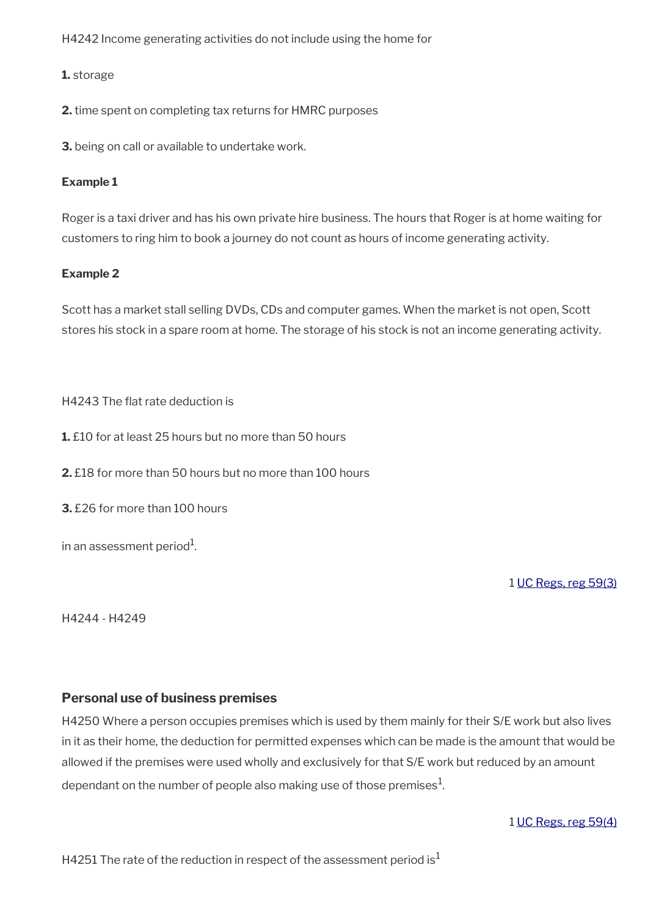H4242 Income generating activities do not include using the home for

### **1.** storage

**2.** time spent on completing tax returns for HMRC purposes

**3.** being on call or available to undertake work.

### **Example 1**

Roger is a taxi driver and has his own private hire business. The hours that Roger is at home waiting for customers to ring him to book a journey do not count as hours of income generating activity.

### **Example 2**

Scott has a market stall selling DVDs, CDs and computer games. When the market is not open, Scott stores his stock in a spare room at home. The storage of his stock is not an income generating activity.

H4243 The fat rate deduction is

**1.** £10 for at least 25 hours but no more than 50 hours

**2.** £18 for more than 50 hours but no more than 100 hours

**3.** £26 for more than 100 hours

in an assessment period $^{\rm 1}$ .

1 [UC Regs, reg 59\(3\)](https://www.legislation.gov.uk/uksi/2013/376/regulation/59)

H4244 - H4249

### **Personal use of business premises**

H4250 Where a person occupies premises which is used by them mainly for their S/E work but also lives in it as their home, the deduction for permitted expenses which can be made is the amount that would be allowed if the premises were used wholly and exclusively for that S/E work but reduced by an amount dependant on the number of people also making use of those premises $^{\mathrm{1}}$ .

1 [UC Regs, reg 59\(4\)](https://www.legislation.gov.uk/uksi/2013/376/regulation/59)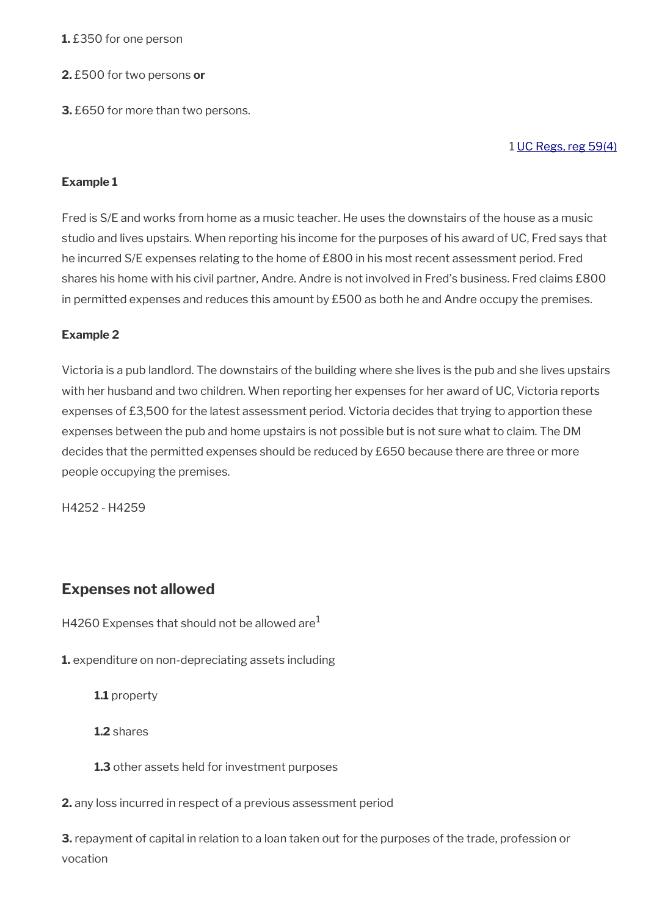### **1.** £350 for one person

- **2.** £500 for two persons **or**
- **3.** £650 for more than two persons.

1 [UC Regs, reg 59\(4\)](https://www.legislation.gov.uk/uksi/2013/376/regulation/59)

### **Example 1**

Fred is S/E and works from home as a music teacher. He uses the downstairs of the house as a music studio and lives upstairs. When reporting his income for the purposes of his award of UC, Fred says that he incurred S/E expenses relating to the home of £800 in his most recent assessment period. Fred shares his home with his civil partner, Andre. Andre is not involved in Fred's business. Fred claims £800 in permitted expenses and reduces this amount by £500 as both he and Andre occupy the premises.

### **Example 2**

Victoria is a pub landlord. The downstairs of the building where she lives is the pub and she lives upstairs with her husband and two children. When reporting her expenses for her award of UC, Victoria reports expenses of £3,500 for the latest assessment period. Victoria decides that trying to apportion these expenses between the pub and home upstairs is not possible but is not sure what to claim. The DM decides that the permitted expenses should be reduced by £650 because there are three or more people occupying the premises.

H4252 - H4259

# <span id="page-52-0"></span>**Expenses not allowed**

H4260 Expenses that should not be allowed are  $1$ 

**1.** expenditure on non-depreciating assets including

**1.1** property

**1.2** shares

**1.3** other assets held for investment purposes

**2.** any loss incurred in respect of a previous assessment period

**3.** repayment of capital in relation to a loan taken out for the purposes of the trade, profession or vocation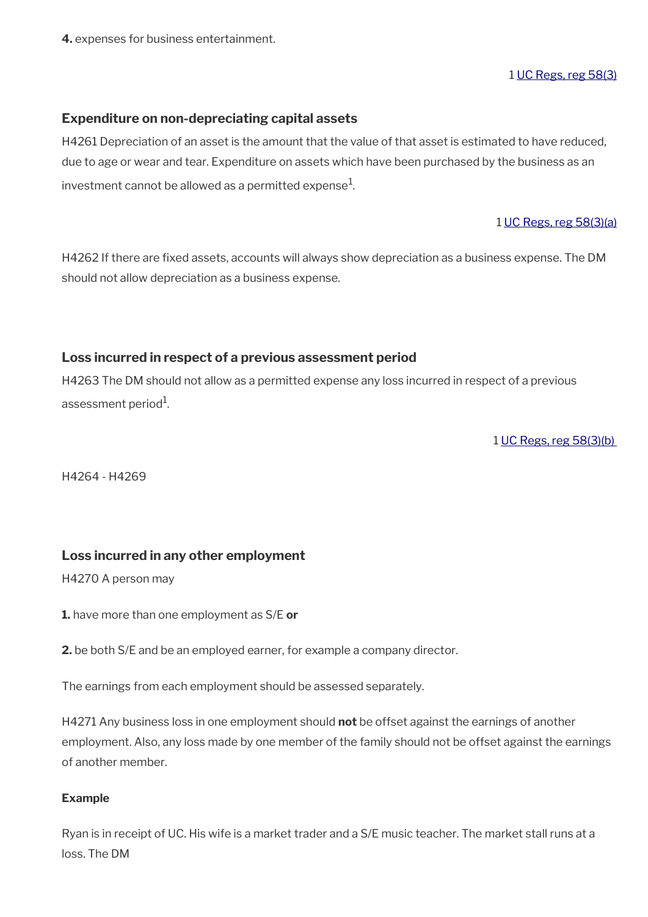**4.** expenses for business entertainment.

1 [UC Regs, reg 58\(3\)](https://www.legislation.gov.uk/uksi/2013/376/regulation/58)

### **Expenditure on non-depreciating capital assets**

H4261 Depreciation of an asset is the amount that the value of that asset is estimated to have reduced, due to age or wear and tear. Expenditure on assets which have been purchased by the business as an investment cannot be allowed as a permitted expense $^{\rm 1}$ .

1 [UC Regs, reg 58\(3\)\(a\)](https://www.legislation.gov.uk/uksi/2013/376/regulation/58)

H4262 If there are fixed assets, accounts will always show depreciation as a business expense. The DM should not allow depreciation as a business expense.

### **Loss incurred in respect of a previous assessment period**

H4263 The DM should not allow as a permitted expense any loss incurred in respect of a previous assessment period $^{\rm 1}$ .

1 [UC Regs, reg 58\(3\)\(b\)](https://www.legislation.gov.uk/uksi/2013/376/regulation/58) 

H4264 - H4269

### **Loss incurred in any other employment**

H4270 A person may

**1.** have more than one employment as S/E **or** 

**2.** be both S/E and be an employed earner, for example a company director.

The earnings from each employment should be assessed separately.

H4271 Any business loss in one employment should **not** be offset against the earnings of another employment. Also, any loss made by one member of the family should not be offset against the earnings of another member.

### **Example**

Ryan is in receipt of UC. His wife is a market trader and a S/E music teacher. The market stall runs at a loss. The DM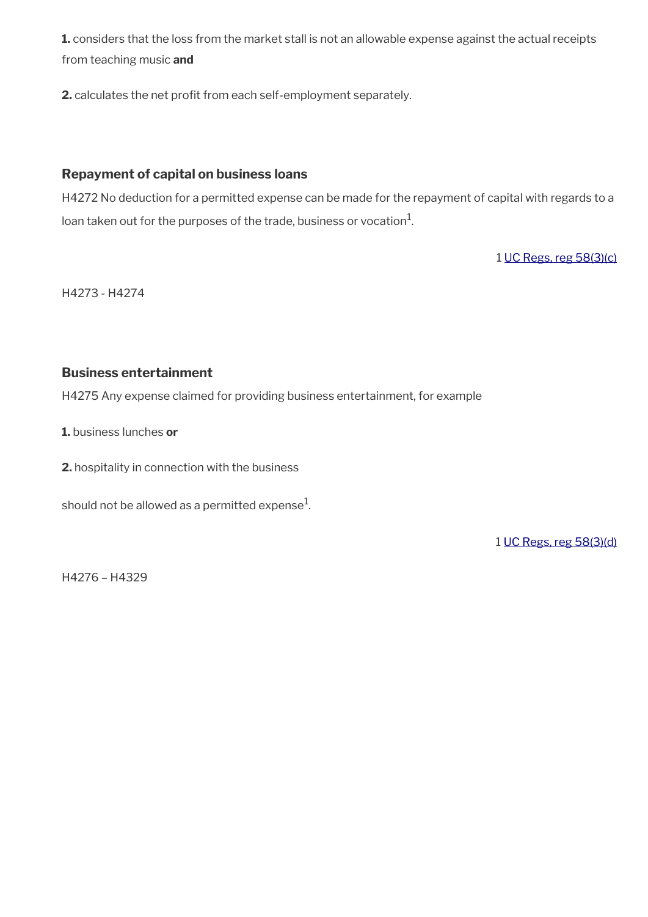**1.** considers that the loss from the market stall is not an allowable expense against the actual receipts from teaching music **and**

**2.** calculates the net profit from each self-employment separately.

## **Repayment of capital on business loans**

H4272 No deduction for a permitted expense can be made for the repayment of capital with regards to a loan taken out for the purposes of the trade, business or vocation $^1\!\!$  .

1 [UC Regs, reg 58\(3\)\(c\)](https://www.legislation.gov.uk/uksi/2013/376/regulation/58)

H4273 - H4274

## **Business entertainment**

H4275 Any expense claimed for providing business entertainment, for example

**1.** business lunches **or**

**2.** hospitality in connection with the business

should not be allowed as a permitted expense $^{\rm 1}$ .

1 [UC Regs, reg 58\(3\)\(d\)](https://www.legislation.gov.uk/uksi/2013/376/regulation/58)

H4276 – H4329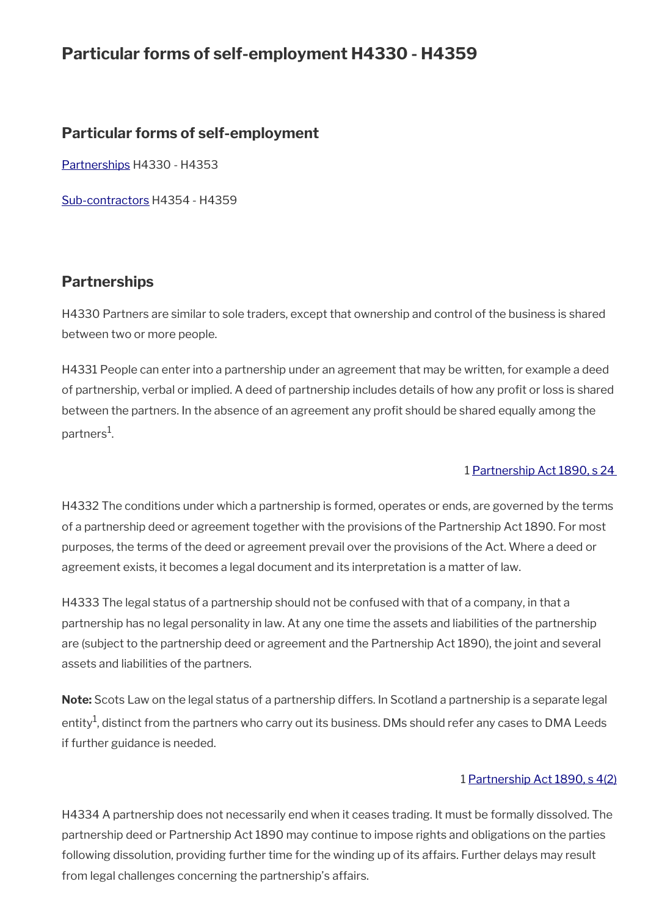# **Particular forms of self-employment H4330 - H4359**

# **Particular forms of self-employment**

[Partnerships](#page-55-0) H4330 - H4353

[Sub-contractors](#page-56-0) H4354 - H4359

# <span id="page-55-0"></span>**Partnerships**

H4330 Partners are similar to sole traders, except that ownership and control of the business is shared between two or more people.

H4331 People can enter into a partnership under an agreement that may be written, for example a deed of partnership, verbal or implied. A deed of partnership includes details of how any proft or loss is shared between the partners. In the absence of an agreement any profit should be shared equally among the partners<sup>1</sup>.

### 1 [Partnership Act 1890, s 24](https://www.legislation.gov.uk/ukpga/Vict/53-54/39/section/24)

H4332 The conditions under which a partnership is formed, operates or ends, are governed by the terms of a partnership deed or agreement together with the provisions of the Partnership Act 1890. For most purposes, the terms of the deed or agreement prevail over the provisions of the Act. Where a deed or agreement exists, it becomes a legal document and its interpretation is a matter of law.

H4333 The legal status of a partnership should not be confused with that of a company, in that a partnership has no legal personality in law. At any one time the assets and liabilities of the partnership are (subject to the partnership deed or agreement and the Partnership Act 1890), the joint and several assets and liabilities of the partners.

**Note:** Scots Law on the legal status of a partnership differs. In Scotland a partnership is a separate legal entity $^1$ , distinct from the partners who carry out its business. DMs should refer any cases to DMA Leeds if further guidance is needed.

### 1 [Partnership Act 1890, s 4\(2\)](https://www.legislation.gov.uk/ukpga/Vict/53-54/39/section/4)

H4334 A partnership does not necessarily end when it ceases trading. It must be formally dissolved. The partnership deed or Partnership Act 1890 may continue to impose rights and obligations on the parties following dissolution, providing further time for the winding up of its affairs. Further delays may result from legal challenges concerning the partnership's affairs.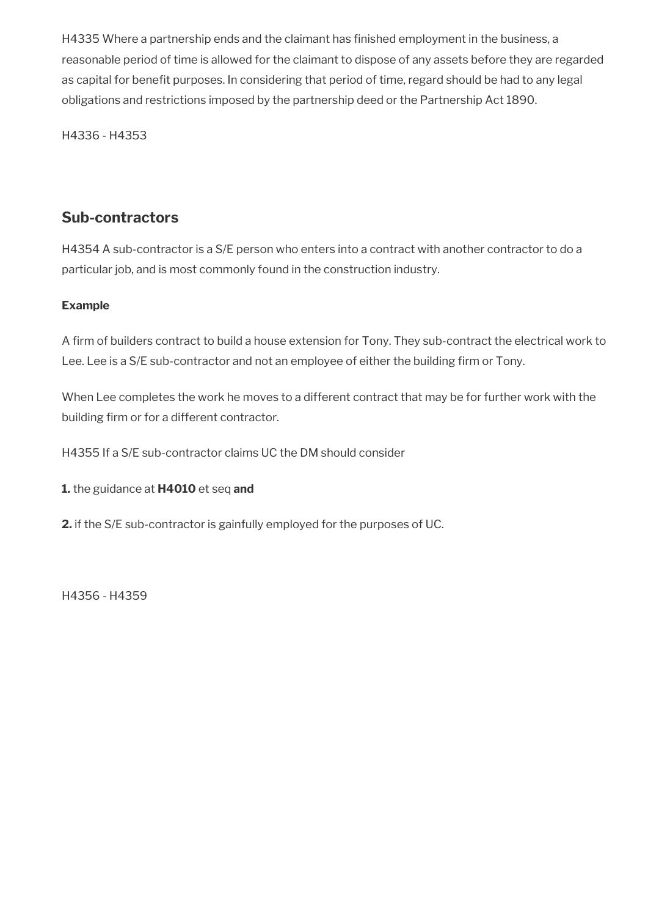H4335 Where a partnership ends and the claimant has finished employment in the business, a reasonable period of time is allowed for the claimant to dispose of any assets before they are regarded as capital for benefit purposes. In considering that period of time, regard should be had to any legal obligations and restrictions imposed by the partnership deed or the Partnership Act 1890.

H4336 - H4353

# <span id="page-56-0"></span>**Sub-contractors**

H4354 A sub-contractor is a S/E person who enters into a contract with another contractor to do a particular job, and is most commonly found in the construction industry.

## **Example**

A firm of builders contract to build a house extension for Tony. They sub-contract the electrical work to Lee. Lee is a S/E sub-contractor and not an employee of either the building firm or Tony.

When Lee completes the work he moves to a different contract that may be for further work with the building firm or for a different contractor.

H4355 If a S/E sub-contractor claims UC the DM should consider

**1.** the guidance at **H4010** et seq **and** 

**2.** if the S/E sub-contractor is gainfully employed for the purposes of UC.

H4356 - H4359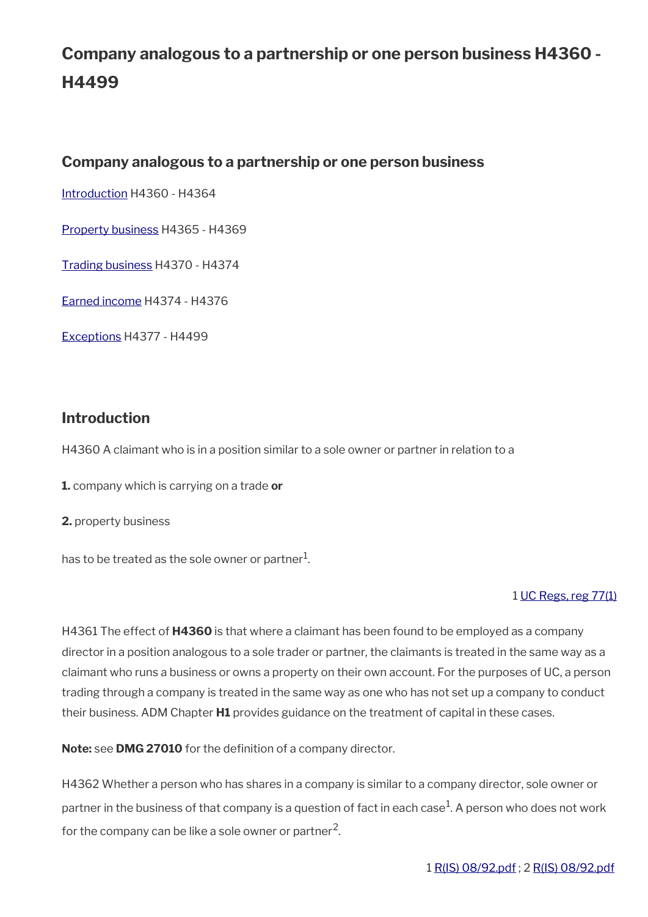# **Company analogous to a partnership or one person business H4360 - H4499**

# **Company analogous to a partnership or one person business**

[Introduction](#page-57-0) H4360 - H4364

[Property business](#page-58-0) H4365 - H4369

[Trading business](#page-59-0) H4370 - H4374

[Earned income](#page-60-0) H4374 - H4376

[Exceptions](#page-28-0) H4377 - H4499

# <span id="page-57-0"></span>**Introduction**

H4360 A claimant who is in a position similar to a sole owner or partner in relation to a

**1.** company which is carrying on a trade **or**

**2.** property business

has to be treated as the sole owner or partner $^1\!\!$  .

# 1 [UC Regs, reg 77\(1\)](https://www.legislation.gov.uk/uksi/2013/376/regulation/77)

H4361 The effect of **H4360** is that where a claimant has been found to be employed as a company director in a position analogous to a sole trader or partner, the claimants is treated in the same way as a claimant who runs a business or owns a property on their own account. For the purposes of UC, a person trading through a company is treated in the same way as one who has not set up a company to conduct their business. ADM Chapter **H1** provides guidance on the treatment of capital in these cases.

**Note:** see **DMG 27010** for the definition of a company director.

H4362 Whether a person who has shares in a company is similar to a company director, sole owner or partner in the business of that company is a question of fact in each case $^1$ . A person who does not work for the company can be like a sole owner or partner<sup>2</sup>.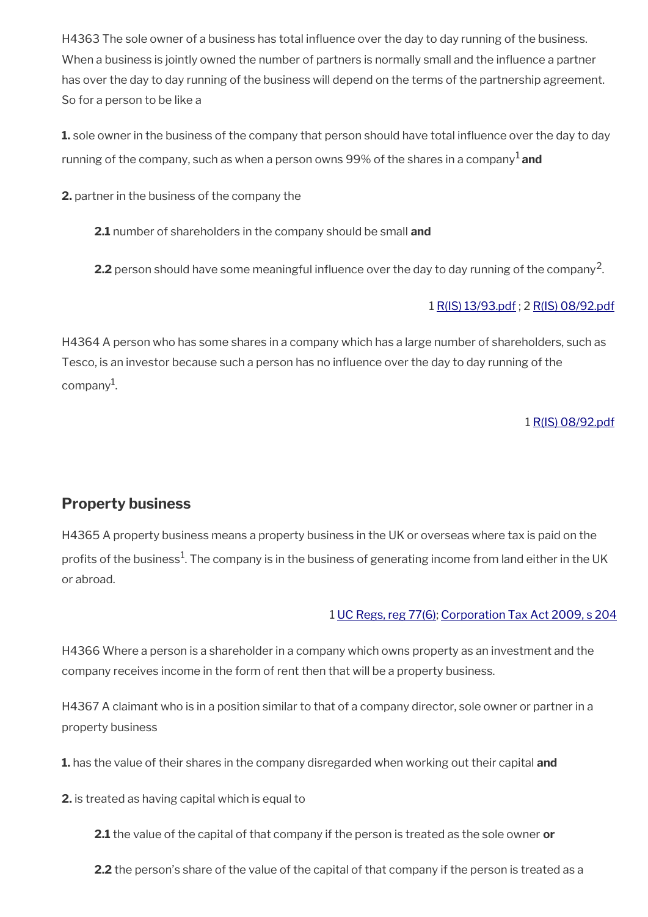H4363 The sole owner of a business has total infuence over the day to day running of the business. When a business is jointly owned the number of partners is normally small and the infuence a partner has over the day to day running of the business will depend on the terms of the partnership agreement. So for a person to be like a

**1.** sole owner in the business of the company that person should have total infuence over the day to day running of the company, such as when a person owns 99% of the shares in a company<sup>1</sup> and

**2.** partner in the business of the company the

**2.1** number of shareholders in the company should be small **and** 

**2.2** person should have some meaningful influence over the day to day running of the company<sup>2</sup>.

## 1 [R\(IS\) 13/93.pdf](../file/905445/download/R%2528IS%2529%252013%252F93.pdf) ; 2 [R\(IS\) 08/92.pdf](../file/905444/download/R%2528IS%2529%252008%252F92.pdf)

H4364 A person who has some shares in a company which has a large number of shareholders, such as Tesco, is an investor because such a person has no infuence over the day to day running of the company<sup>1</sup>.

1 [R\(IS\) 08/92.pdf](../file/905448/download/R%2528IS%2529%252008%252F92.pdf)

# <span id="page-58-0"></span>**Property business**

H4365 A property business means a property business in the UK or overseas where tax is paid on the profits of the business $^1$ . The company is in the business of generating income from land either in the UK or abroad.

### 1 [UC Regs, reg 77\(6\);](https://www.legislation.gov.uk/uksi/2013/376/regulation/77) [Corporation Tax Act 2009, s 204](https://www.legislation.gov.uk/ukpga/2009/4/section/204)

H4366 Where a person is a shareholder in a company which owns property as an investment and the company receives income in the form of rent then that will be a property business.

H4367 A claimant who is in a position similar to that of a company director, sole owner or partner in a property business

**1.** has the value of their shares in the company disregarded when working out their capital **and** 

**2.** is treated as having capital which is equal to

**2.1** the value of the capital of that company if the person is treated as the sole owner **or** 

**2.2** the person's share of the value of the capital of that company if the person is treated as a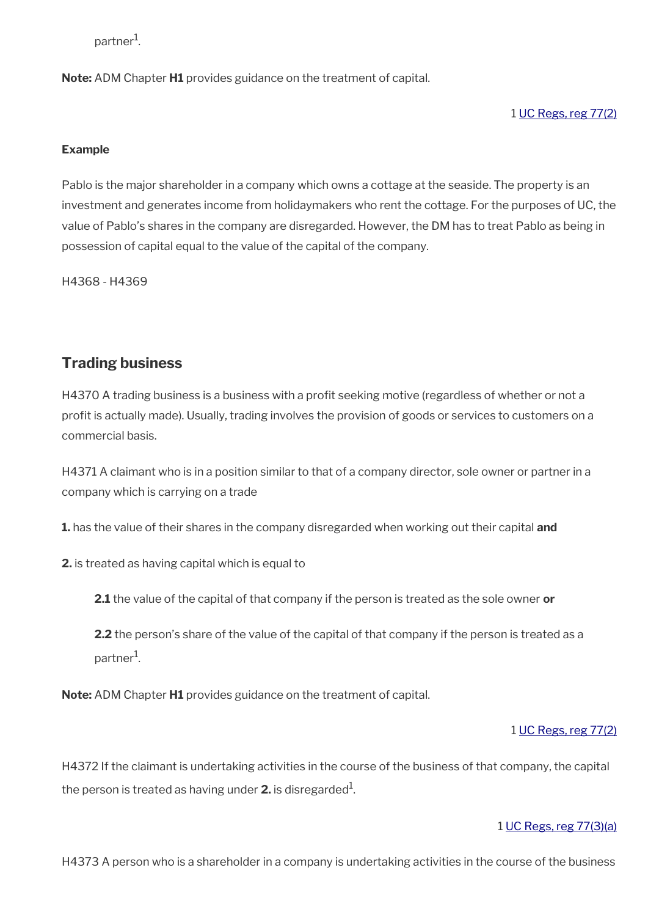partner<sup>1</sup>.

**Note:** ADM Chapter **H1** provides guidance on the treatment of capital.

1 [UC Regs, reg 77\(2\)](https://www.legislation.gov.uk/uksi/2013/376/regulation/77)

### **Example**

Pablo is the major shareholder in a company which owns a cottage at the seaside. The property is an investment and generates income from holidaymakers who rent the cottage. For the purposes of UC, the value of Pablo's shares in the company are disregarded. However, the DM has to treat Pablo as being in possession of capital equal to the value of the capital of the company.

H4368 - H4369

# <span id="page-59-0"></span>**Trading business**

H4370 A trading business is a business with a profit seeking motive (regardless of whether or not a profit is actually made). Usually, trading involves the provision of goods or services to customers on a commercial basis.

H4371 A claimant who is in a position similar to that of a company director, sole owner or partner in a company which is carrying on a trade

**1.** has the value of their shares in the company disregarded when working out their capital **and** 

**2.** is treated as having capital which is equal to

**2.1** the value of the capital of that company if the person is treated as the sole owner **or** 

**2.2** the person's share of the value of the capital of that company if the person is treated as a partner<sup>1</sup>.

**Note:** ADM Chapter **H1** provides guidance on the treatment of capital.

### 1 [UC Regs, reg 77\(2\)](https://www.legislation.gov.uk/uksi/2013/376/regulation/77)

H4372 If the claimant is undertaking activities in the course of the business of that company, the capital the person is treated as having under  $\boldsymbol{2}.$  is disregarded $^{1}$ .

### 1 [UC Regs, reg 77\(3\)\(a\)](https://www.legislation.gov.uk/uksi/2013/376/regulation/77)

H4373 A person who is a shareholder in a company is undertaking activities in the course of the business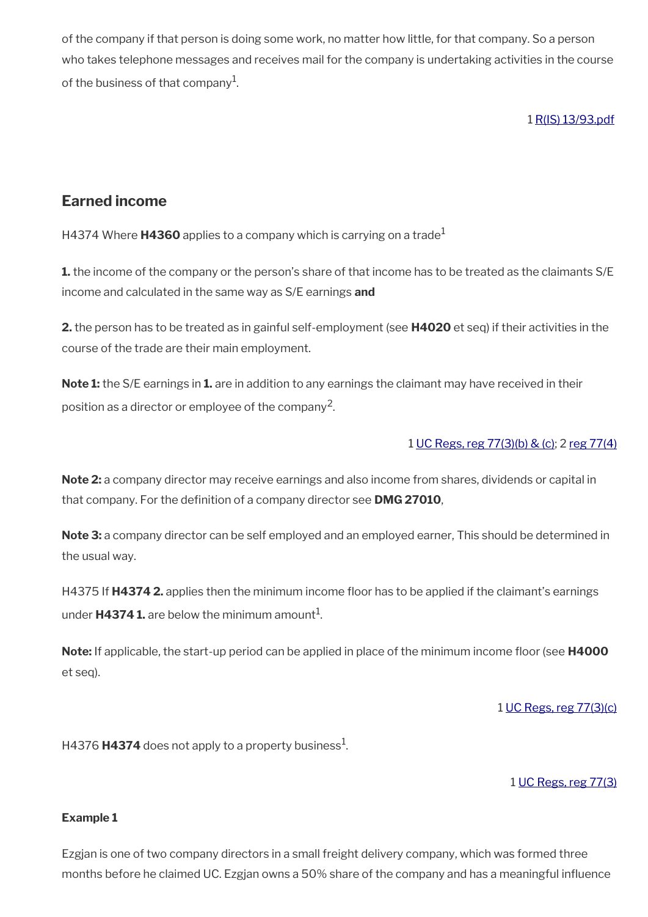of the company if that person is doing some work, no matter how little, for that company. So a person who takes telephone messages and receives mail for the company is undertaking activities in the course of the business of that company $^{\rm 1}$ .

## 1 [R\(IS\) 13/93.pdf](../file/905450/download/R%2528IS%2529%252013%252F93.pdf)

# <span id="page-60-0"></span>**Earned income**

H4374 Where **H4360** applies to a company which is carrying on a trade<sup>1</sup>

**1.** the income of the company or the person's share of that income has to be treated as the claimants S/E income and calculated in the same way as S/E earnings **and**

**2.** the person has to be treated as in gainful self-employment (see **H4020** et seq) if their activities in the course of the trade are their main employment.

**Note 1:** the S/E earnings in **1.** are in addition to any earnings the claimant may have received in their position as a director or employee of the company<sup>2</sup>.

### 1 [UC Regs, reg 77\(3\)\(b\) & \(c\);](https://www.legislation.gov.uk/uksi/2013/376/regulation/77) 2 [reg 77\(4\)](https://www.legislation.gov.uk/uksi/2013/376/regulation/77)

**Note 2:** a company director may receive earnings and also income from shares, dividends or capital in that company. For the defnition of a company director see **DMG 27010**,

**Note 3:** a company director can be self employed and an employed earner, This should be determined in the usual way.

H4375 If **H4374 2.** applies then the minimum income foor has to be applied if the claimant's earnings under **H4374 1.** are below the minimum amount $^1$ .

Note: If applicable, the start-up period can be applied in place of the minimum income floor (see H4000 et seq).

### 1 [UC Regs, reg 77\(3\)\(c\)](https://www.legislation.gov.uk/uksi/2013/376/regulation/77)

H4376 **H4374** does not apply to a property business<sup>1</sup>.

### 1 [UC Regs, reg 77\(3\)](https://www.legislation.gov.uk/uksi/2013/376/regulation/77)

### **Example 1**

Ezgjan is one of two company directors in a small freight delivery company, which was formed three months before he claimed UC. Ezgjan owns a 50% share of the company and has a meaningful infuence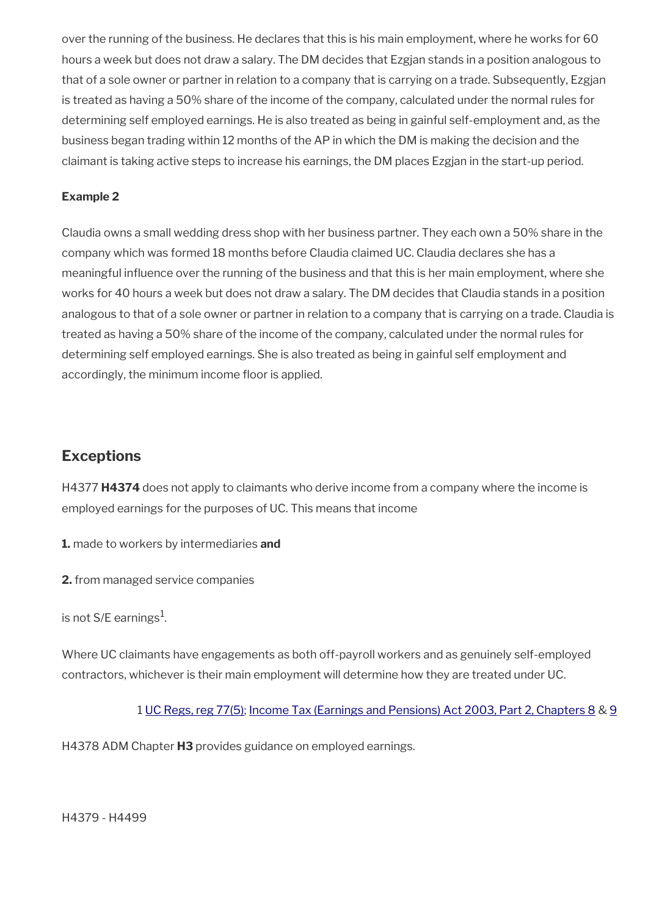over the running of the business. He declares that this is his main employment, where he works for 60 hours a week but does not draw a salary. The DM decides that Ezgjan stands in a position analogous to that of a sole owner or partner in relation to a company that is carrying on a trade. Subsequently, Ezgjan is treated as having a 50% share of the income of the company, calculated under the normal rules for determining self employed earnings. He is also treated as being in gainful self-employment and, as the business began trading within 12 months of the AP in which the DM is making the decision and the claimant is taking active steps to increase his earnings, the DM places Ezgjan in the start-up period.

### **Example 2**

Claudia owns a small wedding dress shop with her business partner. They each own a 50% share in the company which was formed 18 months before Claudia claimed UC. Claudia declares she has a meaningful infuence over the running of the business and that this is her main employment, where she works for 40 hours a week but does not draw a salary. The DM decides that Claudia stands in a position analogous to that of a sole owner or partner in relation to a company that is carrying on a trade. Claudia is treated as having a 50% share of the income of the company, calculated under the normal rules for determining self employed earnings. She is also treated as being in gainful self employment and accordingly, the minimum income floor is applied.

# **Exceptions**

H4377 **H4374** does not apply to claimants who derive income from a company where the income is employed earnings for the purposes of UC. This means that income

**1.** made to workers by intermediaries **and**

**2.** from managed service companies

is not S/E earnings $^{\rm 1}$ .

Where UC claimants have engagements as both off-payroll workers and as genuinely self-employed contractors, whichever is their main employment will determine how they are treated under UC.

1 [UC Regs, reg 77\(5\)](https://www.legislation.gov.uk/uksi/2013/376/regulation/77); [Income Tax \(Earnings and Pensions\) Act 2003, Part 2, Chapters 8](https://www.legislation.gov.uk/ukpga/2003/1/part/2/chapter/8) & [9](https://www.legislation.gov.uk/ukpga/2003/1/part/2/chapter/9)

H4378 ADM Chapter **H3** provides guidance on employed earnings.

H4379 - H4499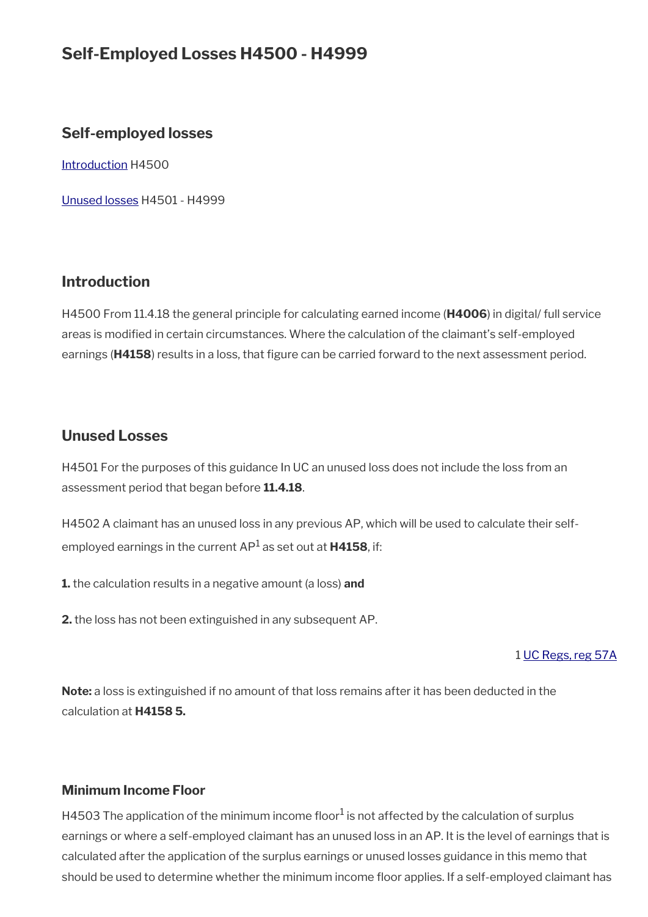# **Self-Employed Losses H4500 - H4999**

# **Self-employed losses**

[Introduction](#page-62-1) H4500

[Unused losses](#page-62-0) H4501 - H4999

# <span id="page-62-1"></span>**Introduction**

H4500 From 11.4.18 the general principle for calculating earned income (**H4006**) in digital/ full service areas is modifed in certain circumstances. Where the calculation of the claimant's self-employed earnings (H4158) results in a loss, that figure can be carried forward to the next assessment period.

# <span id="page-62-0"></span>**Unused Losses**

H4501 For the purposes of this guidance In UC an unused loss does not include the loss from an assessment period that began before **11.4.18**.

H4502 A claimant has an unused loss in any previous AP, which will be used to calculate their selfemployed earnings in the current AP<sup>1</sup> as set out at **H4158**, if:

**1.** the calculation results in a negative amount (a loss) **and**

**2.** the loss has not been extinguished in any subsequent AP.

### 1 [UC Regs, reg 57A](https://www.legislation.gov.uk/uksi/2013/376/regulation/57A)

**Note:** a loss is extinguished if no amount of that loss remains after it has been deducted in the calculation at **H4158 5.**

### **Minimum Income Floor**

H4503 The application of the minimum income floor<sup>1</sup> is not affected by the calculation of surplus earnings or where a self-employed claimant has an unused loss in an AP. It is the level of earnings that is calculated after the application of the surplus earnings or unused losses guidance in this memo that should be used to determine whether the minimum income floor applies. If a self-employed claimant has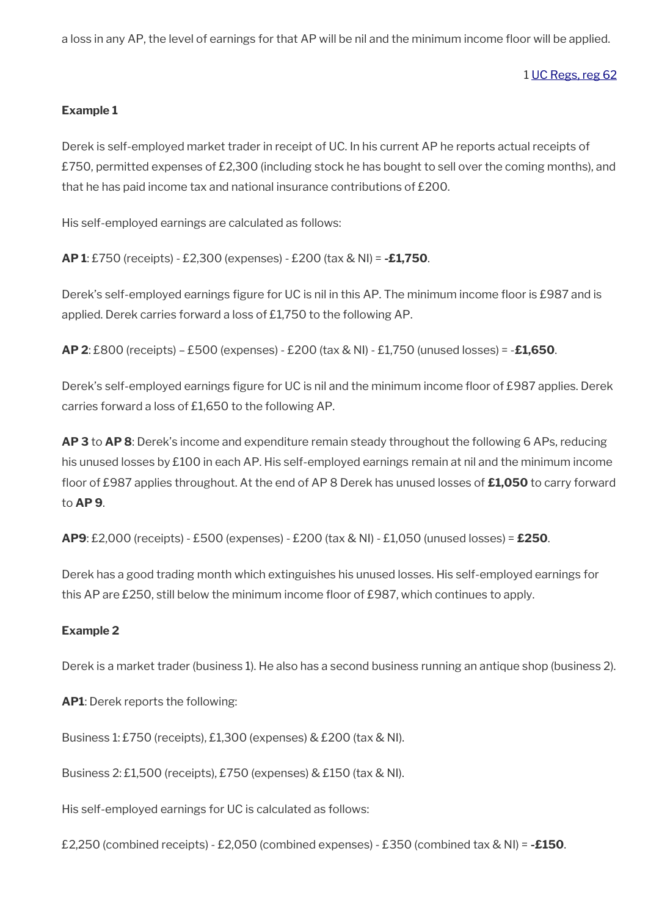a loss in any AP, the level of earnings for that AP will be nil and the minimum income foor will be applied.

1 [UC Regs, reg 62](https://www.legislation.gov.uk/uksi/2013/376/regulation/62)

### **Example 1**

Derek is self-employed market trader in receipt of UC. In his current AP he reports actual receipts of £750, permitted expenses of £2,300 (including stock he has bought to sell over the coming months), and that he has paid income tax and national insurance contributions of £200.

His self-employed earnings are calculated as follows:

**AP 1**: £750 (receipts) - £2,300 (expenses) - £200 (tax & NI) = **-£1,750**.

Derek's self-employed earnings figure for UC is nil in this AP. The minimum income floor is £987 and is applied. Derek carries forward a loss of £1,750 to the following AP.

**AP 2**: £800 (receipts) – £500 (expenses) - £200 (tax & NI) - £1,750 (unused losses) = -**£1,650**.

Derek's self-employed earnings figure for UC is nil and the minimum income floor of £987 applies. Derek carries forward a loss of £1,650 to the following AP.

**AP 3** to **AP 8**: Derek's income and expenditure remain steady throughout the following 6 APs, reducing his unused losses by £100 in each AP. His self-employed earnings remain at nil and the minimum income foor of £987 applies throughout. At the end of AP 8 Derek has unused losses of **£1,050** to carry forward to **AP 9**.

**AP9**: £2,000 (receipts) - £500 (expenses) - £200 (tax & NI) - £1,050 (unused losses) = **£250**.

Derek has a good trading month which extinguishes his unused losses. His self-employed earnings for this AP are £250, still below the minimum income foor of £987, which continues to apply.

### **Example 2**

Derek is a market trader (business 1). He also has a second business running an antique shop (business 2).

**AP1**: Derek reports the following:

Business 1: £750 (receipts), £1,300 (expenses) & £200 (tax & NI).

Business 2: £1,500 (receipts), £750 (expenses) & £150 (tax & NI).

His self-employed earnings for UC is calculated as follows:

£2,250 (combined receipts) - £2,050 (combined expenses) - £350 (combined tax & NI) = **-£150**.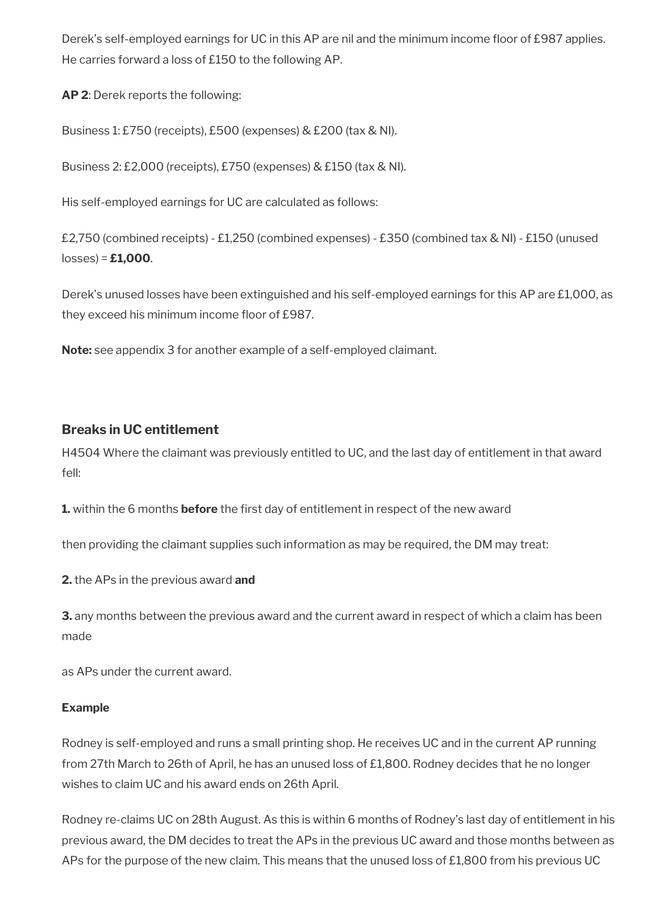Derek's self-employed earnings for UC in this AP are nil and the minimum income floor of £987 applies. He carries forward a loss of £150 to the following AP.

**AP 2**: Derek reports the following:

Business 1: £750 (receipts), £500 (expenses) & £200 (tax & NI).

Business 2: £2,000 (receipts), £750 (expenses) & £150 (tax & NI).

His self-employed earnings for UC are calculated as follows:

£2,750 (combined receipts) - £1,250 (combined expenses) - £350 (combined tax & NI) - £150 (unused losses) = **£1,000**.

Derek's unused losses have been extinguished and his self-employed earnings for this AP are £1,000, as they exceed his minimum income floor of £987.

**Note:** see appendix 3 for another example of a self-employed claimant.

# **Breaks in UC entitlement**

H4504 Where the claimant was previously entitled to UC, and the last day of entitlement in that award fell:

**1.** within the 6 months **before** the first day of entitlement in respect of the new award

then providing the claimant supplies such information as may be required, the DM may treat:

**2.** the APs in the previous award **and**

**3.** any months between the previous award and the current award in respect of which a claim has been made

as APs under the current award.

### **Example**

Rodney is self-employed and runs a small printing shop. He receives UC and in the current AP running from 27th March to 26th of April, he has an unused loss of £1,800. Rodney decides that he no longer wishes to claim UC and his award ends on 26th April.

Rodney re-claims UC on 28th August. As this is within 6 months of Rodney's last day of entitlement in his previous award, the DM decides to treat the APs in the previous UC award and those months between as APs for the purpose of the new claim. This means that the unused loss of £1,800 from his previous UC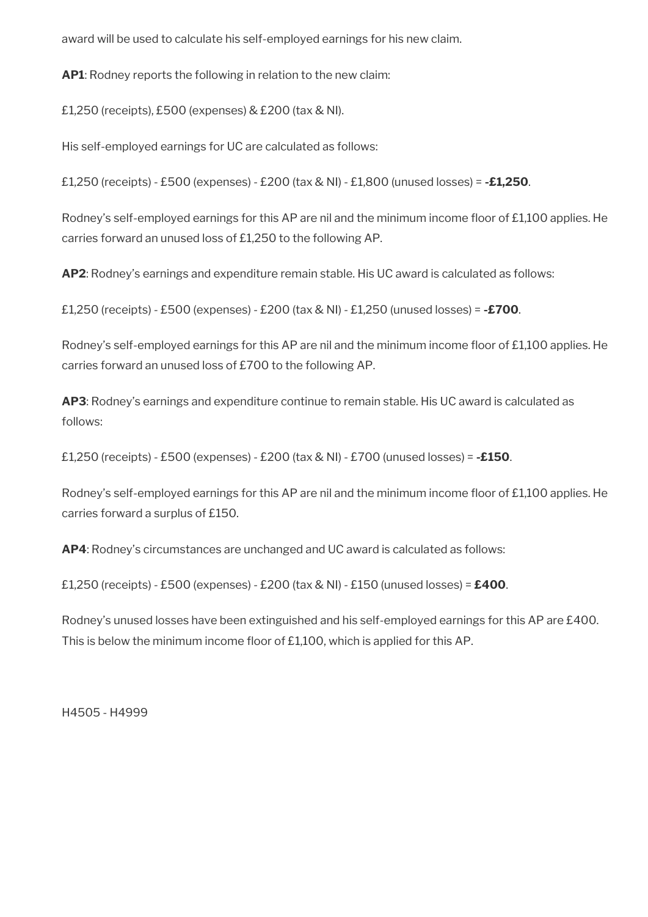award will be used to calculate his self-employed earnings for his new claim.

**AP1**: Rodney reports the following in relation to the new claim:

£1,250 (receipts), £500 (expenses) & £200 (tax & NI).

His self-employed earnings for UC are calculated as follows:

£1,250 (receipts) - £500 (expenses) - £200 (tax & NI) - £1,800 (unused losses) = **-£1,250**.

Rodney's self-employed earnings for this AP are nil and the minimum income floor of £1,100 applies. He carries forward an unused loss of £1,250 to the following AP.

**AP2**: Rodney's earnings and expenditure remain stable. His UC award is calculated as follows:

£1,250 (receipts) - £500 (expenses) - £200 (tax & NI) - £1,250 (unused losses) = **-£700**.

Rodney's self-employed earnings for this AP are nil and the minimum income floor of £1,100 applies. He carries forward an unused loss of £700 to the following AP.

**AP3**: Rodney's earnings and expenditure continue to remain stable. His UC award is calculated as follows:

£1,250 (receipts) - £500 (expenses) - £200 (tax & NI) - £700 (unused losses) = **-£150**.

Rodney's self-employed earnings for this AP are nil and the minimum income floor of £1,100 applies. He carries forward a surplus of £150.

**AP4**: Rodney's circumstances are unchanged and UC award is calculated as follows:

£1,250 (receipts) - £500 (expenses) - £200 (tax & NI) - £150 (unused losses) = **£400**.

Rodney's unused losses have been extinguished and his self-employed earnings for this AP are £400. This is below the minimum income floor of £1,100, which is applied for this AP.

H4505 - H4999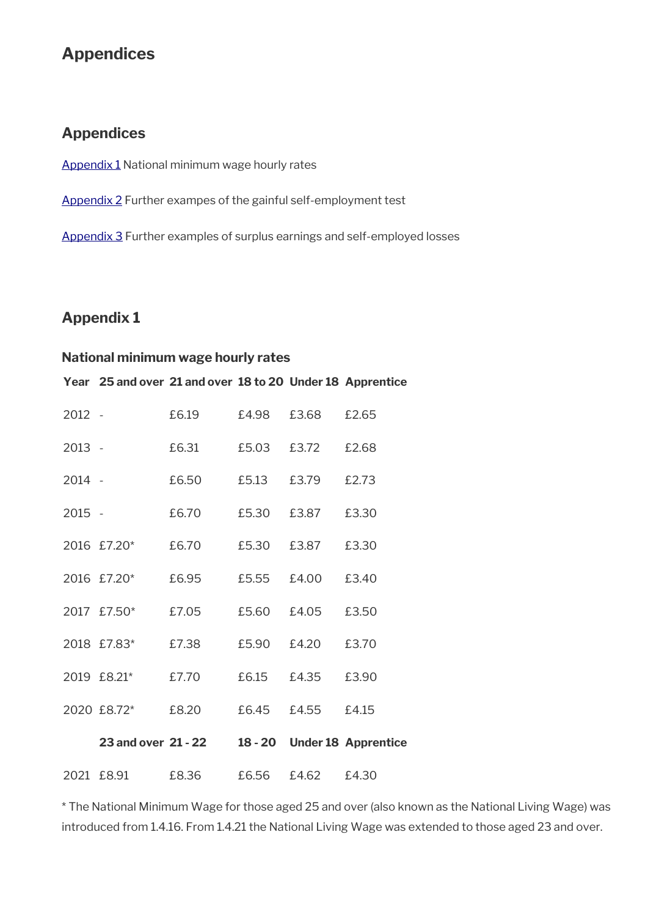# **Appendices**

# **Appendices**

[Appendix 1](#page-66-0) National minimum wage hourly rates

[Appendix 2](#page-67-0) Further exampes of the gainful self-employment test

[Appendix 3](#page-70-0) Further examples of surplus earnings and self-employed losses

# <span id="page-66-0"></span>**Appendix 1**

## **National minimum wage hourly rates**

**Year 25 and over 21 and over 18 to 20 Under 18 Apprentice**

| 2012 -   |                     | £6.19 | £4.98   | £3.68 | £2.65                      |
|----------|---------------------|-------|---------|-------|----------------------------|
| 2013 -   |                     | £6.31 | £5.03   | £3.72 | £2.68                      |
| $2014 -$ |                     | £6.50 | £5.13   | £3.79 | £2.73                      |
| $2015 -$ |                     | £6.70 | £5.30   | £3.87 | £3.30                      |
|          | 2016 £7.20*         | £6.70 | £5.30   | £3.87 | £3.30                      |
|          | 2016 £7.20*         | £6.95 | £5.55   | £4.00 | £3.40                      |
|          | 2017 £7.50*         | £7.05 | £5.60   | £4.05 | £3.50                      |
|          | 2018 £7.83*         | £7.38 | £5.90   | £4.20 | £3.70                      |
|          | 2019 £8.21*         | £7.70 | £6.15   | £4.35 | £3.90                      |
|          | 2020 £8.72*         | £8.20 | £6.45   | £4.55 | £4.15                      |
|          | 23 and over 21 - 22 |       | 18 - 20 |       | <b>Under 18 Apprentice</b> |
|          | 2021 £8.91          | £8.36 | £6.56   | £4.62 | £4.30                      |

\* The National Minimum Wage for those aged 25 and over (also known as the National Living Wage) was introduced from 1.4.16. From 1.4.21 the National Living Wage was extended to those aged 23 and over.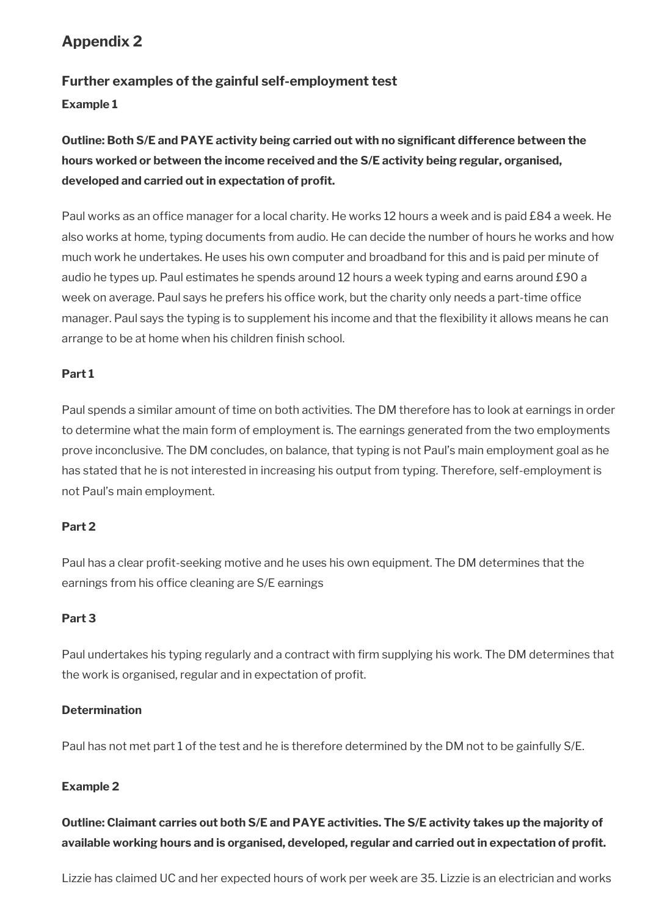# <span id="page-67-0"></span>**Appendix 2**

# **Further examples of the gainful self-employment test**

# **Example 1**

# **Outline: Both S/E and PAYE activity being carried out with no signifcant difference between the hours worked or between the income received and the S/E activity being regular, organised, developed and carried out in expectation of proft.**

Paul works as an offce manager for a local charity. He works 12 hours a week and is paid £84 a week. He also works at home, typing documents from audio. He can decide the number of hours he works and how much work he undertakes. He uses his own computer and broadband for this and is paid per minute of audio he types up. Paul estimates he spends around 12 hours a week typing and earns around £90 a week on average. Paul says he prefers his office work, but the charity only needs a part-time office manager. Paul says the typing is to supplement his income and that the fexibility it allows means he can arrange to be at home when his children finish school.

## **Part 1**

Paul spends a similar amount of time on both activities. The DM therefore has to look at earnings in order to determine what the main form of employment is. The earnings generated from the two employments prove inconclusive. The DM concludes, on balance, that typing is not Paul's main employment goal as he has stated that he is not interested in increasing his output from typing. Therefore, self-employment is not Paul's main employment.

### **Part 2**

Paul has a clear profit-seeking motive and he uses his own equipment. The DM determines that the earnings from his office cleaning are S/E earnings

### **Part 3**

Paul undertakes his typing regularly and a contract with frm supplying his work. The DM determines that the work is organised, regular and in expectation of proft.

### **Determination**

Paul has not met part 1 of the test and he is therefore determined by the DM not to be gainfully S/E.

### **Example 2**

**Outline: Claimant carries out both S/E and PAYE activities. The S/E activity takes up the majority of available working hours and is organised, developed, regular and carried out in expectation of proft.**

Lizzie has claimed UC and her expected hours of work per week are 35. Lizzie is an electrician and works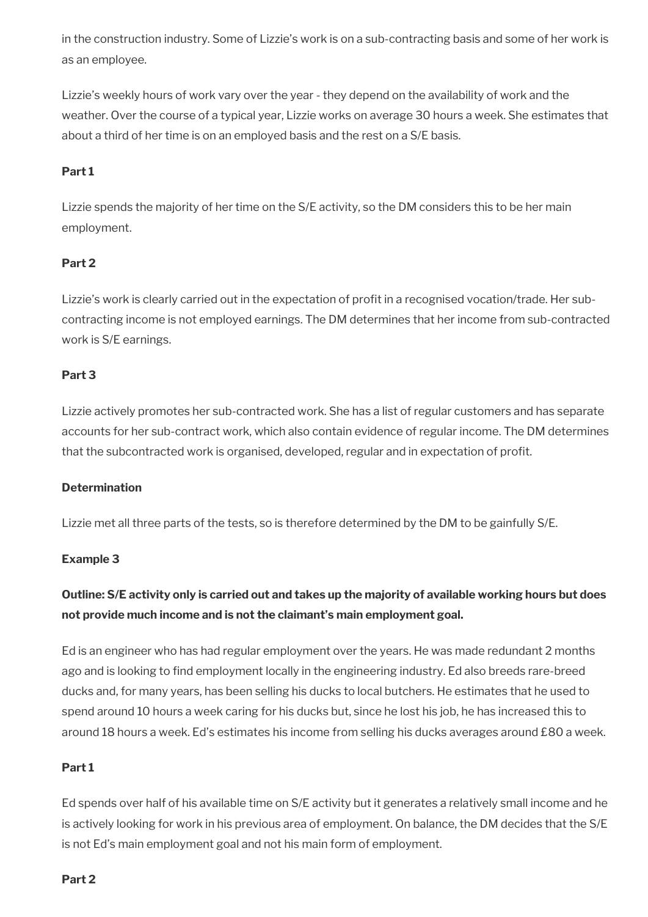in the construction industry. Some of Lizzie's work is on a sub-contracting basis and some of her work is as an employee.

Lizzie's weekly hours of work vary over the year - they depend on the availability of work and the weather. Over the course of a typical year, Lizzie works on average 30 hours a week. She estimates that about a third of her time is on an employed basis and the rest on a S/E basis.

## **Part 1**

Lizzie spends the majority of her time on the S/E activity, so the DM considers this to be her main employment.

### **Part 2**

Lizzie's work is clearly carried out in the expectation of proft in a recognised vocation/trade. Her subcontracting income is not employed earnings. The DM determines that her income from sub-contracted work is S/E earnings.

### **Part 3**

Lizzie actively promotes her sub-contracted work. She has a list of regular customers and has separate accounts for her sub-contract work, which also contain evidence of regular income. The DM determines that the subcontracted work is organised, developed, regular and in expectation of proft.

### **Determination**

Lizzie met all three parts of the tests, so is therefore determined by the DM to be gainfully S/E.

### **Example 3**

# **Outline: S/E activity only is carried out and takes up the majority of available working hours but does not provide much income and is not the claimant's main employment goal.**

Ed is an engineer who has had regular employment over the years. He was made redundant 2 months ago and is looking to find employment locally in the engineering industry. Ed also breeds rare-breed ducks and, for many years, has been selling his ducks to local butchers. He estimates that he used to spend around 10 hours a week caring for his ducks but, since he lost his job, he has increased this to around 18 hours a week. Ed's estimates his income from selling his ducks averages around £80 a week.

### **Part 1**

Ed spends over half of his available time on S/E activity but it generates a relatively small income and he is actively looking for work in his previous area of employment. On balance, the DM decides that the S/E is not Ed's main employment goal and not his main form of employment.

### **Part 2**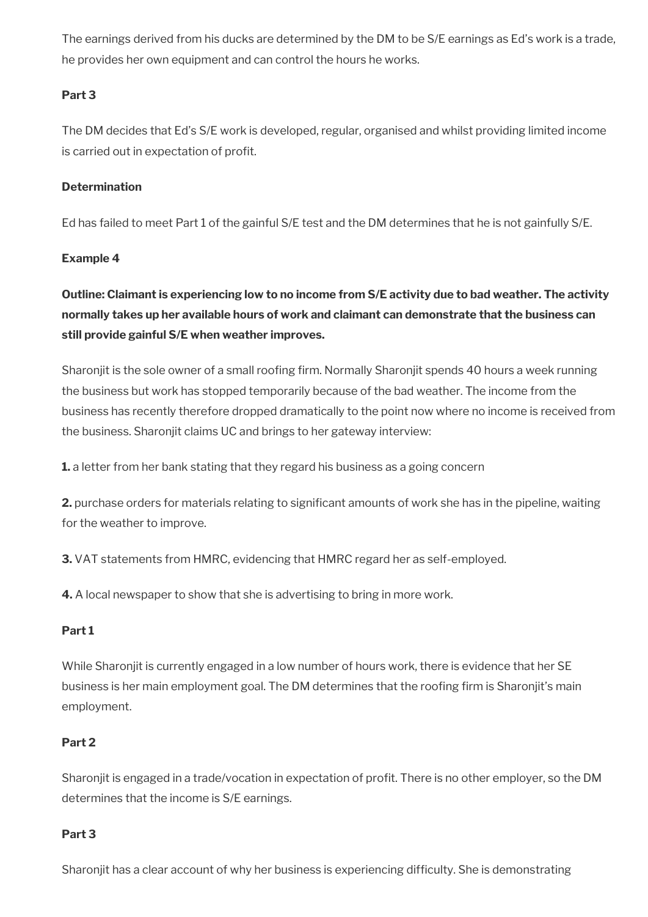The earnings derived from his ducks are determined by the DM to be S/E earnings as Ed's work is a trade, he provides her own equipment and can control the hours he works.

### **Part 3**

The DM decides that Ed's S/E work is developed, regular, organised and whilst providing limited income is carried out in expectation of profit.

## **Determination**

Ed has failed to meet Part 1 of the gainful S/E test and the DM determines that he is not gainfully S/E.

## **Example 4**

**Outline: Claimant is experiencing low to no income from S/E activity due to bad weather. The activity normally takes up her available hours of work and claimant can demonstrate that the business can still provide gainful S/E when weather improves.** 

Sharonjit is the sole owner of a small roofing firm. Normally Sharonjit spends 40 hours a week running the business but work has stopped temporarily because of the bad weather. The income from the business has recently therefore dropped dramatically to the point now where no income is received from the business. Sharonjit claims UC and brings to her gateway interview:

**1.** a letter from her bank stating that they regard his business as a going concern

**2.** purchase orders for materials relating to significant amounts of work she has in the pipeline, waiting for the weather to improve.

**3.** VAT statements from HMRC, evidencing that HMRC regard her as self-employed.

**4.** A local newspaper to show that she is advertising to bring in more work.

### **Part 1**

While Sharonjit is currently engaged in a low number of hours work, there is evidence that her SE business is her main employment goal. The DM determines that the roofng frm is Sharonjit's main employment.

# **Part 2**

Sharonjit is engaged in a trade/vocation in expectation of proft. There is no other employer, so the DM determines that the income is S/E earnings.

### **Part 3**

Sharonjit has a clear account of why her business is experiencing difficulty. She is demonstrating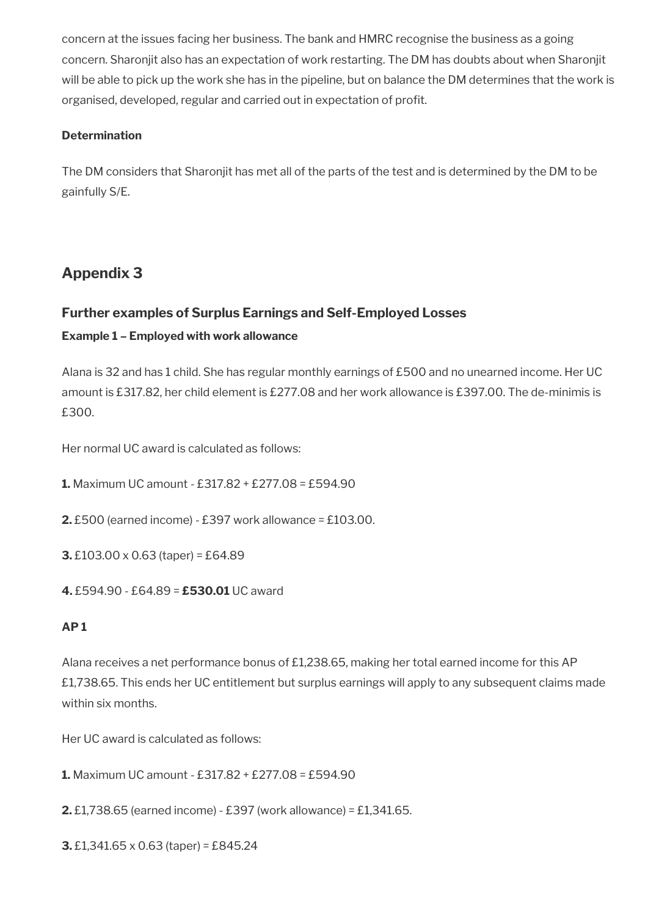concern at the issues facing her business. The bank and HMRC recognise the business as a going concern. Sharonjit also has an expectation of work restarting. The DM has doubts about when Sharonjit will be able to pick up the work she has in the pipeline, but on balance the DM determines that the work is organised, developed, regular and carried out in expectation of proft.

## **Determination**

The DM considers that Sharonjit has met all of the parts of the test and is determined by the DM to be gainfully S/E.

# <span id="page-70-0"></span>**Appendix 3**

# **Further examples of Surplus Earnings and Self-Employed Losses**

# **Example 1 – Employed with work allowance**

Alana is 32 and has 1 child. She has regular monthly earnings of £500 and no unearned income. Her UC amount is £317.82, her child element is £277.08 and her work allowance is £397.00. The de-minimis is £300.

Her normal UC award is calculated as follows:

**1.** Maximum UC amount - £317.82 + £277.08 = £594.90

- **2.** £500 (earned income) £397 work allowance = £103.00.
- **3.** £103.00 x 0.63 (taper) = £64.89
- **4.** £594.90 £64.89 = **£530.01** UC award

# **AP 1**

Alana receives a net performance bonus of £1,238.65, making her total earned income for this AP £1,738.65. This ends her UC entitlement but surplus earnings will apply to any subsequent claims made within six months.

Her UC award is calculated as follows:

**1.** Maximum UC amount - £317.82 + £277.08 = £594.90

**2.** £1,738.65 (earned income) - £397 (work allowance) = £1,341.65.

**3.** £1,341.65 x 0.63 (taper) = £845.24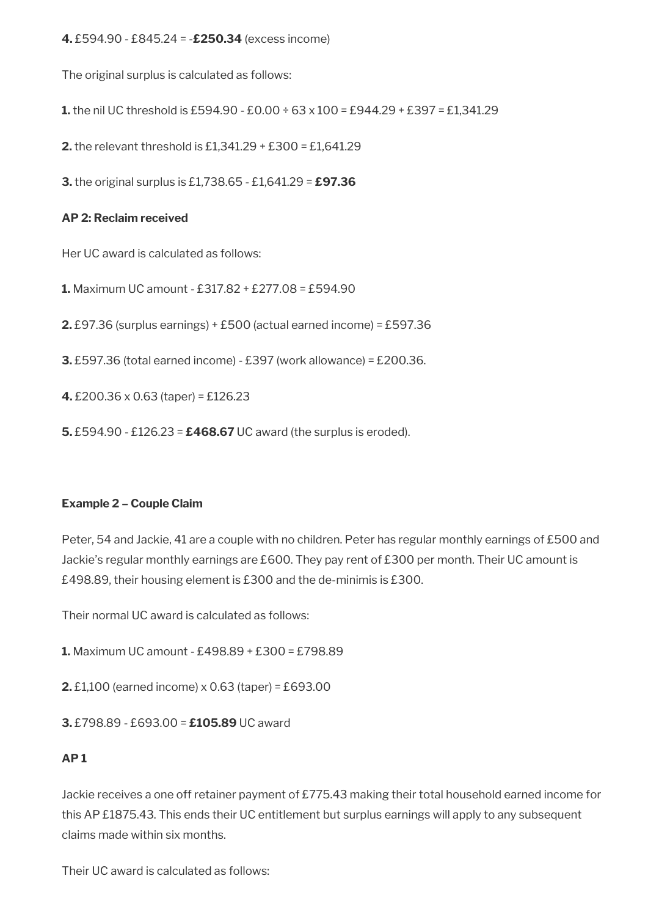**4.** £594.90 - £845.24 = -**£250.34** (excess income)

The original surplus is calculated as follows:

**1.** the nil UC threshold is £594.90 - £0.00 ÷ 63 x 100 = £944.29 + £397 = £1,341.29

**2.** the relevant threshold is £1,341.29 + £300 = £1,641.29

**3.** the original surplus is £1,738.65 - £1,641.29 = **£97.36**

### **AP 2: Reclaim received**

Her UC award is calculated as follows:

**1.** Maximum UC amount - £317.82 + £277.08 = £594.90

**2.** £97.36 (surplus earnings) + £500 (actual earned income) = £597.36

**3.** £597.36 (total earned income) - £397 (work allowance) = £200.36.

**4.** £200.36 x 0.63 (taper) = £126.23

**5.** £594.90 - £126.23 = **£468.67** UC award (the surplus is eroded).

### **Example 2 – Couple Claim**

Peter, 54 and Jackie, 41 are a couple with no children. Peter has regular monthly earnings of £500 and Jackie's regular monthly earnings are £600. They pay rent of £300 per month. Their UC amount is £498.89, their housing element is £300 and the de-minimis is £300.

Their normal UC award is calculated as follows:

**1.** Maximum UC amount - £498.89 + £300 = £798.89

**2.** £1,100 (earned income) x 0.63 (taper) = £693.00

**3.** £798.89 - £693.00 = **£105.89** UC award

# **AP 1**

Jackie receives a one off retainer payment of £775.43 making their total household earned income for this AP £1875.43. This ends their UC entitlement but surplus earnings will apply to any subsequent claims made within six months.

Their UC award is calculated as follows: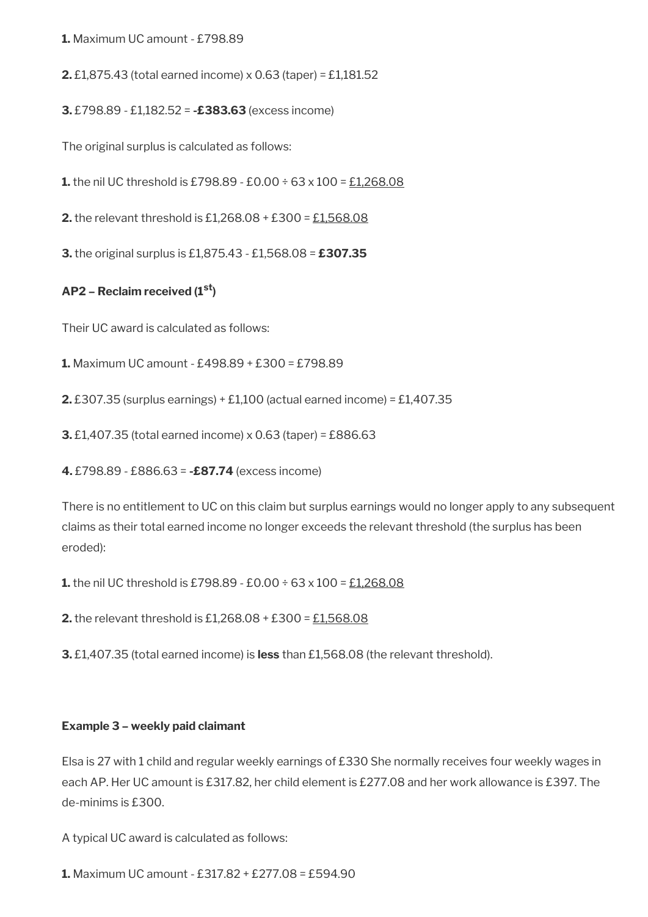**1.** Maximum UC amount - £798.89

**2.** £1,875.43 (total earned income) x 0.63 (taper) = £1,181.52

**3.** £798.89 - £1,182.52 = **-£383.63** (excess income)

The original surplus is calculated as follows:

**1.** the nil UC threshold is £798.89 - £0.00 ÷ 63 x 100 = £1,268.08

**2.** the relevant threshold is £1,268.08 + £300 = £1,568.08

**3.** the original surplus is £1,875.43 - £1,568.08 = **£307.35**

### **AP2 – Reclaim received (1st)**

Their UC award is calculated as follows:

**1.** Maximum UC amount - £498.89 + £300 = £798.89

**2.** £307.35 (surplus earnings) + £1,100 (actual earned income) = £1,407.35

**3.** £1,407.35 (total earned income) x 0.63 (taper) = £886.63

**4.** £798.89 - £886.63 = **-£87.74** (excess income)

There is no entitlement to UC on this claim but surplus earnings would no longer apply to any subsequent claims as their total earned income no longer exceeds the relevant threshold (the surplus has been eroded):

**1.** the nil UC threshold is £798.89 - £0.00 ÷ 63 x 100 = £1,268.08

**2.** the relevant threshold is £1,268.08 + £300 = £1,568.08

**3.** £1,407.35 (total earned income) is **less** than £1,568.08 (the relevant threshold).

#### **Example 3 – weekly paid claimant**

Elsa is 27 with 1 child and regular weekly earnings of £330 She normally receives four weekly wages in each AP. Her UC amount is £317.82, her child element is £277.08 and her work allowance is £397. The de-minims is £300.

A typical UC award is calculated as follows:

**1.** Maximum UC amount - £317.82 + £277.08 = £594.90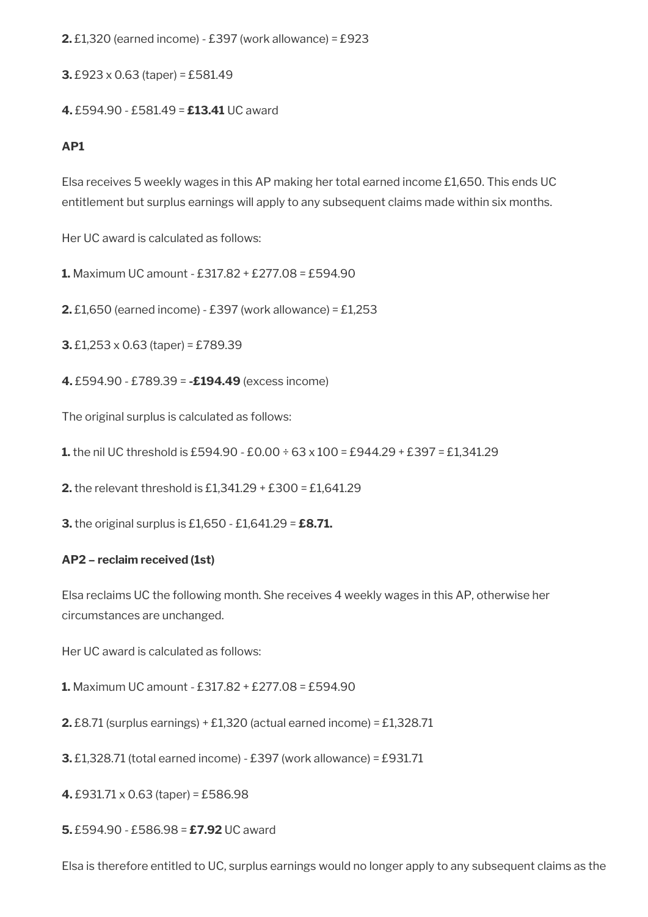**2.** £1,320 (earned income) - £397 (work allowance) = £923

**3.** £923 x 0.63 (taper) = £581.49

**4.** £594.90 - £581.49 = **£13.41** UC award

# **AP1**

Elsa receives 5 weekly wages in this AP making her total earned income £1,650. This ends UC entitlement but surplus earnings will apply to any subsequent claims made within six months.

Her UC award is calculated as follows:

**1.** Maximum UC amount - £317.82 + £277.08 = £594.90

**2.** £1,650 (earned income) - £397 (work allowance) = £1,253

**3.** £1,253 x 0.63 (taper) = £789.39

**4.** £594.90 - £789.39 = **-£194.49** (excess income)

The original surplus is calculated as follows:

**1.** the nil UC threshold is £594.90 - £0.00 ÷ 63 x 100 = £944.29 + £397 = £1,341.29

**2.** the relevant threshold is £1,341.29 + £300 = £1,641.29

**3.** the original surplus is £1,650 - £1,641.29 = **£8.71.**

#### **AP2 – reclaim received (1st)**

Elsa reclaims UC the following month. She receives 4 weekly wages in this AP, otherwise her circumstances are unchanged.

Her UC award is calculated as follows:

**1.** Maximum UC amount - £317.82 + £277.08 = £594.90

**2.** £8.71 (surplus earnings) + £1,320 (actual earned income) = £1,328.71

**3.** £1,328.71 (total earned income) - £397 (work allowance) = £931.71

**4.** £931.71 x 0.63 (taper) = £586.98

**5.** £594.90 - £586.98 = **£7.92** UC award

Elsa is therefore entitled to UC, surplus earnings would no longer apply to any subsequent claims as the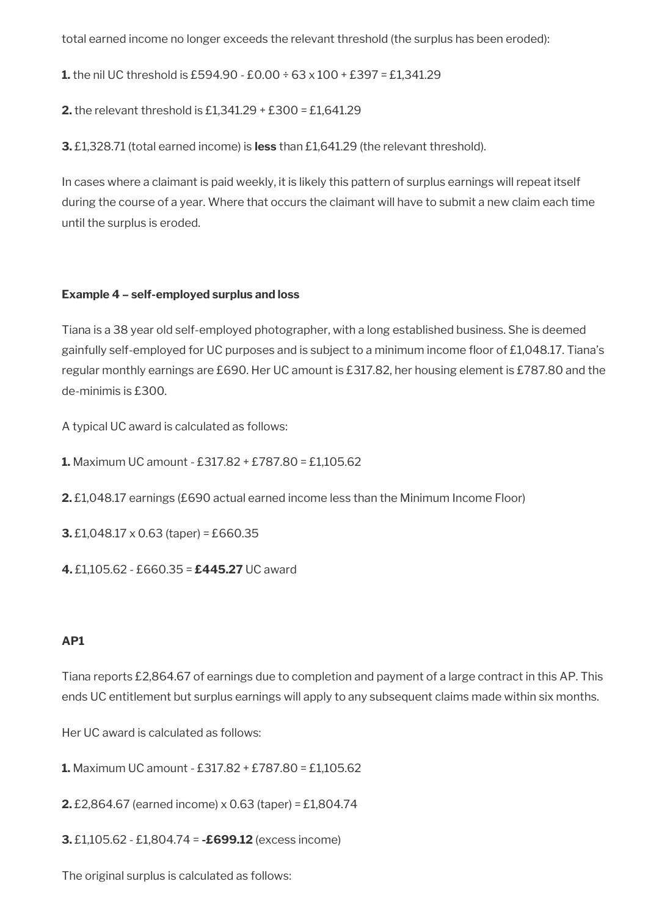total earned income no longer exceeds the relevant threshold (the surplus has been eroded):

**1.** the nil UC threshold is £594.90 - £0.00 ÷ 63 x 100 + £397 = £1,341.29

**2.** the relevant threshold is £1,341.29 + £300 = £1,641.29

**3.** £1,328.71 (total earned income) is **less** than £1,641.29 (the relevant threshold).

In cases where a claimant is paid weekly, it is likely this pattern of surplus earnings will repeat itself during the course of a year. Where that occurs the claimant will have to submit a new claim each time until the surplus is eroded.

## **Example 4 – self-employed surplus and loss**

Tiana is a 38 year old self-employed photographer, with a long established business. She is deemed gainfully self-employed for UC purposes and is subject to a minimum income floor of £1,048.17. Tiana's regular monthly earnings are £690. Her UC amount is £317.82, her housing element is £787.80 and the de-minimis is £300.

A typical UC award is calculated as follows:

**1.** Maximum UC amount - £317.82 + £787.80 = £1,105.62

**2.** £1,048.17 earnings (£690 actual earned income less than the Minimum Income Floor)

**3.** £1,048.17 x 0.63 (taper) = £660.35

**4.** £1,105.62 - £660.35 = **£445.27** UC award

# **AP1**

Tiana reports £2,864.67 of earnings due to completion and payment of a large contract in this AP. This ends UC entitlement but surplus earnings will apply to any subsequent claims made within six months.

Her UC award is calculated as follows:

**1.** Maximum UC amount - £317.82 + £787.80 = £1,105.62

**2.** £2,864.67 (earned income) x 0.63 (taper) = £1,804.74

**3.** £1,105.62 - £1,804.74 = **-£699.12** (excess income)

The original surplus is calculated as follows: